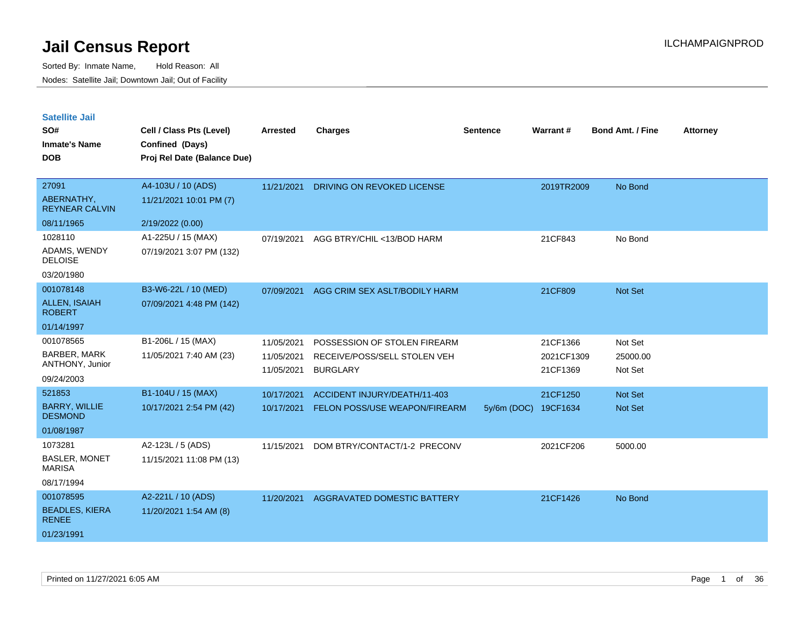| <b>Satellite Jail</b> |  |  |
|-----------------------|--|--|
|-----------------------|--|--|

| SO#<br><b>Inmate's Name</b><br><b>DOB</b> | Cell / Class Pts (Level)<br>Confined (Days)<br>Proj Rel Date (Balance Due) | Arrested   | <b>Charges</b>                     | <b>Sentence</b> | Warrant#   | <b>Bond Amt. / Fine</b> | <b>Attorney</b> |
|-------------------------------------------|----------------------------------------------------------------------------|------------|------------------------------------|-----------------|------------|-------------------------|-----------------|
| 27091                                     | A4-103U / 10 (ADS)                                                         | 11/21/2021 | DRIVING ON REVOKED LICENSE         |                 | 2019TR2009 | No Bond                 |                 |
| ABERNATHY,<br><b>REYNEAR CALVIN</b>       | 11/21/2021 10:01 PM (7)                                                    |            |                                    |                 |            |                         |                 |
| 08/11/1965                                | 2/19/2022 (0.00)                                                           |            |                                    |                 |            |                         |                 |
| 1028110                                   | A1-225U / 15 (MAX)                                                         | 07/19/2021 | AGG BTRY/CHIL <13/BOD HARM         |                 | 21CF843    | No Bond                 |                 |
| ADAMS, WENDY<br><b>DELOISE</b>            | 07/19/2021 3:07 PM (132)                                                   |            |                                    |                 |            |                         |                 |
| 03/20/1980                                |                                                                            |            |                                    |                 |            |                         |                 |
| 001078148                                 | B3-W6-22L / 10 (MED)                                                       | 07/09/2021 | AGG CRIM SEX ASLT/BODILY HARM      |                 | 21CF809    | Not Set                 |                 |
| <b>ALLEN, ISAIAH</b><br><b>ROBERT</b>     | 07/09/2021 4:48 PM (142)                                                   |            |                                    |                 |            |                         |                 |
| 01/14/1997                                |                                                                            |            |                                    |                 |            |                         |                 |
| 001078565                                 | B1-206L / 15 (MAX)                                                         | 11/05/2021 | POSSESSION OF STOLEN FIREARM       |                 | 21CF1366   | Not Set                 |                 |
| <b>BARBER, MARK</b>                       | 11/05/2021 7:40 AM (23)                                                    | 11/05/2021 | RECEIVE/POSS/SELL STOLEN VEH       |                 | 2021CF1309 | 25000.00                |                 |
| ANTHONY, Junior                           |                                                                            | 11/05/2021 | <b>BURGLARY</b>                    |                 | 21CF1369   | Not Set                 |                 |
| 09/24/2003                                |                                                                            |            |                                    |                 |            |                         |                 |
| 521853                                    | B1-104U / 15 (MAX)                                                         | 10/17/2021 | ACCIDENT INJURY/DEATH/11-403       |                 | 21CF1250   | Not Set                 |                 |
| <b>BARRY, WILLIE</b><br><b>DESMOND</b>    | 10/17/2021 2:54 PM (42)                                                    | 10/17/2021 | FELON POSS/USE WEAPON/FIREARM      | 5y/6m (DOC)     | 19CF1634   | Not Set                 |                 |
| 01/08/1987                                |                                                                            |            |                                    |                 |            |                         |                 |
| 1073281                                   | A2-123L / 5 (ADS)                                                          | 11/15/2021 | DOM BTRY/CONTACT/1-2 PRECONV       |                 | 2021CF206  | 5000.00                 |                 |
| <b>BASLER, MONET</b><br><b>MARISA</b>     | 11/15/2021 11:08 PM (13)                                                   |            |                                    |                 |            |                         |                 |
| 08/17/1994                                |                                                                            |            |                                    |                 |            |                         |                 |
| 001078595                                 | A2-221L / 10 (ADS)                                                         | 11/20/2021 | <b>AGGRAVATED DOMESTIC BATTERY</b> |                 | 21CF1426   | No Bond                 |                 |
| <b>BEADLES, KIERA</b><br><b>RENEE</b>     | 11/20/2021 1:54 AM (8)                                                     |            |                                    |                 |            |                         |                 |
| 01/23/1991                                |                                                                            |            |                                    |                 |            |                         |                 |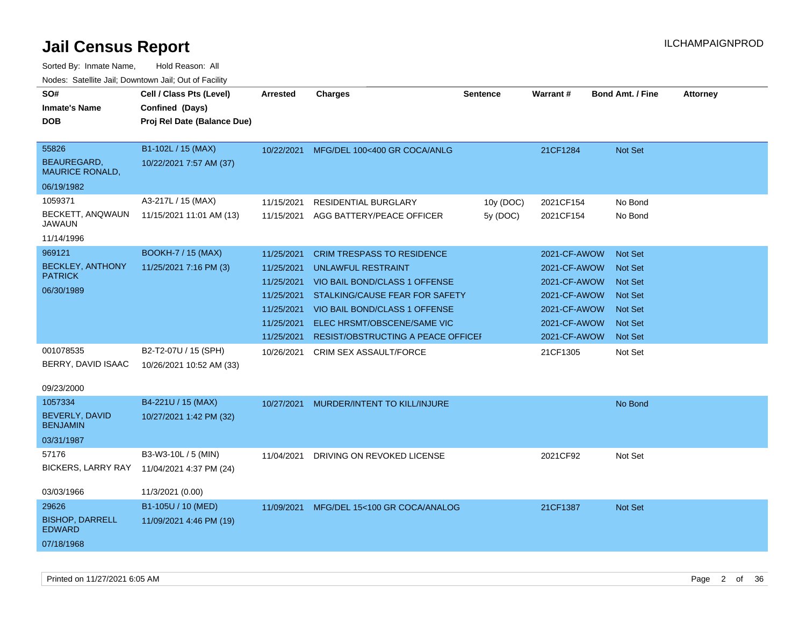| <u>Rodos.</u> Odiolino dali, Downtown dali, Odi of Fabilit               |                                                                            |                                                                                                |                                                                                                                                                                                                                                         |                      |                                                                                                              |                                                                                                                            |                 |
|--------------------------------------------------------------------------|----------------------------------------------------------------------------|------------------------------------------------------------------------------------------------|-----------------------------------------------------------------------------------------------------------------------------------------------------------------------------------------------------------------------------------------|----------------------|--------------------------------------------------------------------------------------------------------------|----------------------------------------------------------------------------------------------------------------------------|-----------------|
| SO#<br>Inmate's Name<br><b>DOB</b>                                       | Cell / Class Pts (Level)<br>Confined (Days)<br>Proj Rel Date (Balance Due) | Arrested                                                                                       | <b>Charges</b>                                                                                                                                                                                                                          | Sentence             | Warrant#                                                                                                     | <b>Bond Amt. / Fine</b>                                                                                                    | <b>Attorney</b> |
| 55826<br>BEAUREGARD.<br><b>MAURICE RONALD,</b>                           | B1-102L / 15 (MAX)<br>10/22/2021 7:57 AM (37)                              | 10/22/2021                                                                                     | MFG/DEL 100<400 GR COCA/ANLG                                                                                                                                                                                                            |                      | 21CF1284                                                                                                     | <b>Not Set</b>                                                                                                             |                 |
| 06/19/1982<br>1059371<br>BECKETT, ANQWAUN<br><b>JAWAUN</b><br>11/14/1996 | A3-217L / 15 (MAX)<br>11/15/2021 11:01 AM (13)                             | 11/15/2021<br>11/15/2021                                                                       | <b>RESIDENTIAL BURGLARY</b><br>AGG BATTERY/PEACE OFFICER                                                                                                                                                                                | 10y (DOC)<br>5y(DOC) | 2021CF154<br>2021CF154                                                                                       | No Bond<br>No Bond                                                                                                         |                 |
| 969121<br><b>BECKLEY, ANTHONY</b><br><b>PATRICK</b><br>06/30/1989        | <b>BOOKH-7 / 15 (MAX)</b><br>11/25/2021 7:16 PM (3)                        | 11/25/2021<br>11/25/2021<br>11/25/2021<br>11/25/2021<br>11/25/2021<br>11/25/2021<br>11/25/2021 | <b>CRIM TRESPASS TO RESIDENCE</b><br><b>UNLAWFUL RESTRAINT</b><br>VIO BAIL BOND/CLASS 1 OFFENSE<br>STALKING/CAUSE FEAR FOR SAFETY<br>VIO BAIL BOND/CLASS 1 OFFENSE<br>ELEC HRSMT/OBSCENE/SAME VIC<br>RESIST/OBSTRUCTING A PEACE OFFICEF |                      | 2021-CF-AWOW<br>2021-CF-AWOW<br>2021-CF-AWOW<br>2021-CF-AWOW<br>2021-CF-AWOW<br>2021-CF-AWOW<br>2021-CF-AWOW | <b>Not Set</b><br><b>Not Set</b><br><b>Not Set</b><br><b>Not Set</b><br><b>Not Set</b><br><b>Not Set</b><br><b>Not Set</b> |                 |
| 001078535<br>BERRY, DAVID ISAAC<br>09/23/2000                            | B2-T2-07U / 15 (SPH)<br>10/26/2021 10:52 AM (33)                           | 10/26/2021                                                                                     | <b>CRIM SEX ASSAULT/FORCE</b>                                                                                                                                                                                                           |                      | 21CF1305                                                                                                     | Not Set                                                                                                                    |                 |
| 1057334<br><b>BEVERLY, DAVID</b><br><b>BENJAMIN</b><br>03/31/1987        | B4-221U / 15 (MAX)<br>10/27/2021 1:42 PM (32)                              | 10/27/2021                                                                                     | MURDER/INTENT TO KILL/INJURE                                                                                                                                                                                                            |                      |                                                                                                              | No Bond                                                                                                                    |                 |
| 57176<br><b>BICKERS, LARRY RAY</b><br>03/03/1966                         | B3-W3-10L / 5 (MIN)<br>11/04/2021 4:37 PM (24)<br>11/3/2021 (0.00)         | 11/04/2021                                                                                     | DRIVING ON REVOKED LICENSE                                                                                                                                                                                                              |                      | 2021CF92                                                                                                     | Not Set                                                                                                                    |                 |
| 29626<br><b>BISHOP, DARRELL</b><br><b>EDWARD</b><br>07/18/1968           | B1-105U / 10 (MED)<br>11/09/2021 4:46 PM (19)                              | 11/09/2021                                                                                     | MFG/DEL 15<100 GR COCA/ANALOG                                                                                                                                                                                                           |                      | 21CF1387                                                                                                     | Not Set                                                                                                                    |                 |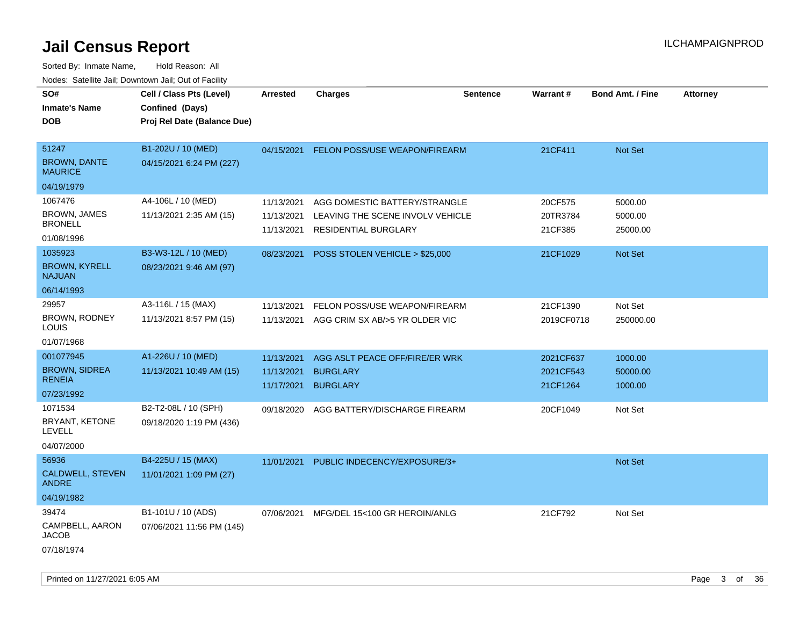| SO#<br><b>Inmate's Name</b><br><b>DOB</b>                        | Cell / Class Pts (Level)<br>Confined (Days)<br>Proj Rel Date (Balance Due) | <b>Arrested</b>                        | <b>Charges</b>                                                                            | <b>Sentence</b> | Warrant #                          | <b>Bond Amt. / Fine</b>        | <b>Attorney</b> |
|------------------------------------------------------------------|----------------------------------------------------------------------------|----------------------------------------|-------------------------------------------------------------------------------------------|-----------------|------------------------------------|--------------------------------|-----------------|
| 51247<br><b>BROWN, DANTE</b><br><b>MAURICE</b>                   | B1-202U / 10 (MED)<br>04/15/2021 6:24 PM (227)                             | 04/15/2021                             | FELON POSS/USE WEAPON/FIREARM                                                             |                 | 21CF411                            | Not Set                        |                 |
| 04/19/1979                                                       |                                                                            |                                        |                                                                                           |                 |                                    |                                |                 |
| 1067476<br><b>BROWN, JAMES</b><br><b>BRONELL</b><br>01/08/1996   | A4-106L / 10 (MED)<br>11/13/2021 2:35 AM (15)                              | 11/13/2021<br>11/13/2021<br>11/13/2021 | AGG DOMESTIC BATTERY/STRANGLE<br>LEAVING THE SCENE INVOLV VEHICLE<br>RESIDENTIAL BURGLARY |                 | 20CF575<br>20TR3784<br>21CF385     | 5000.00<br>5000.00<br>25000.00 |                 |
| 1035923<br><b>BROWN, KYRELL</b><br><b>NAJUAN</b><br>06/14/1993   | B3-W3-12L / 10 (MED)<br>08/23/2021 9:46 AM (97)                            | 08/23/2021                             | POSS STOLEN VEHICLE > \$25,000                                                            |                 | 21CF1029                           | Not Set                        |                 |
| 29957<br><b>BROWN, RODNEY</b><br>LOUIS<br>01/07/1968             | A3-116L / 15 (MAX)<br>11/13/2021 8:57 PM (15)                              | 11/13/2021<br>11/13/2021               | FELON POSS/USE WEAPON/FIREARM<br>AGG CRIM SX AB/>5 YR OLDER VIC                           |                 | 21CF1390<br>2019CF0718             | Not Set<br>250000.00           |                 |
| 001077945<br><b>BROWN, SIDREA</b><br><b>RENEIA</b><br>07/23/1992 | A1-226U / 10 (MED)<br>11/13/2021 10:49 AM (15)                             | 11/13/2021<br>11/13/2021<br>11/17/2021 | AGG ASLT PEACE OFF/FIRE/ER WRK<br><b>BURGLARY</b><br><b>BURGLARY</b>                      |                 | 2021CF637<br>2021CF543<br>21CF1264 | 1000.00<br>50000.00<br>1000.00 |                 |
| 1071534<br>BRYANT, KETONE<br><b>LEVELL</b><br>04/07/2000         | B2-T2-08L / 10 (SPH)<br>09/18/2020 1:19 PM (436)                           | 09/18/2020                             | AGG BATTERY/DISCHARGE FIREARM                                                             |                 | 20CF1049                           | Not Set                        |                 |
| 56936<br>CALDWELL, STEVEN<br><b>ANDRE</b><br>04/19/1982          | B4-225U / 15 (MAX)<br>11/01/2021 1:09 PM (27)                              | 11/01/2021                             | PUBLIC INDECENCY/EXPOSURE/3+                                                              |                 |                                    | Not Set                        |                 |
| 39474<br>CAMPBELL, AARON<br><b>JACOB</b><br>07/18/1974           | B1-101U / 10 (ADS)<br>07/06/2021 11:56 PM (145)                            | 07/06/2021                             | MFG/DEL 15<100 GR HEROIN/ANLG                                                             |                 | 21CF792                            | Not Set                        |                 |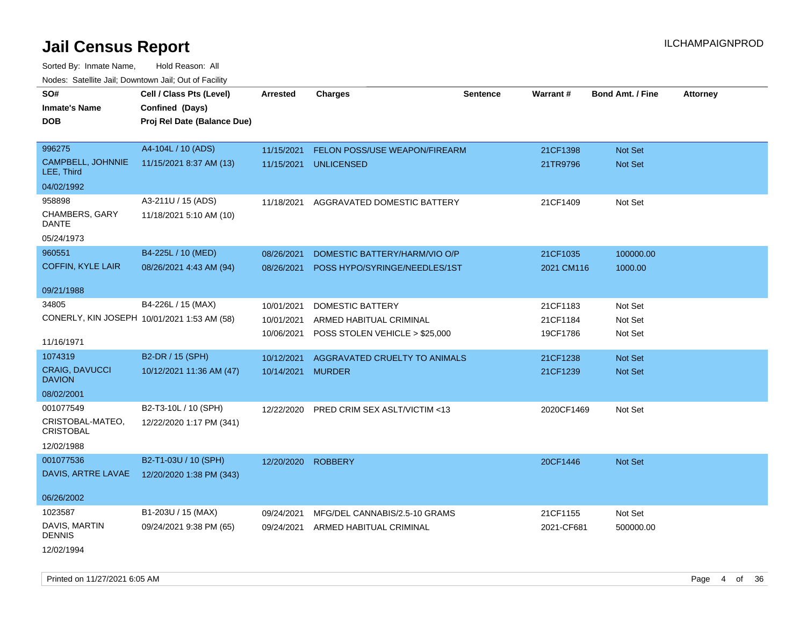Sorted By: Inmate Name, Hold Reason: All Nodes: Satellite Jail; Downtown Jail; Out of Facility

| SO#                                         |                             |                    |                                      |                 |            | <b>Bond Amt. / Fine</b> |                 |
|---------------------------------------------|-----------------------------|--------------------|--------------------------------------|-----------------|------------|-------------------------|-----------------|
|                                             | Cell / Class Pts (Level)    | <b>Arrested</b>    | <b>Charges</b>                       | <b>Sentence</b> | Warrant#   |                         | <b>Attorney</b> |
| <b>Inmate's Name</b>                        | Confined (Days)             |                    |                                      |                 |            |                         |                 |
| DOB                                         | Proj Rel Date (Balance Due) |                    |                                      |                 |            |                         |                 |
| 996275                                      | A4-104L / 10 (ADS)          | 11/15/2021         | <b>FELON POSS/USE WEAPON/FIREARM</b> |                 | 21CF1398   | Not Set                 |                 |
| CAMPBELL, JOHNNIE<br>LEE, Third             | 11/15/2021 8:37 AM (13)     | 11/15/2021         | <b>UNLICENSED</b>                    |                 | 21TR9796   | <b>Not Set</b>          |                 |
| 04/02/1992                                  |                             |                    |                                      |                 |            |                         |                 |
| 958898                                      | A3-211U / 15 (ADS)          | 11/18/2021         | AGGRAVATED DOMESTIC BATTERY          |                 | 21CF1409   | Not Set                 |                 |
| CHAMBERS, GARY<br>DANTE                     | 11/18/2021 5:10 AM (10)     |                    |                                      |                 |            |                         |                 |
| 05/24/1973                                  |                             |                    |                                      |                 |            |                         |                 |
| 960551                                      | B4-225L / 10 (MED)          | 08/26/2021         | DOMESTIC BATTERY/HARM/VIO O/P        |                 | 21CF1035   | 100000.00               |                 |
| <b>COFFIN, KYLE LAIR</b>                    | 08/26/2021 4:43 AM (94)     | 08/26/2021         | POSS HYPO/SYRINGE/NEEDLES/1ST        |                 | 2021 CM116 | 1000.00                 |                 |
| 09/21/1988                                  |                             |                    |                                      |                 |            |                         |                 |
| 34805                                       | B4-226L / 15 (MAX)          | 10/01/2021         | DOMESTIC BATTERY                     |                 | 21CF1183   | Not Set                 |                 |
| CONERLY, KIN JOSEPH 10/01/2021 1:53 AM (58) |                             | 10/01/2021         | ARMED HABITUAL CRIMINAL              |                 | 21CF1184   | Not Set                 |                 |
|                                             |                             | 10/06/2021         | POSS STOLEN VEHICLE > \$25,000       |                 | 19CF1786   | Not Set                 |                 |
| 11/16/1971                                  |                             |                    |                                      |                 |            |                         |                 |
| 1074319                                     | B2-DR / 15 (SPH)            | 10/12/2021         | AGGRAVATED CRUELTY TO ANIMALS        |                 | 21CF1238   | <b>Not Set</b>          |                 |
| <b>CRAIG, DAVUCCI</b><br><b>DAVION</b>      | 10/12/2021 11:36 AM (47)    | 10/14/2021         | <b>MURDER</b>                        |                 | 21CF1239   | <b>Not Set</b>          |                 |
| 08/02/2001                                  |                             |                    |                                      |                 |            |                         |                 |
| 001077549                                   | B2-T3-10L / 10 (SPH)        | 12/22/2020         | PRED CRIM SEX ASLT/VICTIM <13        |                 | 2020CF1469 | Not Set                 |                 |
| CRISTOBAL-MATEO,<br><b>CRISTOBAL</b>        | 12/22/2020 1:17 PM (341)    |                    |                                      |                 |            |                         |                 |
| 12/02/1988                                  |                             |                    |                                      |                 |            |                         |                 |
| 001077536                                   | B2-T1-03U / 10 (SPH)        | 12/20/2020 ROBBERY |                                      |                 | 20CF1446   | Not Set                 |                 |
| DAVIS, ARTRE LAVAE                          | 12/20/2020 1:38 PM (343)    |                    |                                      |                 |            |                         |                 |
| 06/26/2002                                  |                             |                    |                                      |                 |            |                         |                 |
| 1023587                                     | B1-203U / 15 (MAX)          | 09/24/2021         | MFG/DEL CANNABIS/2.5-10 GRAMS        |                 | 21CF1155   | Not Set                 |                 |
| DAVIS, MARTIN<br>DENNIS                     | 09/24/2021 9:38 PM (65)     | 09/24/2021         | ARMED HABITUAL CRIMINAL              |                 | 2021-CF681 | 500000.00               |                 |
| 12/02/1994                                  |                             |                    |                                      |                 |            |                         |                 |

Printed on 11/27/2021 6:05 AM **Page 4 of 36**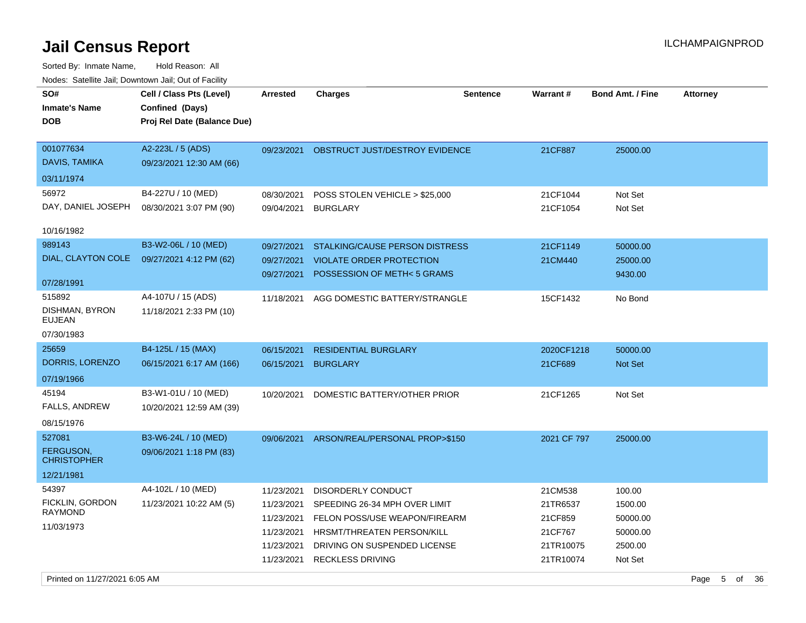| rougs. Calcinic Jan, Downtown Jan, Out of Facility             |                                                                            |                                                                                  |                                                                                                                                                                               |          |                                                                     |                                                                 |                 |
|----------------------------------------------------------------|----------------------------------------------------------------------------|----------------------------------------------------------------------------------|-------------------------------------------------------------------------------------------------------------------------------------------------------------------------------|----------|---------------------------------------------------------------------|-----------------------------------------------------------------|-----------------|
| SO#<br><b>Inmate's Name</b><br><b>DOB</b>                      | Cell / Class Pts (Level)<br>Confined (Days)<br>Proj Rel Date (Balance Due) | Arrested                                                                         | <b>Charges</b>                                                                                                                                                                | Sentence | Warrant#                                                            | Bond Amt. / Fine                                                | <b>Attorney</b> |
| 001077634<br>DAVIS, TAMIKA                                     | A2-223L / 5 (ADS)<br>09/23/2021 12:30 AM (66)                              | 09/23/2021                                                                       | OBSTRUCT JUST/DESTROY EVIDENCE                                                                                                                                                |          | 21CF887                                                             | 25000.00                                                        |                 |
| 03/11/1974<br>56972<br>DAY, DANIEL JOSEPH<br>10/16/1982        | B4-227U / 10 (MED)<br>08/30/2021 3:07 PM (90)                              | 08/30/2021<br>09/04/2021                                                         | POSS STOLEN VEHICLE > \$25,000<br><b>BURGLARY</b>                                                                                                                             |          | 21CF1044<br>21CF1054                                                | Not Set<br>Not Set                                              |                 |
| 989143<br>DIAL, CLAYTON COLE<br>07/28/1991                     | B3-W2-06L / 10 (MED)<br>09/27/2021 4:12 PM (62)                            | 09/27/2021<br>09/27/2021<br>09/27/2021                                           | STALKING/CAUSE PERSON DISTRESS<br><b>VIOLATE ORDER PROTECTION</b><br>POSSESSION OF METH< 5 GRAMS                                                                              |          | 21CF1149<br>21CM440                                                 | 50000.00<br>25000.00<br>9430.00                                 |                 |
| 515892<br>DISHMAN, BYRON<br><b>EUJEAN</b><br>07/30/1983        | A4-107U / 15 (ADS)<br>11/18/2021 2:33 PM (10)                              | 11/18/2021                                                                       | AGG DOMESTIC BATTERY/STRANGLE                                                                                                                                                 |          | 15CF1432                                                            | No Bond                                                         |                 |
| 25659<br>DORRIS, LORENZO<br>07/19/1966                         | B4-125L / 15 (MAX)<br>06/15/2021 6:17 AM (166)                             | 06/15/2021<br>06/15/2021                                                         | <b>RESIDENTIAL BURGLARY</b><br><b>BURGLARY</b>                                                                                                                                |          | 2020CF1218<br>21CF689                                               | 50000.00<br>Not Set                                             |                 |
| 45194<br>FALLS, ANDREW<br>08/15/1976                           | B3-W1-01U / 10 (MED)<br>10/20/2021 12:59 AM (39)                           | 10/20/2021                                                                       | DOMESTIC BATTERY/OTHER PRIOR                                                                                                                                                  |          | 21CF1265                                                            | Not Set                                                         |                 |
| 527081<br><b>FERGUSON,</b><br><b>CHRISTOPHER</b><br>12/21/1981 | B3-W6-24L / 10 (MED)<br>09/06/2021 1:18 PM (83)                            | 09/06/2021                                                                       | ARSON/REAL/PERSONAL PROP>\$150                                                                                                                                                |          | 2021 CF 797                                                         | 25000.00                                                        |                 |
| 54397<br>FICKLIN, GORDON<br><b>RAYMOND</b><br>11/03/1973       | A4-102L / 10 (MED)<br>11/23/2021 10:22 AM (5)                              | 11/23/2021<br>11/23/2021<br>11/23/2021<br>11/23/2021<br>11/23/2021<br>11/23/2021 | DISORDERLY CONDUCT<br>SPEEDING 26-34 MPH OVER LIMIT<br>FELON POSS/USE WEAPON/FIREARM<br>HRSMT/THREATEN PERSON/KILL<br>DRIVING ON SUSPENDED LICENSE<br><b>RECKLESS DRIVING</b> |          | 21CM538<br>21TR6537<br>21CF859<br>21CF767<br>21TR10075<br>21TR10074 | 100.00<br>1500.00<br>50000.00<br>50000.00<br>2500.00<br>Not Set |                 |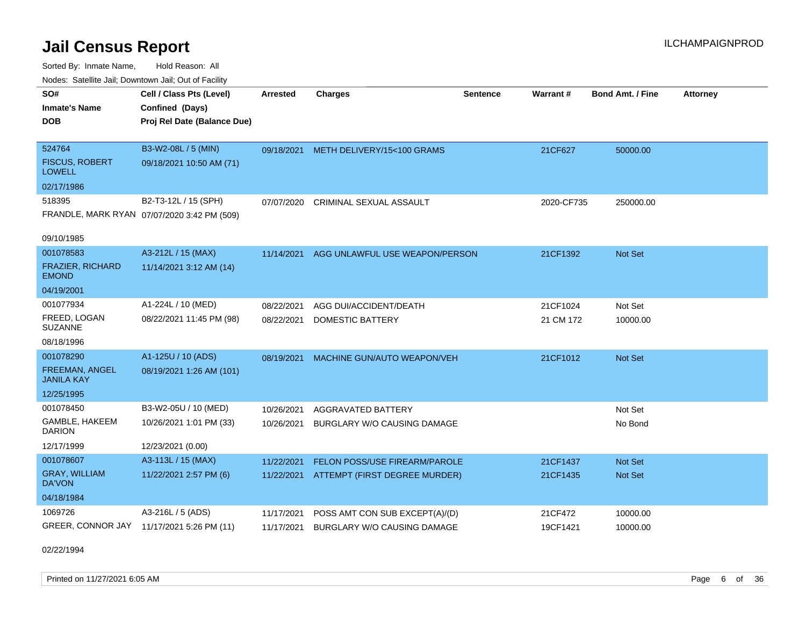Sorted By: Inmate Name, Hold Reason: All Nodes: Satellite Jail; Downtown Jail; Out of Facility

| Noues. Salenne Jan, Downtown Jan, Out of Facility |                                             |            |                                       |                 |            |                         |                 |
|---------------------------------------------------|---------------------------------------------|------------|---------------------------------------|-----------------|------------|-------------------------|-----------------|
| SO#                                               | Cell / Class Pts (Level)                    | Arrested   | <b>Charges</b>                        | <b>Sentence</b> | Warrant#   | <b>Bond Amt. / Fine</b> | <b>Attorney</b> |
| <b>Inmate's Name</b>                              | Confined (Days)                             |            |                                       |                 |            |                         |                 |
| <b>DOB</b>                                        | Proj Rel Date (Balance Due)                 |            |                                       |                 |            |                         |                 |
|                                                   |                                             |            |                                       |                 |            |                         |                 |
| 524764                                            | B3-W2-08L / 5 (MIN)                         |            | 09/18/2021 METH DELIVERY/15<100 GRAMS |                 | 21CF627    | 50000.00                |                 |
| <b>FISCUS, ROBERT</b><br><b>LOWELL</b>            | 09/18/2021 10:50 AM (71)                    |            |                                       |                 |            |                         |                 |
| 02/17/1986                                        |                                             |            |                                       |                 |            |                         |                 |
| 518395                                            | B2-T3-12L / 15 (SPH)                        | 07/07/2020 | <b>CRIMINAL SEXUAL ASSAULT</b>        |                 | 2020-CF735 | 250000.00               |                 |
|                                                   | FRANDLE, MARK RYAN 07/07/2020 3:42 PM (509) |            |                                       |                 |            |                         |                 |
|                                                   |                                             |            |                                       |                 |            |                         |                 |
| 09/10/1985                                        |                                             |            |                                       |                 |            |                         |                 |
| 001078583                                         | A3-212L / 15 (MAX)                          | 11/14/2021 | AGG UNLAWFUL USE WEAPON/PERSON        |                 | 21CF1392   | Not Set                 |                 |
| <b>FRAZIER, RICHARD</b><br><b>EMOND</b>           | 11/14/2021 3:12 AM (14)                     |            |                                       |                 |            |                         |                 |
| 04/19/2001                                        |                                             |            |                                       |                 |            |                         |                 |
| 001077934                                         | A1-224L / 10 (MED)                          | 08/22/2021 | AGG DUI/ACCIDENT/DEATH                |                 | 21CF1024   | Not Set                 |                 |
| FREED, LOGAN<br><b>SUZANNE</b>                    | 08/22/2021 11:45 PM (98)                    | 08/22/2021 | <b>DOMESTIC BATTERY</b>               |                 | 21 CM 172  | 10000.00                |                 |
| 08/18/1996                                        |                                             |            |                                       |                 |            |                         |                 |
| 001078290                                         | A1-125U / 10 (ADS)                          | 08/19/2021 | MACHINE GUN/AUTO WEAPON/VEH           |                 | 21CF1012   | Not Set                 |                 |
| FREEMAN, ANGEL<br><b>JANILA KAY</b>               | 08/19/2021 1:26 AM (101)                    |            |                                       |                 |            |                         |                 |
| 12/25/1995                                        |                                             |            |                                       |                 |            |                         |                 |
| 001078450                                         | B3-W2-05U / 10 (MED)                        | 10/26/2021 | <b>AGGRAVATED BATTERY</b>             |                 |            | Not Set                 |                 |
| GAMBLE, HAKEEM<br><b>DARION</b>                   | 10/26/2021 1:01 PM (33)                     | 10/26/2021 | BURGLARY W/O CAUSING DAMAGE           |                 |            | No Bond                 |                 |
| 12/17/1999                                        | 12/23/2021 (0.00)                           |            |                                       |                 |            |                         |                 |
| 001078607                                         | A3-113L / 15 (MAX)                          | 11/22/2021 | <b>FELON POSS/USE FIREARM/PAROLE</b>  |                 | 21CF1437   | <b>Not Set</b>          |                 |
| <b>GRAY, WILLIAM</b><br>DA'VON                    | 11/22/2021 2:57 PM (6)                      | 11/22/2021 | ATTEMPT (FIRST DEGREE MURDER)         |                 | 21CF1435   | <b>Not Set</b>          |                 |
| 04/18/1984                                        |                                             |            |                                       |                 |            |                         |                 |
| 1069726                                           | A3-216L / 5 (ADS)                           | 11/17/2021 | POSS AMT CON SUB EXCEPT(A)/(D)        |                 | 21CF472    | 10000.00                |                 |
|                                                   | GREER, CONNOR JAY 11/17/2021 5:26 PM (11)   | 11/17/2021 | <b>BURGLARY W/O CAUSING DAMAGE</b>    |                 | 19CF1421   | 10000.00                |                 |

02/22/1994

Printed on 11/27/2021 6:05 AM **Page 6** of 36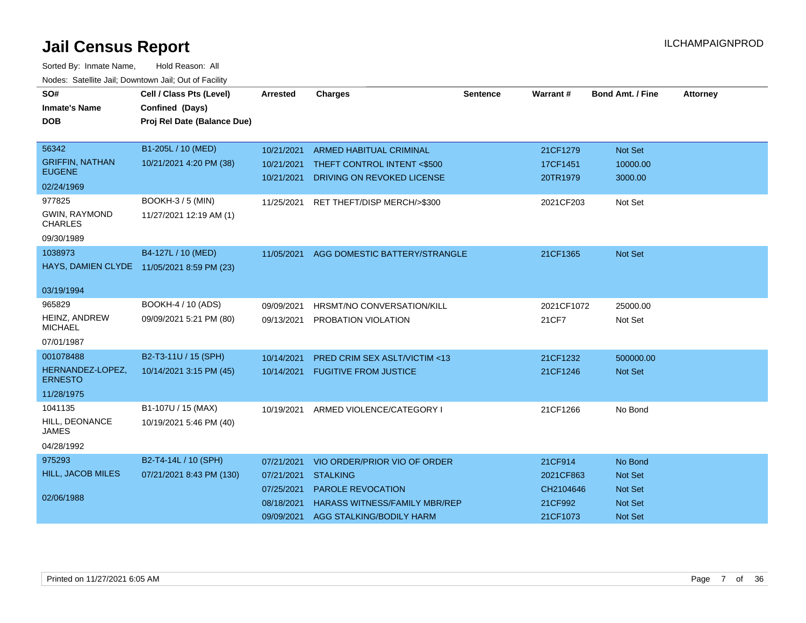| SO#                                        | Cell / Class Pts (Level)    | Arrested                 | <b>Charges</b>                                            | <b>Sentence</b> | Warrant#             | <b>Bond Amt. / Fine</b> | <b>Attorney</b> |
|--------------------------------------------|-----------------------------|--------------------------|-----------------------------------------------------------|-----------------|----------------------|-------------------------|-----------------|
| <b>Inmate's Name</b>                       | Confined (Days)             |                          |                                                           |                 |                      |                         |                 |
| <b>DOB</b>                                 | Proj Rel Date (Balance Due) |                          |                                                           |                 |                      |                         |                 |
|                                            |                             |                          |                                                           |                 |                      |                         |                 |
| 56342                                      | B1-205L / 10 (MED)          | 10/21/2021               | ARMED HABITUAL CRIMINAL                                   |                 | 21CF1279             | Not Set                 |                 |
| <b>GRIFFIN, NATHAN</b><br><b>EUGENE</b>    | 10/21/2021 4:20 PM (38)     | 10/21/2021<br>10/21/2021 | THEFT CONTROL INTENT <\$500<br>DRIVING ON REVOKED LICENSE |                 | 17CF1451<br>20TR1979 | 10000.00<br>3000.00     |                 |
| 02/24/1969                                 |                             |                          |                                                           |                 |                      |                         |                 |
| 977825                                     | <b>BOOKH-3 / 5 (MIN)</b>    | 11/25/2021               | RET THEFT/DISP MERCH/>\$300                               |                 | 2021CF203            | Not Set                 |                 |
| GWIN, RAYMOND<br><b>CHARLES</b>            | 11/27/2021 12:19 AM (1)     |                          |                                                           |                 |                      |                         |                 |
| 09/30/1989                                 |                             |                          |                                                           |                 |                      |                         |                 |
| 1038973                                    | B4-127L / 10 (MED)          | 11/05/2021               | AGG DOMESTIC BATTERY/STRANGLE                             |                 | 21CF1365             | Not Set                 |                 |
| HAYS, DAMIEN CLYDE 11/05/2021 8:59 PM (23) |                             |                          |                                                           |                 |                      |                         |                 |
| 03/19/1994                                 |                             |                          |                                                           |                 |                      |                         |                 |
| 965829                                     | BOOKH-4 / 10 (ADS)          | 09/09/2021               | <b>HRSMT/NO CONVERSATION/KILL</b>                         |                 | 2021CF1072           | 25000.00                |                 |
| HEINZ, ANDREW<br><b>MICHAEL</b>            | 09/09/2021 5:21 PM (80)     | 09/13/2021               | PROBATION VIOLATION                                       |                 | 21CF7                | Not Set                 |                 |
| 07/01/1987                                 |                             |                          |                                                           |                 |                      |                         |                 |
| 001078488                                  | B2-T3-11U / 15 (SPH)        | 10/14/2021               | PRED CRIM SEX ASLT/VICTIM <13                             |                 | 21CF1232             | 500000.00               |                 |
| HERNANDEZ-LOPEZ,<br><b>ERNESTO</b>         | 10/14/2021 3:15 PM (45)     | 10/14/2021               | <b>FUGITIVE FROM JUSTICE</b>                              |                 | 21CF1246             | Not Set                 |                 |
| 11/28/1975                                 |                             |                          |                                                           |                 |                      |                         |                 |
| 1041135                                    | B1-107U / 15 (MAX)          | 10/19/2021               | ARMED VIOLENCE/CATEGORY I                                 |                 | 21CF1266             | No Bond                 |                 |
| HILL, DEONANCE<br><b>JAMES</b>             | 10/19/2021 5:46 PM (40)     |                          |                                                           |                 |                      |                         |                 |
| 04/28/1992                                 |                             |                          |                                                           |                 |                      |                         |                 |
| 975293                                     | B2-T4-14L / 10 (SPH)        | 07/21/2021               | VIO ORDER/PRIOR VIO OF ORDER                              |                 | 21CF914              | No Bond                 |                 |
| <b>HILL, JACOB MILES</b>                   | 07/21/2021 8:43 PM (130)    | 07/21/2021               | <b>STALKING</b>                                           |                 | 2021CF863            | Not Set                 |                 |
|                                            |                             | 07/25/2021               | PAROLE REVOCATION                                         |                 | CH2104646            | Not Set                 |                 |
| 02/06/1988                                 |                             | 08/18/2021               | <b>HARASS WITNESS/FAMILY MBR/REP</b>                      |                 | 21CF992              | Not Set                 |                 |
|                                            |                             | 09/09/2021               | AGG STALKING/BODILY HARM                                  |                 | 21CF1073             | <b>Not Set</b>          |                 |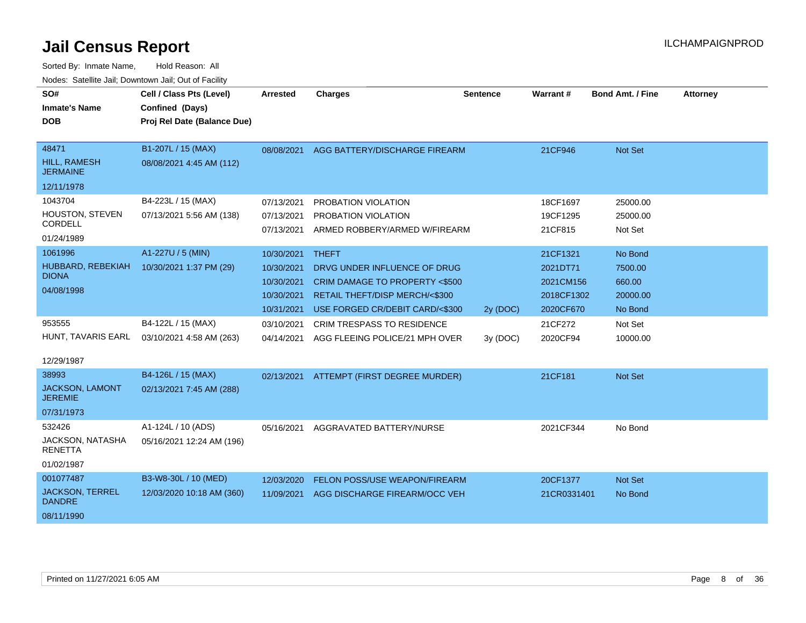| SO#                                       | Cell / Class Pts (Level)    | Arrested   | <b>Charges</b>                           | <b>Sentence</b> | Warrant#    | <b>Bond Amt. / Fine</b> | <b>Attorney</b> |
|-------------------------------------------|-----------------------------|------------|------------------------------------------|-----------------|-------------|-------------------------|-----------------|
| <b>Inmate's Name</b>                      | Confined (Days)             |            |                                          |                 |             |                         |                 |
| <b>DOB</b>                                | Proj Rel Date (Balance Due) |            |                                          |                 |             |                         |                 |
|                                           |                             |            |                                          |                 |             |                         |                 |
| 48471                                     | B1-207L / 15 (MAX)          | 08/08/2021 | AGG BATTERY/DISCHARGE FIREARM            |                 | 21CF946     | <b>Not Set</b>          |                 |
| <b>HILL, RAMESH</b><br><b>JERMAINE</b>    | 08/08/2021 4:45 AM (112)    |            |                                          |                 |             |                         |                 |
| 12/11/1978                                |                             |            |                                          |                 |             |                         |                 |
| 1043704                                   | B4-223L / 15 (MAX)          | 07/13/2021 | PROBATION VIOLATION                      |                 | 18CF1697    | 25000.00                |                 |
| HOUSTON, STEVEN                           | 07/13/2021 5:56 AM (138)    | 07/13/2021 | PROBATION VIOLATION                      |                 | 19CF1295    | 25000.00                |                 |
| CORDELL                                   |                             | 07/13/2021 | ARMED ROBBERY/ARMED W/FIREARM            |                 | 21CF815     | Not Set                 |                 |
| 01/24/1989                                |                             |            |                                          |                 |             |                         |                 |
| 1061996                                   | A1-227U / 5 (MIN)           | 10/30/2021 | <b>THEFT</b>                             |                 | 21CF1321    | No Bond                 |                 |
| HUBBARD, REBEKIAH<br><b>DIONA</b>         | 10/30/2021 1:37 PM (29)     | 10/30/2021 | DRVG UNDER INFLUENCE OF DRUG             |                 | 2021DT71    | 7500.00                 |                 |
|                                           |                             | 10/30/2021 | <b>CRIM DAMAGE TO PROPERTY &lt;\$500</b> |                 | 2021CM156   | 660.00                  |                 |
| 04/08/1998                                |                             | 10/30/2021 | RETAIL THEFT/DISP MERCH/<\$300           |                 | 2018CF1302  | 20000.00                |                 |
|                                           |                             | 10/31/2021 | USE FORGED CR/DEBIT CARD/<\$300          | 2y (DOC)        | 2020CF670   | No Bond                 |                 |
| 953555                                    | B4-122L / 15 (MAX)          | 03/10/2021 | <b>CRIM TRESPASS TO RESIDENCE</b>        |                 | 21CF272     | Not Set                 |                 |
| HUNT, TAVARIS EARL                        | 03/10/2021 4:58 AM (263)    | 04/14/2021 | AGG FLEEING POLICE/21 MPH OVER           | 3y (DOC)        | 2020CF94    | 10000.00                |                 |
|                                           |                             |            |                                          |                 |             |                         |                 |
| 12/29/1987                                |                             |            |                                          |                 |             |                         |                 |
| 38993                                     | B4-126L / 15 (MAX)          | 02/13/2021 | ATTEMPT (FIRST DEGREE MURDER)            |                 | 21CF181     | Not Set                 |                 |
| <b>JACKSON, LAMONT</b><br><b>JEREMIE</b>  | 02/13/2021 7:45 AM (288)    |            |                                          |                 |             |                         |                 |
| 07/31/1973                                |                             |            |                                          |                 |             |                         |                 |
| 532426                                    | A1-124L / 10 (ADS)          | 05/16/2021 | AGGRAVATED BATTERY/NURSE                 |                 | 2021CF344   | No Bond                 |                 |
| <b>JACKSON, NATASHA</b><br><b>RENETTA</b> | 05/16/2021 12:24 AM (196)   |            |                                          |                 |             |                         |                 |
| 01/02/1987                                |                             |            |                                          |                 |             |                         |                 |
| 001077487                                 | B3-W8-30L / 10 (MED)        | 12/03/2020 | FELON POSS/USE WEAPON/FIREARM            |                 | 20CF1377    | <b>Not Set</b>          |                 |
| <b>JACKSON, TERREL</b><br><b>DANDRE</b>   | 12/03/2020 10:18 AM (360)   | 11/09/2021 | AGG DISCHARGE FIREARM/OCC VEH            |                 | 21CR0331401 | No Bond                 |                 |
| 08/11/1990                                |                             |            |                                          |                 |             |                         |                 |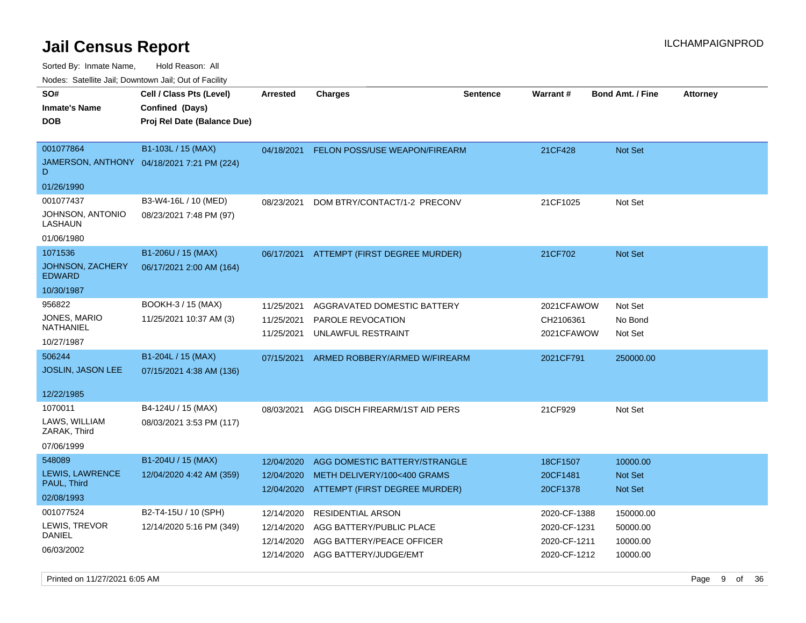Sorted By: Inmate Name, Hold Reason: All

Nodes: Satellite Jail; Downtown Jail; Out of Facility

| roaco. Catolino dall, Downtown dall, Out of Fability |                                                                            |                 |                                          |                 |                 |                         |                 |
|------------------------------------------------------|----------------------------------------------------------------------------|-----------------|------------------------------------------|-----------------|-----------------|-------------------------|-----------------|
| SO#<br><b>Inmate's Name</b><br><b>DOB</b>            | Cell / Class Pts (Level)<br>Confined (Days)<br>Proj Rel Date (Balance Due) | <b>Arrested</b> | <b>Charges</b>                           | <b>Sentence</b> | <b>Warrant#</b> | <b>Bond Amt. / Fine</b> | <b>Attorney</b> |
|                                                      |                                                                            |                 |                                          |                 |                 |                         |                 |
| 001077864                                            | B1-103L / 15 (MAX)                                                         | 04/18/2021      | FELON POSS/USE WEAPON/FIREARM            |                 | 21CF428         | <b>Not Set</b>          |                 |
| D                                                    | JAMERSON, ANTHONY 04/18/2021 7:21 PM (224)                                 |                 |                                          |                 |                 |                         |                 |
| 01/26/1990                                           |                                                                            |                 |                                          |                 |                 |                         |                 |
| 001077437                                            | B3-W4-16L / 10 (MED)                                                       | 08/23/2021      | DOM BTRY/CONTACT/1-2 PRECONV             |                 | 21CF1025        | Not Set                 |                 |
| JOHNSON, ANTONIO<br>LASHAUN                          | 08/23/2021 7:48 PM (97)                                                    |                 |                                          |                 |                 |                         |                 |
| 01/06/1980                                           |                                                                            |                 |                                          |                 |                 |                         |                 |
| 1071536                                              | B1-206U / 15 (MAX)                                                         | 06/17/2021      | ATTEMPT (FIRST DEGREE MURDER)            |                 | 21CF702         | <b>Not Set</b>          |                 |
| JOHNSON, ZACHERY<br><b>EDWARD</b>                    | 06/17/2021 2:00 AM (164)                                                   |                 |                                          |                 |                 |                         |                 |
| 10/30/1987                                           |                                                                            |                 |                                          |                 |                 |                         |                 |
| 956822                                               | BOOKH-3 / 15 (MAX)                                                         | 11/25/2021      | AGGRAVATED DOMESTIC BATTERY              |                 | 2021CFAWOW      | Not Set                 |                 |
| JONES, MARIO                                         | 11/25/2021 10:37 AM (3)                                                    | 11/25/2021      | PAROLE REVOCATION                        |                 | CH2106361       | No Bond                 |                 |
| NATHANIEL                                            |                                                                            | 11/25/2021      | UNLAWFUL RESTRAINT                       |                 | 2021CFAWOW      | Not Set                 |                 |
| 10/27/1987                                           |                                                                            |                 |                                          |                 |                 |                         |                 |
| 506244                                               | B1-204L / 15 (MAX)                                                         | 07/15/2021      | ARMED ROBBERY/ARMED W/FIREARM            |                 | 2021CF791       | 250000.00               |                 |
| JOSLIN, JASON LEE                                    | 07/15/2021 4:38 AM (136)                                                   |                 |                                          |                 |                 |                         |                 |
|                                                      |                                                                            |                 |                                          |                 |                 |                         |                 |
| 12/22/1985                                           |                                                                            |                 |                                          |                 |                 |                         |                 |
| 1070011                                              | B4-124U / 15 (MAX)                                                         | 08/03/2021      | AGG DISCH FIREARM/1ST AID PERS           |                 | 21CF929         | Not Set                 |                 |
| LAWS, WILLIAM<br>ZARAK, Third                        | 08/03/2021 3:53 PM (117)                                                   |                 |                                          |                 |                 |                         |                 |
| 07/06/1999                                           |                                                                            |                 |                                          |                 |                 |                         |                 |
| 548089                                               | B1-204U / 15 (MAX)                                                         | 12/04/2020      | AGG DOMESTIC BATTERY/STRANGLE            |                 | 18CF1507        | 10000.00                |                 |
| LEWIS, LAWRENCE                                      | 12/04/2020 4:42 AM (359)                                                   | 12/04/2020      | METH DELIVERY/100<400 GRAMS              |                 | 20CF1481        | Not Set                 |                 |
| PAUL, Third                                          |                                                                            |                 | 12/04/2020 ATTEMPT (FIRST DEGREE MURDER) |                 | 20CF1378        | Not Set                 |                 |
| 02/08/1993                                           |                                                                            |                 |                                          |                 |                 |                         |                 |
| 001077524                                            | B2-T4-15U / 10 (SPH)                                                       | 12/14/2020      | RESIDENTIAL ARSON                        |                 | 2020-CF-1388    | 150000.00               |                 |
| LEWIS, TREVOR                                        | 12/14/2020 5:16 PM (349)                                                   | 12/14/2020      | AGG BATTERY/PUBLIC PLACE                 |                 | 2020-CF-1231    | 50000.00                |                 |
| DANIEL                                               |                                                                            | 12/14/2020      | AGG BATTERY/PEACE OFFICER                |                 | 2020-CF-1211    | 10000.00                |                 |
| 06/03/2002                                           |                                                                            | 12/14/2020      | AGG BATTERY/JUDGE/EMT                    |                 | 2020-CF-1212    | 10000.00                |                 |
|                                                      |                                                                            |                 |                                          |                 |                 |                         |                 |

Printed on 11/27/2021 6:05 AM Page 9 of 36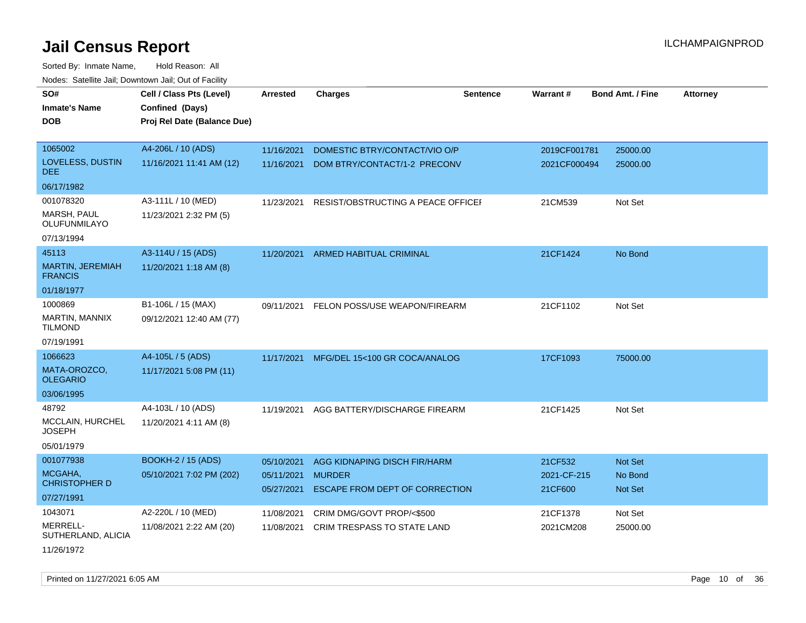| SO#<br><b>Inmate's Name</b>        | Cell / Class Pts (Level)    | <b>Arrested</b>          | <b>Charges</b>                                  | <b>Sentence</b> | Warrant#               | <b>Bond Amt. / Fine</b> | <b>Attorney</b> |
|------------------------------------|-----------------------------|--------------------------|-------------------------------------------------|-----------------|------------------------|-------------------------|-----------------|
|                                    | Confined (Days)             |                          |                                                 |                 |                        |                         |                 |
| <b>DOB</b>                         | Proj Rel Date (Balance Due) |                          |                                                 |                 |                        |                         |                 |
| 1065002                            | A4-206L / 10 (ADS)          | 11/16/2021               | DOMESTIC BTRY/CONTACT/VIO O/P                   |                 | 2019CF001781           | 25000.00                |                 |
| LOVELESS, DUSTIN<br>DEE.           | 11/16/2021 11:41 AM (12)    | 11/16/2021               | DOM BTRY/CONTACT/1-2 PRECONV                    |                 | 2021CF000494           | 25000.00                |                 |
| 06/17/1982                         |                             |                          |                                                 |                 |                        |                         |                 |
| 001078320                          | A3-111L / 10 (MED)          | 11/23/2021               | RESIST/OBSTRUCTING A PEACE OFFICEF              |                 | 21CM539                | Not Set                 |                 |
| MARSH, PAUL<br>OLUFUNMILAYO        | 11/23/2021 2:32 PM (5)      |                          |                                                 |                 |                        |                         |                 |
| 07/13/1994                         |                             |                          |                                                 |                 |                        |                         |                 |
| 45113                              | A3-114U / 15 (ADS)          |                          | 11/20/2021 ARMED HABITUAL CRIMINAL              |                 | 21CF1424               | No Bond                 |                 |
| MARTIN, JEREMIAH<br><b>FRANCIS</b> | 11/20/2021 1:18 AM (8)      |                          |                                                 |                 |                        |                         |                 |
| 01/18/1977                         |                             |                          |                                                 |                 |                        |                         |                 |
| 1000869                            | B1-106L / 15 (MAX)          | 09/11/2021               | FELON POSS/USE WEAPON/FIREARM                   |                 | 21CF1102               | Not Set                 |                 |
| MARTIN, MANNIX<br><b>TILMOND</b>   | 09/12/2021 12:40 AM (77)    |                          |                                                 |                 |                        |                         |                 |
| 07/19/1991                         |                             |                          |                                                 |                 |                        |                         |                 |
| 1066623                            | A4-105L / 5 (ADS)           | 11/17/2021               | MFG/DEL 15<100 GR COCA/ANALOG                   |                 | 17CF1093               | 75000.00                |                 |
| MATA-OROZCO,<br><b>OLEGARIO</b>    | 11/17/2021 5:08 PM (11)     |                          |                                                 |                 |                        |                         |                 |
| 03/06/1995                         |                             |                          |                                                 |                 |                        |                         |                 |
| 48792                              | A4-103L / 10 (ADS)          | 11/19/2021               | AGG BATTERY/DISCHARGE FIREARM                   |                 | 21CF1425               | Not Set                 |                 |
| MCCLAIN, HURCHEL<br><b>JOSEPH</b>  | 11/20/2021 4:11 AM (8)      |                          |                                                 |                 |                        |                         |                 |
| 05/01/1979                         |                             |                          |                                                 |                 |                        |                         |                 |
| 001077938                          | <b>BOOKH-2 / 15 (ADS)</b>   | 05/10/2021               | AGG KIDNAPING DISCH FIR/HARM                    |                 | 21CF532                | Not Set                 |                 |
| MCGAHA,<br><b>CHRISTOPHER D</b>    | 05/10/2021 7:02 PM (202)    | 05/11/2021<br>05/27/2021 | <b>MURDER</b><br>ESCAPE FROM DEPT OF CORRECTION |                 | 2021-CF-215<br>21CF600 | No Bond<br>Not Set      |                 |
| 07/27/1991                         |                             |                          |                                                 |                 |                        |                         |                 |
| 1043071                            | A2-220L / 10 (MED)          | 11/08/2021               | CRIM DMG/GOVT PROP/<\$500                       |                 | 21CF1378               | Not Set                 |                 |
| MERRELL-<br>SUTHERLAND, ALICIA     | 11/08/2021 2:22 AM (20)     | 11/08/2021               | CRIM TRESPASS TO STATE LAND                     |                 | 2021CM208              | 25000.00                |                 |
| 11/26/1972                         |                             |                          |                                                 |                 |                        |                         |                 |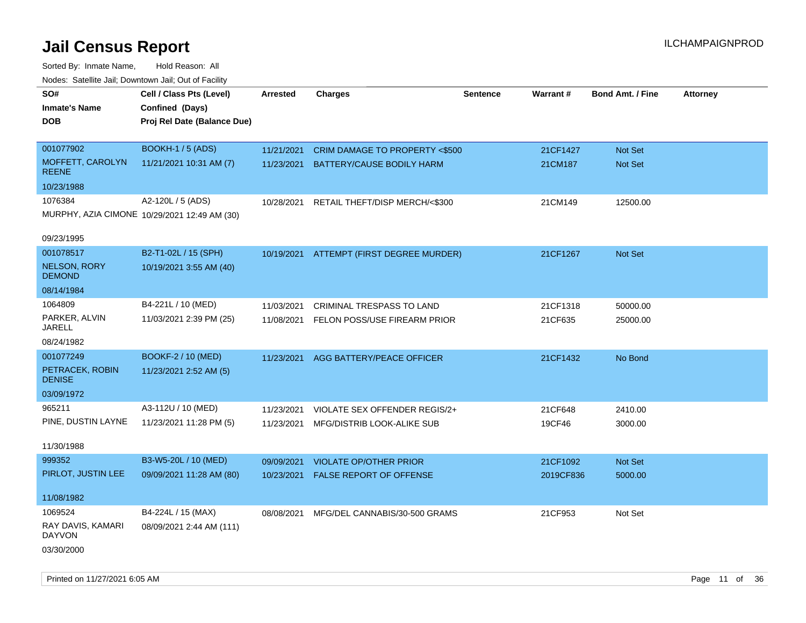| rouce. Calcinic Jan, Downtown Jan, Out or Facility |                                              |                 |                                          |                 |                 |                         |                 |
|----------------------------------------------------|----------------------------------------------|-----------------|------------------------------------------|-----------------|-----------------|-------------------------|-----------------|
| SO#                                                | Cell / Class Pts (Level)                     | <b>Arrested</b> | <b>Charges</b>                           | <b>Sentence</b> | <b>Warrant#</b> | <b>Bond Amt. / Fine</b> | <b>Attorney</b> |
| <b>Inmate's Name</b>                               | Confined (Days)                              |                 |                                          |                 |                 |                         |                 |
| <b>DOB</b>                                         | Proj Rel Date (Balance Due)                  |                 |                                          |                 |                 |                         |                 |
|                                                    |                                              |                 |                                          |                 |                 |                         |                 |
| 001077902                                          | BOOKH-1 / 5 (ADS)                            | 11/21/2021      | CRIM DAMAGE TO PROPERTY <\$500           |                 | 21CF1427        | Not Set                 |                 |
| MOFFETT, CAROLYN<br><b>REENE</b>                   | 11/21/2021 10:31 AM (7)                      | 11/23/2021      | BATTERY/CAUSE BODILY HARM                |                 | 21CM187         | Not Set                 |                 |
| 10/23/1988                                         |                                              |                 |                                          |                 |                 |                         |                 |
| 1076384                                            | A2-120L / 5 (ADS)                            | 10/28/2021      | RETAIL THEFT/DISP MERCH/<\$300           |                 | 21CM149         | 12500.00                |                 |
|                                                    | MURPHY, AZIA CIMONE 10/29/2021 12:49 AM (30) |                 |                                          |                 |                 |                         |                 |
| 09/23/1995                                         |                                              |                 |                                          |                 |                 |                         |                 |
|                                                    |                                              |                 |                                          |                 |                 |                         |                 |
| 001078517                                          | B2-T1-02L / 15 (SPH)                         |                 | 10/19/2021 ATTEMPT (FIRST DEGREE MURDER) |                 | 21CF1267        | Not Set                 |                 |
| NELSON, RORY<br><b>DEMOND</b>                      | 10/19/2021 3:55 AM (40)                      |                 |                                          |                 |                 |                         |                 |
| 08/14/1984                                         |                                              |                 |                                          |                 |                 |                         |                 |
| 1064809                                            | B4-221L / 10 (MED)                           | 11/03/2021      | <b>CRIMINAL TRESPASS TO LAND</b>         |                 | 21CF1318        | 50000.00                |                 |
| PARKER, ALVIN<br>JARELL                            | 11/03/2021 2:39 PM (25)                      | 11/08/2021      | FELON POSS/USE FIREARM PRIOR             |                 | 21CF635         | 25000.00                |                 |
| 08/24/1982                                         |                                              |                 |                                          |                 |                 |                         |                 |
| 001077249                                          | BOOKF-2 / 10 (MED)                           |                 | 11/23/2021 AGG BATTERY/PEACE OFFICER     |                 | 21CF1432        | No Bond                 |                 |
| PETRACEK, ROBIN<br><b>DENISE</b>                   | 11/23/2021 2:52 AM (5)                       |                 |                                          |                 |                 |                         |                 |
| 03/09/1972                                         |                                              |                 |                                          |                 |                 |                         |                 |
| 965211                                             | A3-112U / 10 (MED)                           | 11/23/2021      | VIOLATE SEX OFFENDER REGIS/2+            |                 | 21CF648         | 2410.00                 |                 |
| PINE, DUSTIN LAYNE                                 | 11/23/2021 11:28 PM (5)                      | 11/23/2021      | MFG/DISTRIB LOOK-ALIKE SUB               |                 | 19CF46          | 3000.00                 |                 |
|                                                    |                                              |                 |                                          |                 |                 |                         |                 |
| 11/30/1988                                         |                                              |                 |                                          |                 |                 |                         |                 |
| 999352                                             | B3-W5-20L / 10 (MED)                         | 09/09/2021      | <b>VIOLATE OP/OTHER PRIOR</b>            |                 | 21CF1092        | Not Set                 |                 |
| PIRLOT, JUSTIN LEE                                 | 09/09/2021 11:28 AM (80)                     |                 | 10/23/2021 FALSE REPORT OF OFFENSE       |                 | 2019CF836       | 5000.00                 |                 |
| 11/08/1982                                         |                                              |                 |                                          |                 |                 |                         |                 |
| 1069524                                            | B4-224L / 15 (MAX)                           | 08/08/2021      | MFG/DEL CANNABIS/30-500 GRAMS            |                 | 21CF953         | Not Set                 |                 |
| RAY DAVIS, KAMARI<br><b>DAYVON</b>                 | 08/09/2021 2:44 AM (111)                     |                 |                                          |                 |                 |                         |                 |
| 03/30/2000                                         |                                              |                 |                                          |                 |                 |                         |                 |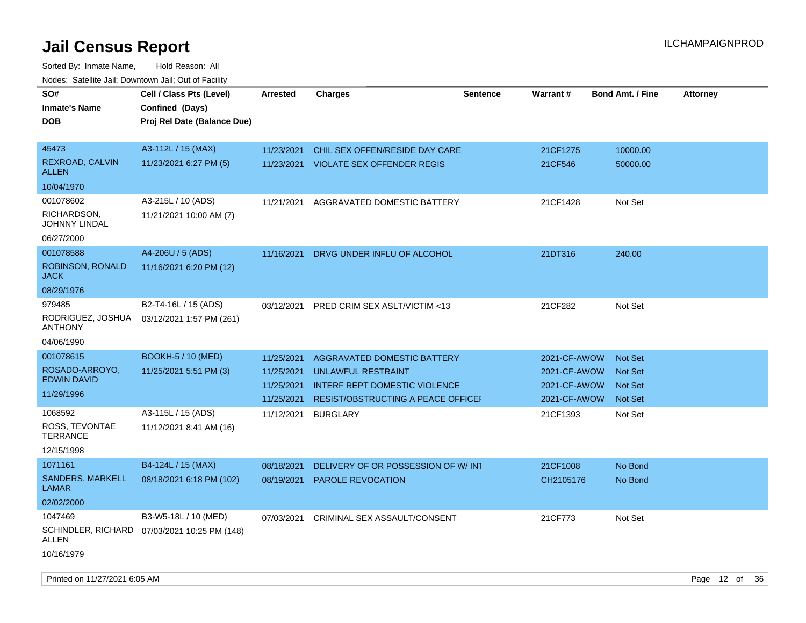| SO#<br><b>Inmate's Name</b><br>DOB       | Cell / Class Pts (Level)<br>Confined (Days)<br>Proj Rel Date (Balance Due) | <b>Arrested</b>          | <b>Charges</b>                                                      | <b>Sentence</b> | Warrant#                     | <b>Bond Amt. / Fine</b>          | <b>Attorney</b> |
|------------------------------------------|----------------------------------------------------------------------------|--------------------------|---------------------------------------------------------------------|-----------------|------------------------------|----------------------------------|-----------------|
|                                          |                                                                            |                          |                                                                     |                 |                              |                                  |                 |
| 45473<br>REXROAD, CALVIN<br><b>ALLEN</b> | A3-112L / 15 (MAX)<br>11/23/2021 6:27 PM (5)                               | 11/23/2021<br>11/23/2021 | CHIL SEX OFFEN/RESIDE DAY CARE<br><b>VIOLATE SEX OFFENDER REGIS</b> |                 | 21CF1275<br>21CF546          | 10000.00<br>50000.00             |                 |
| 10/04/1970                               |                                                                            |                          |                                                                     |                 |                              |                                  |                 |
| 001078602                                | A3-215L / 10 (ADS)                                                         | 11/21/2021               | AGGRAVATED DOMESTIC BATTERY                                         |                 | 21CF1428                     | Not Set                          |                 |
| RICHARDSON,<br>JOHNNY LINDAL             | 11/21/2021 10:00 AM (7)                                                    |                          |                                                                     |                 |                              |                                  |                 |
| 06/27/2000                               |                                                                            |                          |                                                                     |                 |                              |                                  |                 |
| 001078588                                | A4-206U / 5 (ADS)                                                          | 11/16/2021               | DRVG UNDER INFLU OF ALCOHOL                                         |                 | 21DT316                      | 240.00                           |                 |
| ROBINSON, RONALD<br><b>JACK</b>          | 11/16/2021 6:20 PM (12)                                                    |                          |                                                                     |                 |                              |                                  |                 |
| 08/29/1976                               |                                                                            |                          |                                                                     |                 |                              |                                  |                 |
| 979485                                   | B2-T4-16L / 15 (ADS)                                                       | 03/12/2021               | PRED CRIM SEX ASLT/VICTIM <13                                       |                 | 21CF282                      | Not Set                          |                 |
| RODRIGUEZ, JOSHUA<br><b>ANTHONY</b>      | 03/12/2021 1:57 PM (261)                                                   |                          |                                                                     |                 |                              |                                  |                 |
| 04/06/1990                               |                                                                            |                          |                                                                     |                 |                              |                                  |                 |
| 001078615                                | <b>BOOKH-5 / 10 (MED)</b>                                                  | 11/25/2021               | <b>AGGRAVATED DOMESTIC BATTERY</b>                                  |                 | 2021-CF-AWOW                 | <b>Not Set</b>                   |                 |
| ROSADO-ARROYO,<br><b>EDWIN DAVID</b>     | 11/25/2021 5:51 PM (3)                                                     | 11/25/2021<br>11/25/2021 | <b>UNLAWFUL RESTRAINT</b><br><b>INTERF REPT DOMESTIC VIOLENCE</b>   |                 | 2021-CF-AWOW<br>2021-CF-AWOW | <b>Not Set</b>                   |                 |
| 11/29/1996                               |                                                                            | 11/25/2021               | RESIST/OBSTRUCTING A PEACE OFFICEF                                  |                 | 2021-CF-AWOW                 | <b>Not Set</b><br><b>Not Set</b> |                 |
| 1068592                                  | A3-115L / 15 (ADS)                                                         | 11/12/2021               | <b>BURGLARY</b>                                                     |                 | 21CF1393                     | Not Set                          |                 |
| ROSS, TEVONTAE<br><b>TERRANCE</b>        | 11/12/2021 8:41 AM (16)                                                    |                          |                                                                     |                 |                              |                                  |                 |
| 12/15/1998                               |                                                                            |                          |                                                                     |                 |                              |                                  |                 |
| 1071161                                  | B4-124L / 15 (MAX)                                                         | 08/18/2021               | DELIVERY OF OR POSSESSION OF W/INT                                  |                 | 21CF1008                     | No Bond                          |                 |
| SANDERS, MARKELL<br>LAMAR                | 08/18/2021 6:18 PM (102)                                                   | 08/19/2021               | <b>PAROLE REVOCATION</b>                                            |                 | CH2105176                    | No Bond                          |                 |
| 02/02/2000                               |                                                                            |                          |                                                                     |                 |                              |                                  |                 |
| 1047469<br>ALLEN                         | B3-W5-18L / 10 (MED)<br>SCHINDLER, RICHARD 07/03/2021 10:25 PM (148)       | 07/03/2021               | CRIMINAL SEX ASSAULT/CONSENT                                        |                 | 21CF773                      | Not Set                          |                 |
| 10/16/1979                               |                                                                            |                          |                                                                     |                 |                              |                                  |                 |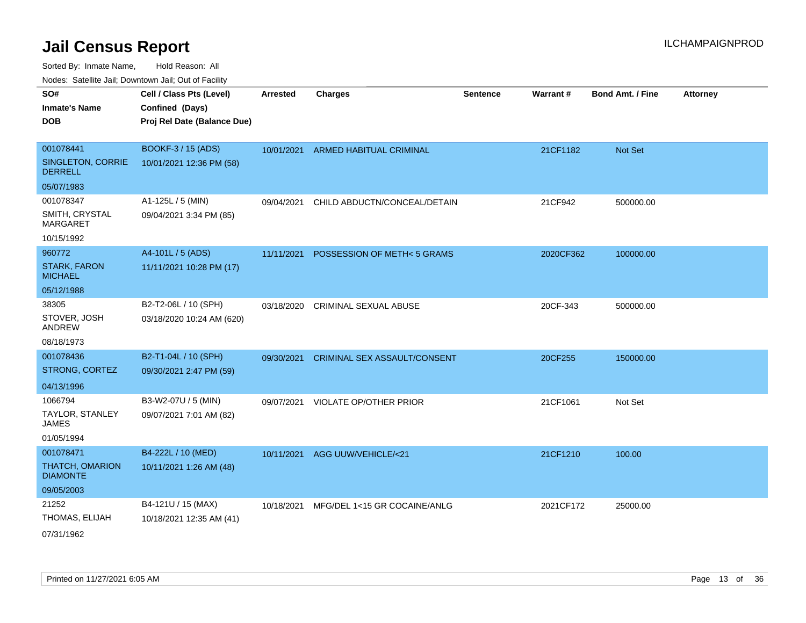Sorted By: Inmate Name, Hold Reason: All

|  | Nodes: Satellite Jail; Downtown Jail; Out of Facility |  |  |  |
|--|-------------------------------------------------------|--|--|--|
|--|-------------------------------------------------------|--|--|--|

| SO#<br><b>Inmate's Name</b><br><b>DOB</b> | Cell / Class Pts (Level)<br>Confined (Days)<br>Proj Rel Date (Balance Due) | <b>Arrested</b> | <b>Charges</b>                      | <b>Sentence</b> | Warrant#  | <b>Bond Amt. / Fine</b> | <b>Attorney</b> |
|-------------------------------------------|----------------------------------------------------------------------------|-----------------|-------------------------------------|-----------------|-----------|-------------------------|-----------------|
| 001078441                                 | BOOKF-3 / 15 (ADS)                                                         | 10/01/2021      | <b>ARMED HABITUAL CRIMINAL</b>      |                 | 21CF1182  | Not Set                 |                 |
| SINGLETON, CORRIE<br><b>DERRELL</b>       | 10/01/2021 12:36 PM (58)                                                   |                 |                                     |                 |           |                         |                 |
| 05/07/1983                                |                                                                            |                 |                                     |                 |           |                         |                 |
| 001078347                                 | A1-125L / 5 (MIN)                                                          | 09/04/2021      | CHILD ABDUCTN/CONCEAL/DETAIN        |                 | 21CF942   | 500000.00               |                 |
| SMITH, CRYSTAL<br><b>MARGARET</b>         | 09/04/2021 3:34 PM (85)                                                    |                 |                                     |                 |           |                         |                 |
| 10/15/1992                                |                                                                            |                 |                                     |                 |           |                         |                 |
| 960772                                    | A4-101L / 5 (ADS)                                                          | 11/11/2021      | POSSESSION OF METH<5 GRAMS          |                 | 2020CF362 | 100000.00               |                 |
| <b>STARK, FARON</b><br><b>MICHAEL</b>     | 11/11/2021 10:28 PM (17)                                                   |                 |                                     |                 |           |                         |                 |
| 05/12/1988                                |                                                                            |                 |                                     |                 |           |                         |                 |
| 38305                                     | B2-T2-06L / 10 (SPH)                                                       | 03/18/2020      | <b>CRIMINAL SEXUAL ABUSE</b>        |                 | 20CF-343  | 500000.00               |                 |
| STOVER, JOSH<br>ANDREW                    | 03/18/2020 10:24 AM (620)                                                  |                 |                                     |                 |           |                         |                 |
| 08/18/1973                                |                                                                            |                 |                                     |                 |           |                         |                 |
| 001078436                                 | B2-T1-04L / 10 (SPH)                                                       | 09/30/2021      | <b>CRIMINAL SEX ASSAULT/CONSENT</b> |                 | 20CF255   | 150000.00               |                 |
| STRONG, CORTEZ                            | 09/30/2021 2:47 PM (59)                                                    |                 |                                     |                 |           |                         |                 |
| 04/13/1996                                |                                                                            |                 |                                     |                 |           |                         |                 |
| 1066794                                   | B3-W2-07U / 5 (MIN)                                                        | 09/07/2021      | <b>VIOLATE OP/OTHER PRIOR</b>       |                 | 21CF1061  | Not Set                 |                 |
| TAYLOR, STANLEY<br><b>JAMES</b>           | 09/07/2021 7:01 AM (82)                                                    |                 |                                     |                 |           |                         |                 |
| 01/05/1994                                |                                                                            |                 |                                     |                 |           |                         |                 |
| 001078471                                 | B4-222L / 10 (MED)                                                         | 10/11/2021      | AGG UUW/VEHICLE/<21                 |                 | 21CF1210  | 100.00                  |                 |
| THATCH, OMARION<br><b>DIAMONTE</b>        | 10/11/2021 1:26 AM (48)                                                    |                 |                                     |                 |           |                         |                 |
| 09/05/2003                                |                                                                            |                 |                                     |                 |           |                         |                 |
| 21252                                     | B4-121U / 15 (MAX)                                                         | 10/18/2021      | MFG/DEL 1<15 GR COCAINE/ANLG        |                 | 2021CF172 | 25000.00                |                 |
| THOMAS, ELIJAH                            | 10/18/2021 12:35 AM (41)                                                   |                 |                                     |                 |           |                         |                 |
| 07/31/1062                                |                                                                            |                 |                                     |                 |           |                         |                 |

07/31/1962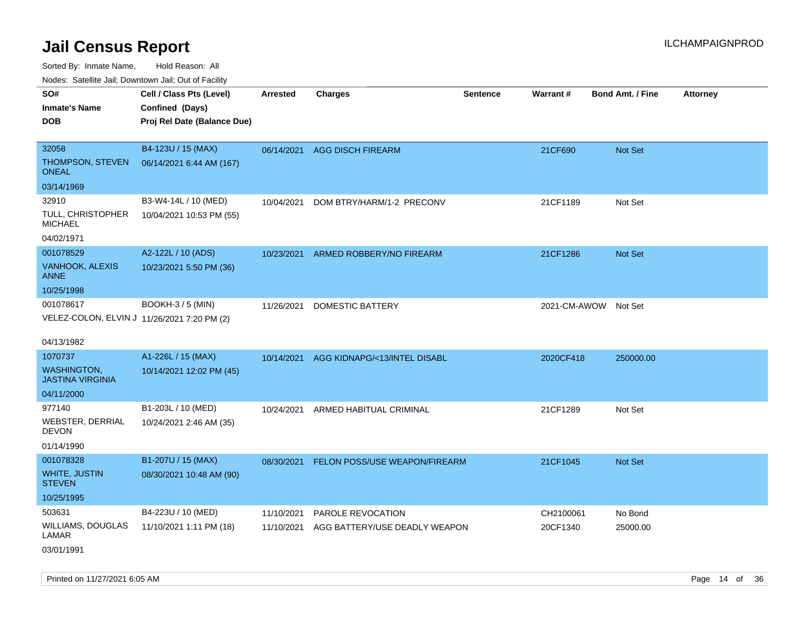| Nudes. Satellite Jali, Downtown Jali, Out of Facility |                             |                 |                               |                 |                 |                         |                 |
|-------------------------------------------------------|-----------------------------|-----------------|-------------------------------|-----------------|-----------------|-------------------------|-----------------|
| SO#                                                   | Cell / Class Pts (Level)    | <b>Arrested</b> | <b>Charges</b>                | <b>Sentence</b> | <b>Warrant#</b> | <b>Bond Amt. / Fine</b> | <b>Attorney</b> |
| <b>Inmate's Name</b>                                  | Confined (Days)             |                 |                               |                 |                 |                         |                 |
| <b>DOB</b>                                            | Proj Rel Date (Balance Due) |                 |                               |                 |                 |                         |                 |
|                                                       |                             |                 |                               |                 |                 |                         |                 |
| 32058                                                 | B4-123U / 15 (MAX)          | 06/14/2021      | <b>AGG DISCH FIREARM</b>      |                 | 21CF690         | <b>Not Set</b>          |                 |
| THOMPSON, STEVEN<br>ONEAL                             | 06/14/2021 6:44 AM (167)    |                 |                               |                 |                 |                         |                 |
| 03/14/1969                                            |                             |                 |                               |                 |                 |                         |                 |
| 32910                                                 | B3-W4-14L / 10 (MED)        | 10/04/2021      | DOM BTRY/HARM/1-2 PRECONV     |                 | 21CF1189        | Not Set                 |                 |
| TULL, CHRISTOPHER<br><b>MICHAEL</b>                   | 10/04/2021 10:53 PM (55)    |                 |                               |                 |                 |                         |                 |
| 04/02/1971                                            |                             |                 |                               |                 |                 |                         |                 |
| 001078529                                             | A2-122L / 10 (ADS)          | 10/23/2021      | ARMED ROBBERY/NO FIREARM      |                 | 21CF1286        | Not Set                 |                 |
| <b>VANHOOK, ALEXIS</b><br>ANNE                        | 10/23/2021 5:50 PM (36)     |                 |                               |                 |                 |                         |                 |
| 10/25/1998                                            |                             |                 |                               |                 |                 |                         |                 |
| 001078617                                             | <b>BOOKH-3 / 5 (MIN)</b>    | 11/26/2021      | <b>DOMESTIC BATTERY</b>       |                 | 2021-CM-AWOW    | Not Set                 |                 |
| VELEZ-COLON, ELVIN J 11/26/2021 7:20 PM (2)           |                             |                 |                               |                 |                 |                         |                 |
|                                                       |                             |                 |                               |                 |                 |                         |                 |
| 04/13/1982                                            |                             |                 |                               |                 |                 |                         |                 |
| 1070737                                               | A1-226L / 15 (MAX)          | 10/14/2021      | AGG KIDNAPG/<13/INTEL DISABL  |                 | 2020CF418       | 250000.00               |                 |
| <b>WASHINGTON,</b><br><b>JASTINA VIRGINIA</b>         | 10/14/2021 12:02 PM (45)    |                 |                               |                 |                 |                         |                 |
| 04/11/2000                                            |                             |                 |                               |                 |                 |                         |                 |
| 977140                                                | B1-203L / 10 (MED)          | 10/24/2021      | ARMED HABITUAL CRIMINAL       |                 | 21CF1289        | Not Set                 |                 |
| WEBSTER, DERRIAL<br><b>DEVON</b>                      | 10/24/2021 2:46 AM (35)     |                 |                               |                 |                 |                         |                 |
| 01/14/1990                                            |                             |                 |                               |                 |                 |                         |                 |
| 001078328                                             | B1-207U / 15 (MAX)          | 08/30/2021      | FELON POSS/USE WEAPON/FIREARM |                 | 21CF1045        | <b>Not Set</b>          |                 |
| WHITE, JUSTIN<br><b>STEVEN</b>                        | 08/30/2021 10:48 AM (90)    |                 |                               |                 |                 |                         |                 |
| 10/25/1995                                            |                             |                 |                               |                 |                 |                         |                 |
| 503631                                                | B4-223U / 10 (MED)          | 11/10/2021      | <b>PAROLE REVOCATION</b>      |                 | CH2100061       | No Bond                 |                 |
| WILLIAMS, DOUGLAS<br>LAMAR                            | 11/10/2021 1:11 PM (18)     | 11/10/2021      | AGG BATTERY/USE DEADLY WEAPON |                 | 20CF1340        | 25000.00                |                 |
| 03/01/1991                                            |                             |                 |                               |                 |                 |                         |                 |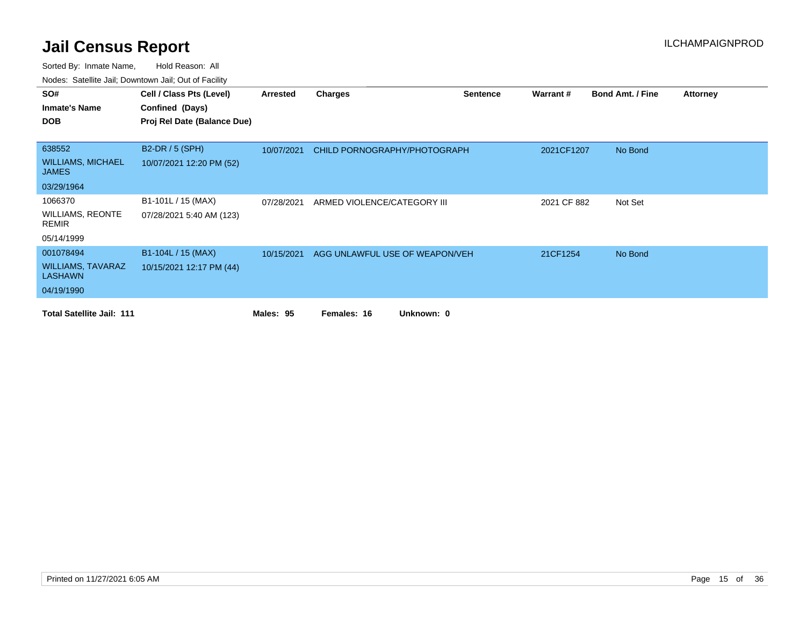| SO#                                      | Cell / Class Pts (Level)    | Arrested   | <b>Charges</b>                 | <b>Sentence</b> | Warrant#    | <b>Bond Amt. / Fine</b> | <b>Attorney</b> |
|------------------------------------------|-----------------------------|------------|--------------------------------|-----------------|-------------|-------------------------|-----------------|
| <b>Inmate's Name</b>                     | Confined (Days)             |            |                                |                 |             |                         |                 |
| <b>DOB</b>                               | Proj Rel Date (Balance Due) |            |                                |                 |             |                         |                 |
|                                          |                             |            |                                |                 |             |                         |                 |
| 638552                                   | <b>B2-DR / 5 (SPH)</b>      | 10/07/2021 | CHILD PORNOGRAPHY/PHOTOGRAPH   |                 | 2021CF1207  | No Bond                 |                 |
| <b>WILLIAMS, MICHAEL</b><br><b>JAMES</b> | 10/07/2021 12:20 PM (52)    |            |                                |                 |             |                         |                 |
| 03/29/1964                               |                             |            |                                |                 |             |                         |                 |
| 1066370                                  | B1-101L / 15 (MAX)          | 07/28/2021 | ARMED VIOLENCE/CATEGORY III    |                 | 2021 CF 882 | Not Set                 |                 |
| <b>WILLIAMS, REONTE</b><br>REMIR         | 07/28/2021 5:40 AM (123)    |            |                                |                 |             |                         |                 |
| 05/14/1999                               |                             |            |                                |                 |             |                         |                 |
| 001078494                                | B1-104L / 15 (MAX)          | 10/15/2021 | AGG UNLAWFUL USE OF WEAPON/VEH |                 | 21CF1254    | No Bond                 |                 |
| <b>WILLIAMS, TAVARAZ</b><br>LASHAWN      | 10/15/2021 12:17 PM (44)    |            |                                |                 |             |                         |                 |
| 04/19/1990                               |                             |            |                                |                 |             |                         |                 |
| <b>Total Satellite Jail: 111</b>         |                             | Males: 95  | Females: 16<br>Unknown: 0      |                 |             |                         |                 |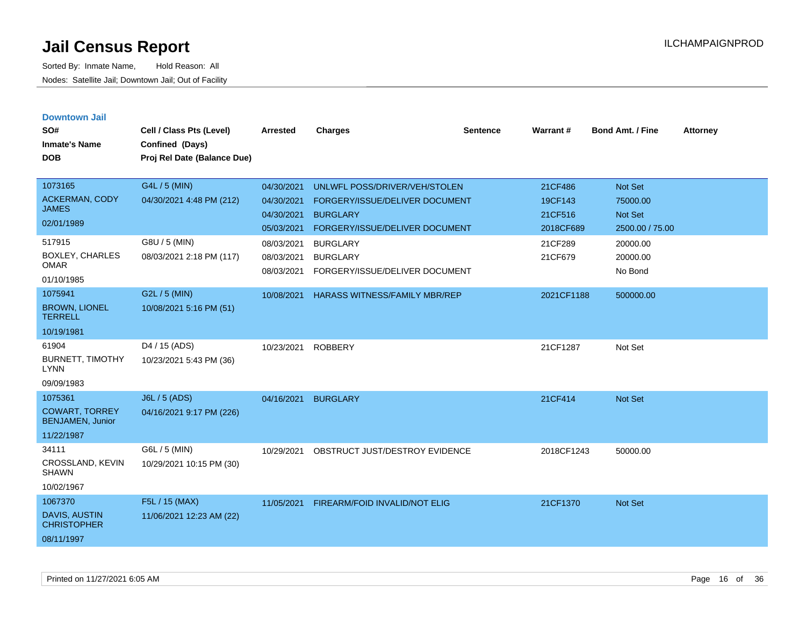| <b>Downtown Jail</b><br>SO#                      |                                             |                 |                                      |                 |                 | <b>Bond Amt. / Fine</b> |                 |
|--------------------------------------------------|---------------------------------------------|-----------------|--------------------------------------|-----------------|-----------------|-------------------------|-----------------|
| <b>Inmate's Name</b>                             | Cell / Class Pts (Level)<br>Confined (Days) | <b>Arrested</b> | <b>Charges</b>                       | <b>Sentence</b> | <b>Warrant#</b> |                         | <b>Attorney</b> |
| <b>DOB</b>                                       | Proj Rel Date (Balance Due)                 |                 |                                      |                 |                 |                         |                 |
|                                                  |                                             |                 |                                      |                 |                 |                         |                 |
| 1073165                                          | G4L / 5 (MIN)                               | 04/30/2021      | UNLWFL POSS/DRIVER/VEH/STOLEN        |                 | 21CF486         | Not Set                 |                 |
| <b>ACKERMAN, CODY</b>                            | 04/30/2021 4:48 PM (212)                    | 04/30/2021      | FORGERY/ISSUE/DELIVER DOCUMENT       |                 | 19CF143         | 75000.00                |                 |
| <b>JAMES</b>                                     |                                             | 04/30/2021      | <b>BURGLARY</b>                      |                 | 21CF516         | <b>Not Set</b>          |                 |
| 02/01/1989                                       |                                             | 05/03/2021      | FORGERY/ISSUE/DELIVER DOCUMENT       |                 | 2018CF689       | 2500.00 / 75.00         |                 |
| 517915                                           | G8U / 5 (MIN)                               | 08/03/2021      | <b>BURGLARY</b>                      |                 | 21CF289         | 20000.00                |                 |
| BOXLEY, CHARLES                                  | 08/03/2021 2:18 PM (117)                    | 08/03/2021      | <b>BURGLARY</b>                      |                 | 21CF679         | 20000.00                |                 |
| <b>OMAR</b>                                      |                                             | 08/03/2021      | FORGERY/ISSUE/DELIVER DOCUMENT       |                 |                 | No Bond                 |                 |
| 01/10/1985                                       |                                             |                 |                                      |                 |                 |                         |                 |
| 1075941                                          | G2L / 5 (MIN)                               | 10/08/2021      | <b>HARASS WITNESS/FAMILY MBR/REP</b> |                 | 2021CF1188      | 500000.00               |                 |
| <b>BROWN, LIONEL</b><br><b>TERRELL</b>           | 10/08/2021 5:16 PM (51)                     |                 |                                      |                 |                 |                         |                 |
| 10/19/1981                                       |                                             |                 |                                      |                 |                 |                         |                 |
| 61904                                            | D4 / 15 (ADS)                               | 10/23/2021      | <b>ROBBERY</b>                       |                 | 21CF1287        | Not Set                 |                 |
| <b>BURNETT, TIMOTHY</b><br><b>LYNN</b>           | 10/23/2021 5:43 PM (36)                     |                 |                                      |                 |                 |                         |                 |
| 09/09/1983                                       |                                             |                 |                                      |                 |                 |                         |                 |
| 1075361                                          | J6L / 5 (ADS)                               | 04/16/2021      | <b>BURGLARY</b>                      |                 | 21CF414         | Not Set                 |                 |
| <b>COWART, TORREY</b><br><b>BENJAMEN, Junior</b> | 04/16/2021 9:17 PM (226)                    |                 |                                      |                 |                 |                         |                 |
| 11/22/1987                                       |                                             |                 |                                      |                 |                 |                         |                 |
| 34111                                            | G6L / 5 (MIN)                               | 10/29/2021      | OBSTRUCT JUST/DESTROY EVIDENCE       |                 | 2018CF1243      | 50000.00                |                 |
| CROSSLAND, KEVIN<br><b>SHAWN</b>                 | 10/29/2021 10:15 PM (30)                    |                 |                                      |                 |                 |                         |                 |
| 10/02/1967                                       |                                             |                 |                                      |                 |                 |                         |                 |
| 1067370                                          | F5L / 15 (MAX)                              | 11/05/2021      | FIREARM/FOID INVALID/NOT ELIG        |                 | 21CF1370        | Not Set                 |                 |
| DAVIS, AUSTIN<br><b>CHRISTOPHER</b>              | 11/06/2021 12:23 AM (22)                    |                 |                                      |                 |                 |                         |                 |
| 08/11/1997                                       |                                             |                 |                                      |                 |                 |                         |                 |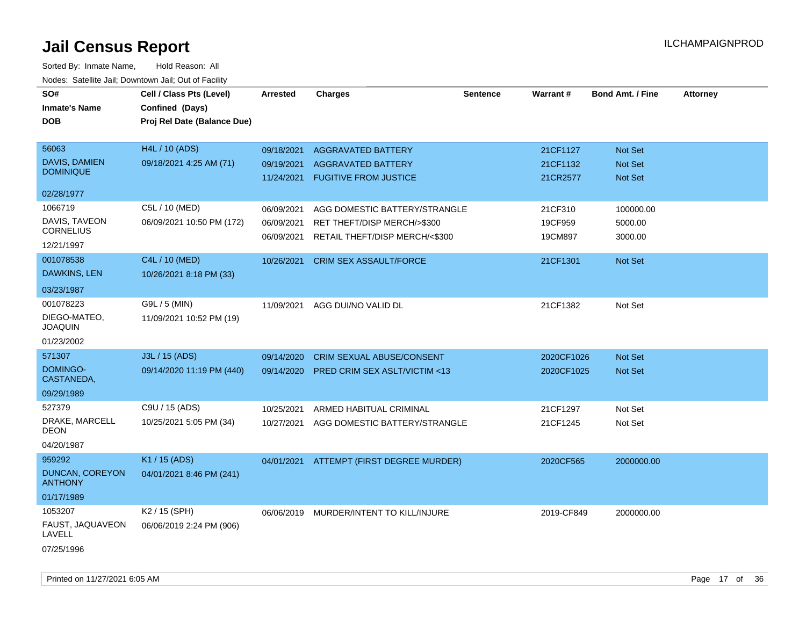| SO#<br><b>Inmate's Name</b>                                | Cell / Class Pts (Level)<br>Confined (Days) | <b>Arrested</b>                        | <b>Charges</b>                                                                                 | <b>Sentence</b> | Warrant#                         | <b>Bond Amt. / Fine</b>              | <b>Attorney</b> |
|------------------------------------------------------------|---------------------------------------------|----------------------------------------|------------------------------------------------------------------------------------------------|-----------------|----------------------------------|--------------------------------------|-----------------|
| <b>DOB</b>                                                 | Proj Rel Date (Balance Due)                 |                                        |                                                                                                |                 |                                  |                                      |                 |
| 56063<br><b>DAVIS, DAMIEN</b><br><b>DOMINIQUE</b>          | H4L / 10 (ADS)<br>09/18/2021 4:25 AM (71)   | 09/18/2021<br>09/19/2021<br>11/24/2021 | <b>AGGRAVATED BATTERY</b><br><b>AGGRAVATED BATTERY</b><br><b>FUGITIVE FROM JUSTICE</b>         |                 | 21CF1127<br>21CF1132<br>21CR2577 | Not Set<br>Not Set<br><b>Not Set</b> |                 |
| 02/28/1977                                                 |                                             |                                        |                                                                                                |                 |                                  |                                      |                 |
| 1066719<br>DAVIS, TAVEON<br><b>CORNELIUS</b><br>12/21/1997 | C5L / 10 (MED)<br>06/09/2021 10:50 PM (172) | 06/09/2021<br>06/09/2021<br>06/09/2021 | AGG DOMESTIC BATTERY/STRANGLE<br>RET THEFT/DISP MERCH/>\$300<br>RETAIL THEFT/DISP MERCH/<\$300 |                 | 21CF310<br>19CF959<br>19CM897    | 100000.00<br>5000.00<br>3000.00      |                 |
| 001078538<br>DAWKINS, LEN<br>03/23/1987                    | C4L / 10 (MED)<br>10/26/2021 8:18 PM (33)   | 10/26/2021                             | <b>CRIM SEX ASSAULT/FORCE</b>                                                                  |                 | 21CF1301                         | <b>Not Set</b>                       |                 |
| 001078223<br>DIEGO-MATEO,<br><b>JOAQUIN</b><br>01/23/2002  | G9L / 5 (MIN)<br>11/09/2021 10:52 PM (19)   | 11/09/2021                             | AGG DUI/NO VALID DL                                                                            |                 | 21CF1382                         | Not Set                              |                 |
| 571307<br>DOMINGO-<br>CASTANEDA,<br>09/29/1989             | J3L / 15 (ADS)<br>09/14/2020 11:19 PM (440) | 09/14/2020<br>09/14/2020               | <b>CRIM SEXUAL ABUSE/CONSENT</b><br>PRED CRIM SEX ASLT/VICTIM <13                              |                 | 2020CF1026<br>2020CF1025         | <b>Not Set</b><br>Not Set            |                 |
| 527379<br>DRAKE, MARCELL<br>DEON<br>04/20/1987             | C9U / 15 (ADS)<br>10/25/2021 5:05 PM (34)   | 10/25/2021<br>10/27/2021               | ARMED HABITUAL CRIMINAL<br>AGG DOMESTIC BATTERY/STRANGLE                                       |                 | 21CF1297<br>21CF1245             | Not Set<br>Not Set                   |                 |
| 959292<br>DUNCAN, COREYON<br><b>ANTHONY</b><br>01/17/1989  | K1 / 15 (ADS)<br>04/01/2021 8:46 PM (241)   | 04/01/2021                             | ATTEMPT (FIRST DEGREE MURDER)                                                                  |                 | 2020CF565                        | 2000000.00                           |                 |
| 1053207<br>FAUST, JAQUAVEON<br>LAVELL<br>07/25/1996        | K2 / 15 (SPH)<br>06/06/2019 2:24 PM (906)   | 06/06/2019                             | MURDER/INTENT TO KILL/INJURE                                                                   |                 | 2019-CF849                       | 2000000.00                           |                 |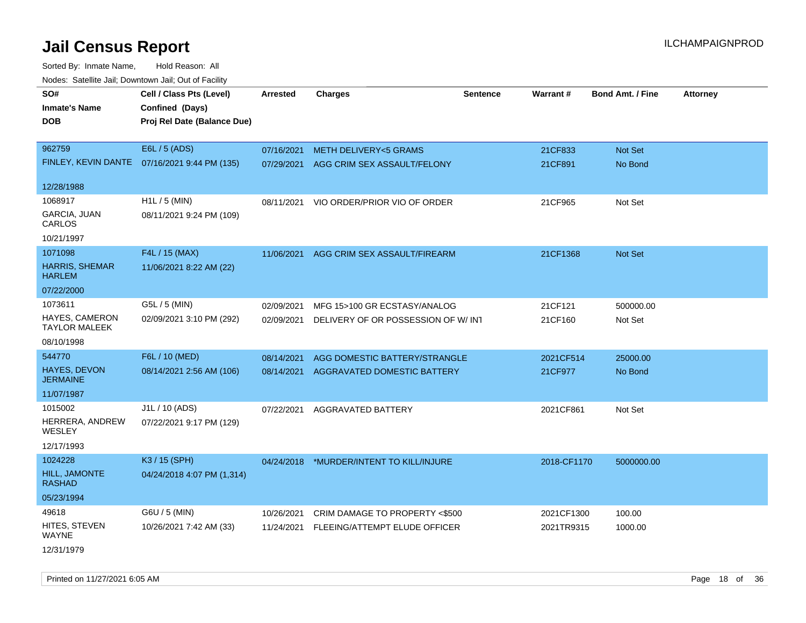Sorted By: Inmate Name, Hold Reason: All Nodes: Satellite Jail; Downtown Jail; Out of Facility

| <u>Rodos.</u> Odiolino dali, Downtown dali, Odi of Fabilit |                                              |                 |                                          |                 |             |                         |                 |
|------------------------------------------------------------|----------------------------------------------|-----------------|------------------------------------------|-----------------|-------------|-------------------------|-----------------|
| SO#                                                        | Cell / Class Pts (Level)                     | <b>Arrested</b> | <b>Charges</b>                           | <b>Sentence</b> | Warrant#    | <b>Bond Amt. / Fine</b> | <b>Attorney</b> |
| <b>Inmate's Name</b>                                       | Confined (Days)                              |                 |                                          |                 |             |                         |                 |
| <b>DOB</b>                                                 | Proj Rel Date (Balance Due)                  |                 |                                          |                 |             |                         |                 |
|                                                            |                                              |                 |                                          |                 |             |                         |                 |
| 962759                                                     | E6L / 5 (ADS)                                | 07/16/2021      | <b>METH DELIVERY&lt;5 GRAMS</b>          |                 | 21CF833     | Not Set                 |                 |
|                                                            | FINLEY, KEVIN DANTE 07/16/2021 9:44 PM (135) | 07/29/2021      | AGG CRIM SEX ASSAULT/FELONY              |                 | 21CF891     | No Bond                 |                 |
|                                                            |                                              |                 |                                          |                 |             |                         |                 |
| 12/28/1988                                                 |                                              |                 |                                          |                 |             |                         |                 |
| 1068917                                                    | $H1L / 5$ (MIN)                              | 08/11/2021      | VIO ORDER/PRIOR VIO OF ORDER             |                 | 21CF965     | Not Set                 |                 |
| GARCIA, JUAN<br>CARLOS                                     | 08/11/2021 9:24 PM (109)                     |                 |                                          |                 |             |                         |                 |
| 10/21/1997                                                 |                                              |                 |                                          |                 |             |                         |                 |
| 1071098                                                    | F4L / 15 (MAX)                               | 11/06/2021      | AGG CRIM SEX ASSAULT/FIREARM             |                 | 21CF1368    | Not Set                 |                 |
| <b>HARRIS, SHEMAR</b><br><b>HARLEM</b>                     | 11/06/2021 8:22 AM (22)                      |                 |                                          |                 |             |                         |                 |
| 07/22/2000                                                 |                                              |                 |                                          |                 |             |                         |                 |
| 1073611                                                    | G5L / 5 (MIN)                                | 02/09/2021      | MFG 15>100 GR ECSTASY/ANALOG             |                 | 21CF121     | 500000.00               |                 |
| <b>HAYES, CAMERON</b>                                      | 02/09/2021 3:10 PM (292)                     | 02/09/2021      | DELIVERY OF OR POSSESSION OF W/ INT      |                 | 21CF160     | Not Set                 |                 |
| <b>TAYLOR MALEEK</b>                                       |                                              |                 |                                          |                 |             |                         |                 |
| 08/10/1998                                                 |                                              |                 |                                          |                 |             |                         |                 |
| 544770                                                     | F6L / 10 (MED)                               | 08/14/2021      | AGG DOMESTIC BATTERY/STRANGLE            |                 | 2021CF514   | 25000.00                |                 |
| <b>HAYES, DEVON</b><br><b>JERMAINE</b>                     | 08/14/2021 2:56 AM (106)                     | 08/14/2021      | AGGRAVATED DOMESTIC BATTERY              |                 | 21CF977     | No Bond                 |                 |
| 11/07/1987                                                 |                                              |                 |                                          |                 |             |                         |                 |
| 1015002                                                    | J1L / 10 (ADS)                               | 07/22/2021      | AGGRAVATED BATTERY                       |                 | 2021CF861   | Not Set                 |                 |
| HERRERA, ANDREW<br>WESLEY                                  | 07/22/2021 9:17 PM (129)                     |                 |                                          |                 |             |                         |                 |
| 12/17/1993                                                 |                                              |                 |                                          |                 |             |                         |                 |
| 1024228                                                    | K3 / 15 (SPH)                                |                 | 04/24/2018 *MURDER/INTENT TO KILL/INJURE |                 | 2018-CF1170 | 5000000.00              |                 |
| HILL, JAMONTE<br><b>RASHAD</b>                             | 04/24/2018 4:07 PM (1,314)                   |                 |                                          |                 |             |                         |                 |
| 05/23/1994                                                 |                                              |                 |                                          |                 |             |                         |                 |
| 49618                                                      | G6U / 5 (MIN)                                | 10/26/2021      | CRIM DAMAGE TO PROPERTY <\$500           |                 | 2021CF1300  | 100.00                  |                 |
| HITES, STEVEN<br>WAYNE                                     | 10/26/2021 7:42 AM (33)                      | 11/24/2021      | FLEEING/ATTEMPT ELUDE OFFICER            |                 | 2021TR9315  | 1000.00                 |                 |
| 12/31/1979                                                 |                                              |                 |                                          |                 |             |                         |                 |

Printed on 11/27/2021 6:05 AM **Page 18** of 36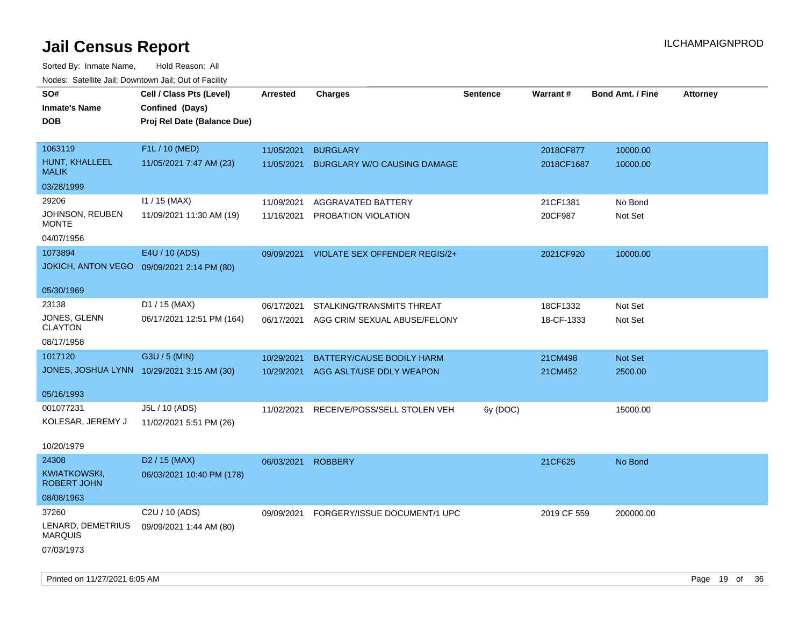Sorted By: Inmate Name, Hold Reason: All Nodes: Satellite Jail; Downtown Jail; Out of Facility

| Nuuts. Saltiille Jall, Downlown Jall, Oul of Facility |                                            |                 |                                    |                 |             |                         |                 |
|-------------------------------------------------------|--------------------------------------------|-----------------|------------------------------------|-----------------|-------------|-------------------------|-----------------|
| SO#                                                   | Cell / Class Pts (Level)                   | <b>Arrested</b> | <b>Charges</b>                     | <b>Sentence</b> | Warrant#    | <b>Bond Amt. / Fine</b> | <b>Attorney</b> |
| <b>Inmate's Name</b>                                  | Confined (Days)                            |                 |                                    |                 |             |                         |                 |
| <b>DOB</b>                                            | Proj Rel Date (Balance Due)                |                 |                                    |                 |             |                         |                 |
|                                                       |                                            |                 |                                    |                 |             |                         |                 |
| 1063119                                               | F1L / 10 (MED)                             | 11/05/2021      | <b>BURGLARY</b>                    |                 | 2018CF877   | 10000.00                |                 |
| HUNT, KHALLEEL<br><b>MALIK</b>                        | 11/05/2021 7:47 AM (23)                    | 11/05/2021      | <b>BURGLARY W/O CAUSING DAMAGE</b> |                 | 2018CF1687  | 10000.00                |                 |
| 03/28/1999                                            |                                            |                 |                                    |                 |             |                         |                 |
| 29206                                                 | $11 / 15$ (MAX)                            | 11/09/2021      | AGGRAVATED BATTERY                 |                 | 21CF1381    | No Bond                 |                 |
| JOHNSON, REUBEN<br><b>MONTE</b>                       | 11/09/2021 11:30 AM (19)                   | 11/16/2021      | PROBATION VIOLATION                |                 | 20CF987     | Not Set                 |                 |
| 04/07/1956                                            |                                            |                 |                                    |                 |             |                         |                 |
| 1073894                                               | E4U / 10 (ADS)                             | 09/09/2021      | VIOLATE SEX OFFENDER REGIS/2+      |                 | 2021CF920   | 10000.00                |                 |
| <b>JOKICH, ANTON VEGO</b>                             | 09/09/2021 2:14 PM (80)                    |                 |                                    |                 |             |                         |                 |
|                                                       |                                            |                 |                                    |                 |             |                         |                 |
| 05/30/1969                                            |                                            |                 |                                    |                 |             |                         |                 |
| 23138                                                 | D1 / 15 (MAX)                              | 06/17/2021      | STALKING/TRANSMITS THREAT          |                 | 18CF1332    | Not Set                 |                 |
| JONES, GLENN                                          | 06/17/2021 12:51 PM (164)                  | 06/17/2021      | AGG CRIM SEXUAL ABUSE/FELONY       |                 | 18-CF-1333  | Not Set                 |                 |
| <b>CLAYTON</b>                                        |                                            |                 |                                    |                 |             |                         |                 |
| 08/17/1958                                            |                                            |                 |                                    |                 |             |                         |                 |
| 1017120                                               | G3U / 5 (MIN)                              | 10/29/2021      | BATTERY/CAUSE BODILY HARM          |                 | 21CM498     | Not Set                 |                 |
|                                                       | JONES, JOSHUA LYNN 10/29/2021 3:15 AM (30) | 10/29/2021      | AGG ASLT/USE DDLY WEAPON           |                 | 21CM452     | 2500.00                 |                 |
| 05/16/1993                                            |                                            |                 |                                    |                 |             |                         |                 |
| 001077231                                             | J5L / 10 (ADS)                             | 11/02/2021      | RECEIVE/POSS/SELL STOLEN VEH       | 6y (DOC)        |             | 15000.00                |                 |
| KOLESAR, JEREMY J                                     | 11/02/2021 5:51 PM (26)                    |                 |                                    |                 |             |                         |                 |
|                                                       |                                            |                 |                                    |                 |             |                         |                 |
| 10/20/1979                                            |                                            |                 |                                    |                 |             |                         |                 |
| 24308                                                 | D <sub>2</sub> / 15 (MAX)                  | 06/03/2021      | <b>ROBBERY</b>                     |                 | 21CF625     | No Bond                 |                 |
| KWIATKOWSKI,<br><b>ROBERT JOHN</b>                    | 06/03/2021 10:40 PM (178)                  |                 |                                    |                 |             |                         |                 |
| 08/08/1963                                            |                                            |                 |                                    |                 |             |                         |                 |
| 37260                                                 | C2U / 10 (ADS)                             | 09/09/2021      | FORGERY/ISSUE DOCUMENT/1 UPC       |                 | 2019 CF 559 | 200000.00               |                 |
| LENARD, DEMETRIUS<br><b>MARQUIS</b>                   | 09/09/2021 1:44 AM (80)                    |                 |                                    |                 |             |                         |                 |
| 07/03/1973                                            |                                            |                 |                                    |                 |             |                         |                 |

Printed on 11/27/2021 6:05 AM **Page 19 of 36**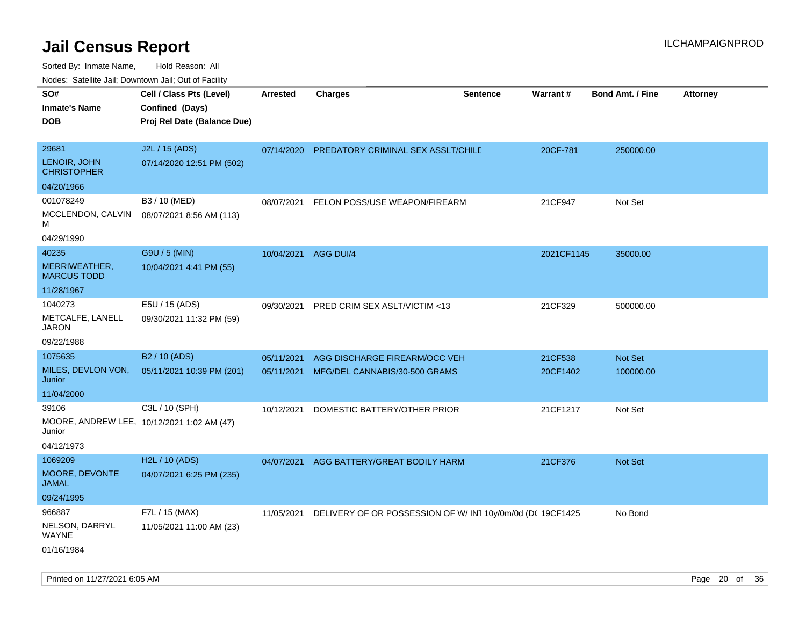Sorted By: Inmate Name, Hold Reason: All

|  | Nodes: Satellite Jail; Downtown Jail; Out of Facility |  |  |  |
|--|-------------------------------------------------------|--|--|--|
|--|-------------------------------------------------------|--|--|--|

| SO#<br><b>Inmate's Name</b><br><b>DOB</b> | Cell / Class Pts (Level)<br>Confined (Days)<br>Proj Rel Date (Balance Due) | <b>Arrested</b> | <b>Charges</b>                                                        | <b>Sentence</b> | <b>Warrant#</b> | <b>Bond Amt. / Fine</b> | Attorney |
|-------------------------------------------|----------------------------------------------------------------------------|-----------------|-----------------------------------------------------------------------|-----------------|-----------------|-------------------------|----------|
| 29681                                     | J2L / 15 (ADS)                                                             | 07/14/2020      | PREDATORY CRIMINAL SEX ASSLT/CHILE                                    |                 | 20CF-781        | 250000.00               |          |
| LENOIR, JOHN<br><b>CHRISTOPHER</b>        | 07/14/2020 12:51 PM (502)                                                  |                 |                                                                       |                 |                 |                         |          |
| 04/20/1966                                |                                                                            |                 |                                                                       |                 |                 |                         |          |
| 001078249                                 | B3 / 10 (MED)                                                              | 08/07/2021      | FELON POSS/USE WEAPON/FIREARM                                         |                 | 21CF947         | Not Set                 |          |
| MCCLENDON, CALVIN<br>M                    | 08/07/2021 8:56 AM (113)                                                   |                 |                                                                       |                 |                 |                         |          |
| 04/29/1990                                |                                                                            |                 |                                                                       |                 |                 |                         |          |
| 40235                                     | G9U / 5 (MIN)                                                              | 10/04/2021      | AGG DUI/4                                                             |                 | 2021CF1145      | 35000.00                |          |
| MERRIWEATHER,<br><b>MARCUS TODD</b>       | 10/04/2021 4:41 PM (55)                                                    |                 |                                                                       |                 |                 |                         |          |
| 11/28/1967                                |                                                                            |                 |                                                                       |                 |                 |                         |          |
| 1040273                                   | E5U / 15 (ADS)                                                             | 09/30/2021      | PRED CRIM SEX ASLT/VICTIM <13                                         |                 | 21CF329         | 500000.00               |          |
| METCALFE, LANELL<br><b>JARON</b>          | 09/30/2021 11:32 PM (59)                                                   |                 |                                                                       |                 |                 |                         |          |
| 09/22/1988                                |                                                                            |                 |                                                                       |                 |                 |                         |          |
| 1075635                                   | B <sub>2</sub> / 10 (ADS)                                                  | 05/11/2021      | AGG DISCHARGE FIREARM/OCC VEH                                         |                 | 21CF538         | Not Set                 |          |
| MILES, DEVLON VON,<br>Junior              | 05/11/2021 10:39 PM (201)                                                  | 05/11/2021      | MFG/DEL CANNABIS/30-500 GRAMS                                         |                 | 20CF1402        | 100000.00               |          |
| 11/04/2000                                |                                                                            |                 |                                                                       |                 |                 |                         |          |
| 39106                                     | C3L / 10 (SPH)                                                             | 10/12/2021      | DOMESTIC BATTERY/OTHER PRIOR                                          |                 | 21CF1217        | Not Set                 |          |
| Junior                                    | MOORE, ANDREW LEE, 10/12/2021 1:02 AM (47)                                 |                 |                                                                       |                 |                 |                         |          |
| 04/12/1973                                |                                                                            |                 |                                                                       |                 |                 |                         |          |
| 1069209                                   | H2L / 10 (ADS)                                                             | 04/07/2021      | AGG BATTERY/GREAT BODILY HARM                                         |                 | 21CF376         | Not Set                 |          |
| MOORE, DEVONTE<br><b>JAMAL</b>            | 04/07/2021 6:25 PM (235)                                                   |                 |                                                                       |                 |                 |                         |          |
| 09/24/1995                                |                                                                            |                 |                                                                       |                 |                 |                         |          |
| 966887                                    | F7L / 15 (MAX)                                                             |                 | 11/05/2021 DELIVERY OF OR POSSESSION OF W/ IN1 10y/0m/0d (DC 19CF1425 |                 |                 | No Bond                 |          |
| NELSON, DARRYL<br><b>WAYNE</b>            | 11/05/2021 11:00 AM (23)                                                   |                 |                                                                       |                 |                 |                         |          |
| 01/16/1984                                |                                                                            |                 |                                                                       |                 |                 |                         |          |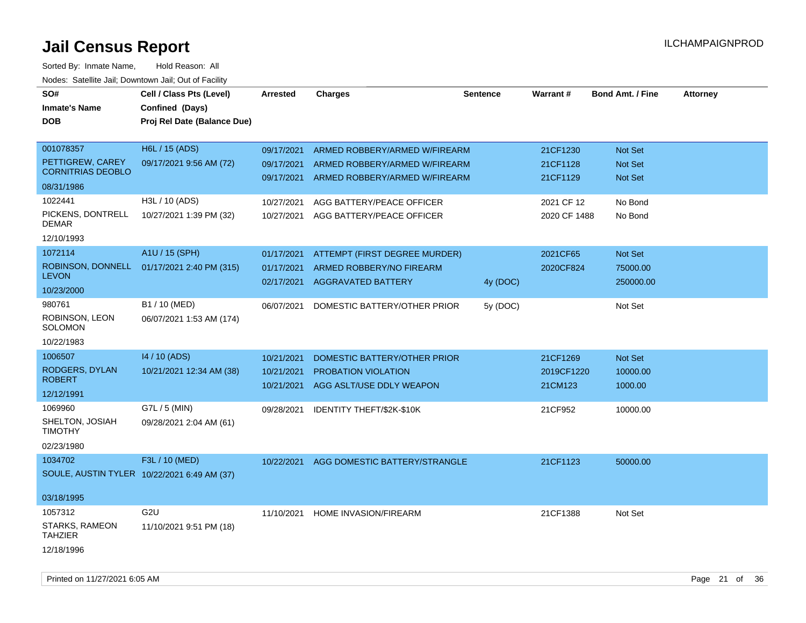| SO#                                         | Cell / Class Pts (Level)    | <b>Arrested</b>          | <b>Charges</b>                                         | <b>Sentence</b> | Warrant#                   | <b>Bond Amt. / Fine</b> | <b>Attorney</b> |
|---------------------------------------------|-----------------------------|--------------------------|--------------------------------------------------------|-----------------|----------------------------|-------------------------|-----------------|
| <b>Inmate's Name</b>                        | Confined (Days)             |                          |                                                        |                 |                            |                         |                 |
| DOB                                         | Proj Rel Date (Balance Due) |                          |                                                        |                 |                            |                         |                 |
| 001078357                                   | H6L / 15 (ADS)              | 09/17/2021               | ARMED ROBBERY/ARMED W/FIREARM                          |                 | 21CF1230                   | <b>Not Set</b>          |                 |
| PETTIGREW, CAREY                            | 09/17/2021 9:56 AM (72)     | 09/17/2021               | ARMED ROBBERY/ARMED W/FIREARM                          |                 | 21CF1128                   | Not Set                 |                 |
| <b>CORNITRIAS DEOBLO</b><br>08/31/1986      |                             | 09/17/2021               | ARMED ROBBERY/ARMED W/FIREARM                          |                 | 21CF1129                   | <b>Not Set</b>          |                 |
| 1022441                                     | H3L / 10 (ADS)              |                          |                                                        |                 |                            |                         |                 |
| PICKENS, DONTRELL                           | 10/27/2021 1:39 PM (32)     | 10/27/2021<br>10/27/2021 | AGG BATTERY/PEACE OFFICER<br>AGG BATTERY/PEACE OFFICER |                 | 2021 CF 12<br>2020 CF 1488 | No Bond<br>No Bond      |                 |
| DEMAR                                       |                             |                          |                                                        |                 |                            |                         |                 |
| 12/10/1993                                  |                             |                          |                                                        |                 |                            |                         |                 |
| 1072114                                     | A1U / 15 (SPH)              | 01/17/2021               | ATTEMPT (FIRST DEGREE MURDER)                          |                 | 2021CF65                   | <b>Not Set</b>          |                 |
| ROBINSON, DONNELL                           | 01/17/2021 2:40 PM (315)    | 01/17/2021               | ARMED ROBBERY/NO FIREARM                               |                 | 2020CF824                  | 75000.00                |                 |
| <b>LEVON</b><br>10/23/2000                  |                             | 02/17/2021               | <b>AGGRAVATED BATTERY</b>                              | 4y (DOC)        |                            | 250000.00               |                 |
| 980761                                      | B1 / 10 (MED)               |                          |                                                        |                 |                            |                         |                 |
| ROBINSON, LEON                              | 06/07/2021 1:53 AM (174)    | 06/07/2021               | DOMESTIC BATTERY/OTHER PRIOR                           | 5y (DOC)        |                            | Not Set                 |                 |
| SOLOMON                                     |                             |                          |                                                        |                 |                            |                         |                 |
| 10/22/1983                                  |                             |                          |                                                        |                 |                            |                         |                 |
| 1006507                                     | 14 / 10 (ADS)               | 10/21/2021               | DOMESTIC BATTERY/OTHER PRIOR                           |                 | 21CF1269                   | <b>Not Set</b>          |                 |
| RODGERS, DYLAN<br><b>ROBERT</b>             | 10/21/2021 12:34 AM (38)    | 10/21/2021               | PROBATION VIOLATION                                    |                 | 2019CF1220                 | 10000.00                |                 |
| 12/12/1991                                  |                             | 10/21/2021               | AGG ASLT/USE DDLY WEAPON                               |                 | 21CM123                    | 1000.00                 |                 |
| 1069960                                     | G7L / 5 (MIN)               | 09/28/2021               | IDENTITY THEFT/\$2K-\$10K                              |                 | 21CF952                    | 10000.00                |                 |
| SHELTON, JOSIAH                             | 09/28/2021 2:04 AM (61)     |                          |                                                        |                 |                            |                         |                 |
| <b>TIMOTHY</b>                              |                             |                          |                                                        |                 |                            |                         |                 |
| 02/23/1980                                  |                             |                          |                                                        |                 |                            |                         |                 |
| 1034702                                     | F3L / 10 (MED)              | 10/22/2021               | AGG DOMESTIC BATTERY/STRANGLE                          |                 | 21CF1123                   | 50000.00                |                 |
| SOULE, AUSTIN TYLER 10/22/2021 6:49 AM (37) |                             |                          |                                                        |                 |                            |                         |                 |
| 03/18/1995                                  |                             |                          |                                                        |                 |                            |                         |                 |
| 1057312                                     | G <sub>2U</sub>             | 11/10/2021               | <b>HOME INVASION/FIREARM</b>                           |                 | 21CF1388                   | Not Set                 |                 |
| STARKS, RAMEON<br><b>TAHZIER</b>            | 11/10/2021 9:51 PM (18)     |                          |                                                        |                 |                            |                         |                 |
| 12/18/1996                                  |                             |                          |                                                        |                 |                            |                         |                 |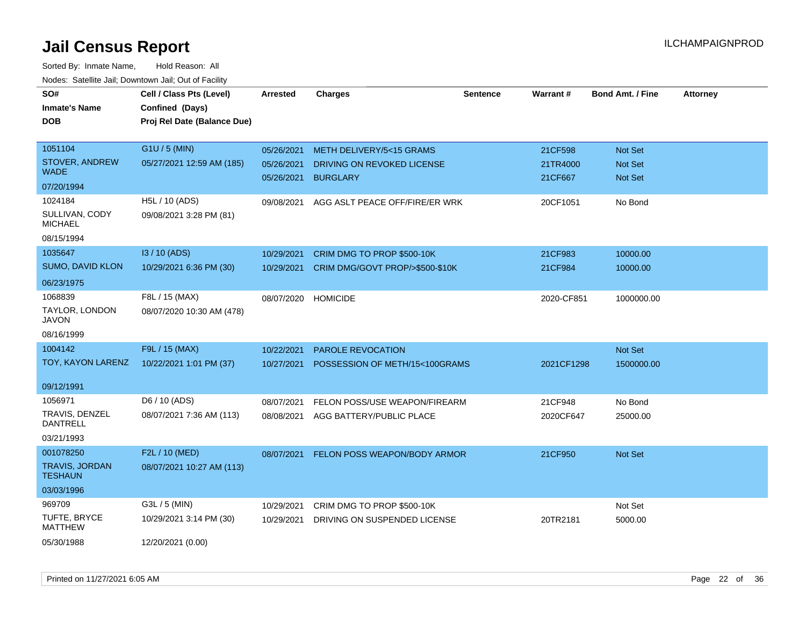| SO#<br>Inmate's Name<br><b>DOB</b>      | Cell / Class Pts (Level)<br>Confined (Days)<br>Proj Rel Date (Balance Due) | <b>Arrested</b>          | <b>Charges</b>                                | <b>Sentence</b> | Warrant#            | <b>Bond Amt. / Fine</b> | <b>Attorney</b> |
|-----------------------------------------|----------------------------------------------------------------------------|--------------------------|-----------------------------------------------|-----------------|---------------------|-------------------------|-----------------|
| 1051104                                 | G1U / 5 (MIN)                                                              |                          |                                               |                 |                     |                         |                 |
| STOVER, ANDREW                          | 05/27/2021 12:59 AM (185)                                                  | 05/26/2021               | <b>METH DELIVERY/5&lt;15 GRAMS</b>            |                 | 21CF598             | Not Set                 |                 |
| <b>WADE</b>                             |                                                                            | 05/26/2021<br>05/26/2021 | DRIVING ON REVOKED LICENSE<br><b>BURGLARY</b> |                 | 21TR4000<br>21CF667 | <b>Not Set</b>          |                 |
| 07/20/1994                              |                                                                            |                          |                                               |                 |                     | Not Set                 |                 |
| 1024184                                 | H5L / 10 (ADS)                                                             | 09/08/2021               | AGG ASLT PEACE OFF/FIRE/ER WRK                |                 | 20CF1051            | No Bond                 |                 |
| SULLIVAN, CODY<br><b>MICHAEL</b>        | 09/08/2021 3:28 PM (81)                                                    |                          |                                               |                 |                     |                         |                 |
| 08/15/1994                              |                                                                            |                          |                                               |                 |                     |                         |                 |
| 1035647                                 | I3 / 10 (ADS)                                                              | 10/29/2021               | CRIM DMG TO PROP \$500-10K                    |                 | 21CF983             | 10000.00                |                 |
| SUMO, DAVID KLON                        | 10/29/2021 6:36 PM (30)                                                    | 10/29/2021               | CRIM DMG/GOVT PROP/>\$500-\$10K               |                 | 21CF984             | 10000.00                |                 |
| 06/23/1975                              |                                                                            |                          |                                               |                 |                     |                         |                 |
| 1068839                                 | F8L / 15 (MAX)                                                             | 08/07/2020               | <b>HOMICIDE</b>                               |                 | 2020-CF851          | 1000000.00              |                 |
| TAYLOR, LONDON<br><b>JAVON</b>          | 08/07/2020 10:30 AM (478)                                                  |                          |                                               |                 |                     |                         |                 |
| 08/16/1999                              |                                                                            |                          |                                               |                 |                     |                         |                 |
| 1004142                                 | F9L / 15 (MAX)                                                             | 10/22/2021               | <b>PAROLE REVOCATION</b>                      |                 |                     | Not Set                 |                 |
| TOY, KAYON LARENZ                       | 10/22/2021 1:01 PM (37)                                                    | 10/27/2021               | POSSESSION OF METH/15<100GRAMS                |                 | 2021CF1298          | 1500000.00              |                 |
| 09/12/1991                              |                                                                            |                          |                                               |                 |                     |                         |                 |
| 1056971                                 | D6 / 10 (ADS)                                                              | 08/07/2021               | FELON POSS/USE WEAPON/FIREARM                 |                 | 21CF948             | No Bond                 |                 |
| TRAVIS, DENZEL<br><b>DANTRELL</b>       | 08/07/2021 7:36 AM (113)                                                   | 08/08/2021               | AGG BATTERY/PUBLIC PLACE                      |                 | 2020CF647           | 25000.00                |                 |
| 03/21/1993                              |                                                                            |                          |                                               |                 |                     |                         |                 |
| 001078250                               | F2L / 10 (MED)                                                             | 08/07/2021               | FELON POSS WEAPON/BODY ARMOR                  |                 | 21CF950             | Not Set                 |                 |
| <b>TRAVIS, JORDAN</b><br><b>TESHAUN</b> | 08/07/2021 10:27 AM (113)                                                  |                          |                                               |                 |                     |                         |                 |
| 03/03/1996                              |                                                                            |                          |                                               |                 |                     |                         |                 |
| 969709                                  | G3L / 5 (MIN)                                                              | 10/29/2021               | CRIM DMG TO PROP \$500-10K                    |                 |                     | Not Set                 |                 |
| TUFTE, BRYCE<br><b>MATTHEW</b>          | 10/29/2021 3:14 PM (30)                                                    | 10/29/2021               | DRIVING ON SUSPENDED LICENSE                  |                 | 20TR2181            | 5000.00                 |                 |
| 05/30/1988                              | 12/20/2021 (0.00)                                                          |                          |                                               |                 |                     |                         |                 |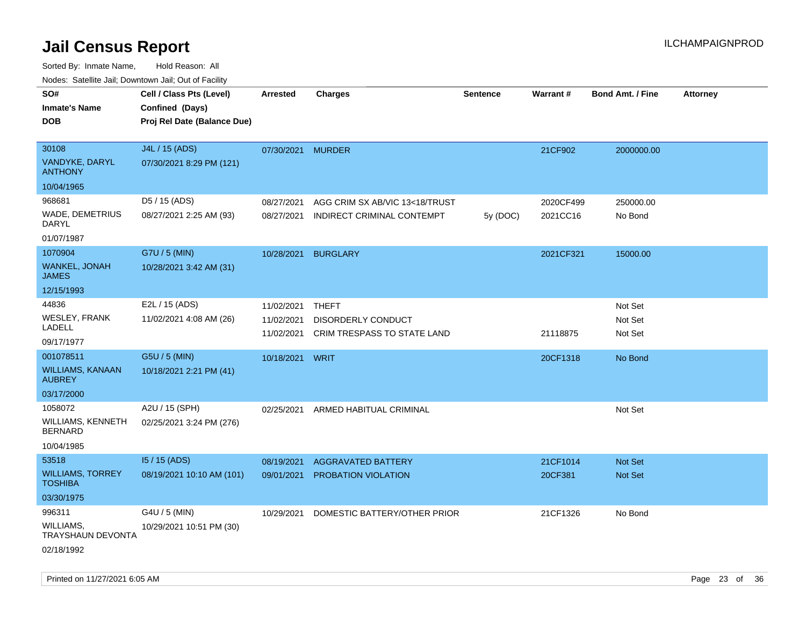Sorted By: Inmate Name, Hold Reason: All Nodes: Satellite Jail; Downtown Jail; Out of Facility

| ivodes. Satellite Jali, Downtown Jali, Out of Facility |                             |                   |                                |                 |                 |                         |                 |
|--------------------------------------------------------|-----------------------------|-------------------|--------------------------------|-----------------|-----------------|-------------------------|-----------------|
| SO#                                                    | Cell / Class Pts (Level)    | Arrested          | <b>Charges</b>                 | <b>Sentence</b> | <b>Warrant#</b> | <b>Bond Amt. / Fine</b> | <b>Attorney</b> |
| <b>Inmate's Name</b>                                   | Confined (Days)             |                   |                                |                 |                 |                         |                 |
| <b>DOB</b>                                             | Proj Rel Date (Balance Due) |                   |                                |                 |                 |                         |                 |
|                                                        |                             |                   |                                |                 |                 |                         |                 |
| 30108                                                  | J4L / 15 (ADS)              | 07/30/2021 MURDER |                                |                 | 21CF902         | 2000000.00              |                 |
| VANDYKE, DARYL<br><b>ANTHONY</b>                       | 07/30/2021 8:29 PM (121)    |                   |                                |                 |                 |                         |                 |
| 10/04/1965                                             |                             |                   |                                |                 |                 |                         |                 |
| 968681                                                 | D5 / 15 (ADS)               | 08/27/2021        | AGG CRIM SX AB/VIC 13<18/TRUST |                 | 2020CF499       | 250000.00               |                 |
| WADE, DEMETRIUS<br><b>DARYL</b>                        | 08/27/2021 2:25 AM (93)     | 08/27/2021        | INDIRECT CRIMINAL CONTEMPT     | 5y (DOC)        | 2021CC16        | No Bond                 |                 |
| 01/07/1987                                             |                             |                   |                                |                 |                 |                         |                 |
| 1070904                                                | G7U / 5 (MIN)               | 10/28/2021        | <b>BURGLARY</b>                |                 | 2021CF321       | 15000.00                |                 |
| <b>WANKEL, JONAH</b><br><b>JAMES</b>                   | 10/28/2021 3:42 AM (31)     |                   |                                |                 |                 |                         |                 |
| 12/15/1993                                             |                             |                   |                                |                 |                 |                         |                 |
| 44836                                                  | E2L / 15 (ADS)              | 11/02/2021        | <b>THEFT</b>                   |                 |                 | Not Set                 |                 |
| <b>WESLEY, FRANK</b>                                   | 11/02/2021 4:08 AM (26)     | 11/02/2021        | DISORDERLY CONDUCT             |                 |                 | Not Set                 |                 |
| LADELL                                                 |                             | 11/02/2021        | CRIM TRESPASS TO STATE LAND    |                 | 21118875        | Not Set                 |                 |
| 09/17/1977                                             |                             |                   |                                |                 |                 |                         |                 |
| 001078511                                              | G5U / 5 (MIN)               | 10/18/2021 WRIT   |                                |                 | 20CF1318        | No Bond                 |                 |
| WILLIAMS, KANAAN<br><b>AUBREY</b>                      | 10/18/2021 2:21 PM (41)     |                   |                                |                 |                 |                         |                 |
| 03/17/2000                                             |                             |                   |                                |                 |                 |                         |                 |
| 1058072                                                | A2U / 15 (SPH)              | 02/25/2021        | ARMED HABITUAL CRIMINAL        |                 |                 | Not Set                 |                 |
| WILLIAMS, KENNETH<br><b>BERNARD</b>                    | 02/25/2021 3:24 PM (276)    |                   |                                |                 |                 |                         |                 |
| 10/04/1985                                             |                             |                   |                                |                 |                 |                         |                 |
| 53518                                                  | I5 / 15 (ADS)               | 08/19/2021        | <b>AGGRAVATED BATTERY</b>      |                 | 21CF1014        | <b>Not Set</b>          |                 |
| <b>WILLIAMS, TORREY</b><br><b>TOSHIBA</b>              | 08/19/2021 10:10 AM (101)   | 09/01/2021        | PROBATION VIOLATION            |                 | 20CF381         | Not Set                 |                 |
| 03/30/1975                                             |                             |                   |                                |                 |                 |                         |                 |
| 996311                                                 | G4U / 5 (MIN)               | 10/29/2021        | DOMESTIC BATTERY/OTHER PRIOR   |                 | 21CF1326        | No Bond                 |                 |
| <b>WILLIAMS,</b><br>TRAYSHAUN DEVONTA                  | 10/29/2021 10:51 PM (30)    |                   |                                |                 |                 |                         |                 |
| 02/18/1992                                             |                             |                   |                                |                 |                 |                         |                 |

Printed on 11/27/2021 6:05 AM **Page 23 of 36**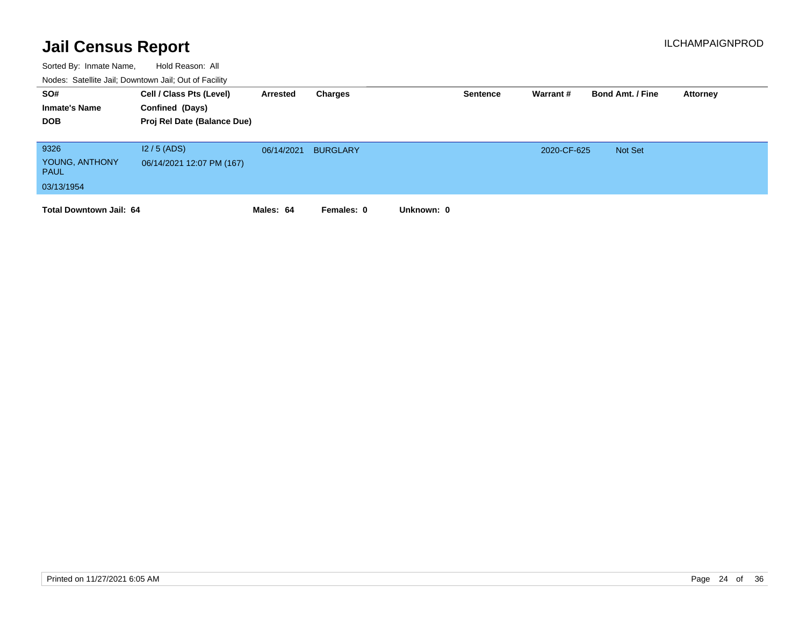| SO#<br><b>Inmate's Name</b><br><b>DOB</b>           | Cell / Class Pts (Level)<br>Confined (Days)<br>Proj Rel Date (Balance Due) | Arrested   | Charges         | <b>Sentence</b> | Warrant #   | <b>Bond Amt. / Fine</b> | Attorney |
|-----------------------------------------------------|----------------------------------------------------------------------------|------------|-----------------|-----------------|-------------|-------------------------|----------|
| 9326<br>YOUNG, ANTHONY<br><b>PAUL</b><br>03/13/1954 | $12/5$ (ADS)<br>06/14/2021 12:07 PM (167)                                  | 06/14/2021 | <b>BURGLARY</b> |                 | 2020-CF-625 | <b>Not Set</b>          |          |
| <b>Total Downtown Jail: 64</b>                      |                                                                            | Males: 64  | Females: 0      | Unknown: 0      |             |                         |          |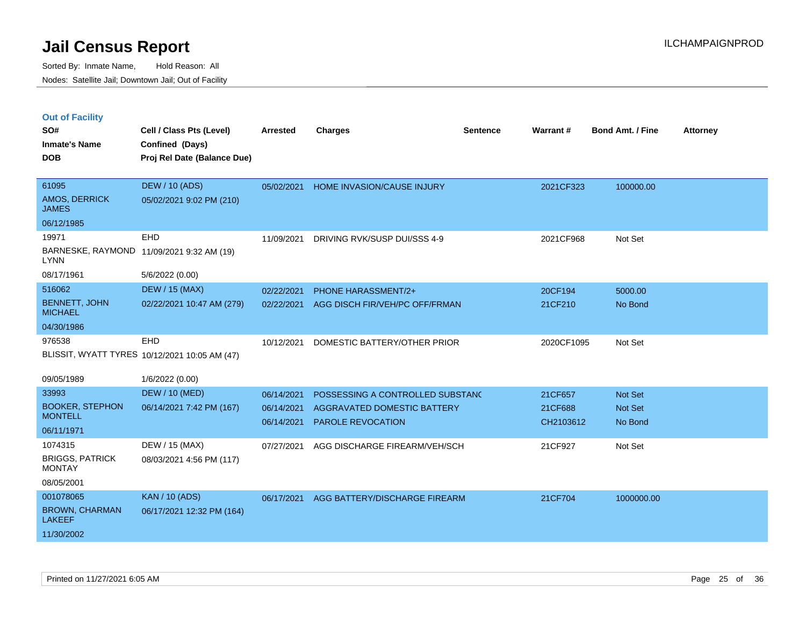|  | <b>Out of Facility</b> |  |
|--|------------------------|--|

| SO#<br><b>Inmate's Name</b><br><b>DOB</b> | Cell / Class Pts (Level)<br>Confined (Days)<br>Proj Rel Date (Balance Due) | <b>Arrested</b>          | <b>Charges</b>                                          | <b>Sentence</b> | Warrant#             | <b>Bond Amt. / Fine</b> | <b>Attorney</b> |
|-------------------------------------------|----------------------------------------------------------------------------|--------------------------|---------------------------------------------------------|-----------------|----------------------|-------------------------|-----------------|
| 61095<br>AMOS, DERRICK<br><b>JAMES</b>    | <b>DEW / 10 (ADS)</b><br>05/02/2021 9:02 PM (210)                          | 05/02/2021               | HOME INVASION/CAUSE INJURY                              |                 | 2021CF323            | 100000.00               |                 |
| 06/12/1985                                |                                                                            |                          |                                                         |                 |                      |                         |                 |
| 19971<br><b>LYNN</b>                      | EHD<br>BARNESKE, RAYMOND 11/09/2021 9:32 AM (19)                           | 11/09/2021               | DRIVING RVK/SUSP DUI/SSS 4-9                            |                 | 2021CF968            | Not Set                 |                 |
| 08/17/1961                                | 5/6/2022 (0.00)                                                            |                          |                                                         |                 |                      |                         |                 |
| 516062                                    | <b>DEW / 15 (MAX)</b>                                                      | 02/22/2021               | PHONE HARASSMENT/2+                                     |                 | 20CF194              | 5000.00                 |                 |
| <b>BENNETT, JOHN</b><br><b>MICHAEL</b>    | 02/22/2021 10:47 AM (279)                                                  | 02/22/2021               | AGG DISCH FIR/VEH/PC OFF/FRMAN                          |                 | 21CF210              | No Bond                 |                 |
| 04/30/1986                                |                                                                            |                          |                                                         |                 |                      |                         |                 |
| 976538                                    | EHD<br>BLISSIT, WYATT TYRES 10/12/2021 10:05 AM (47)                       | 10/12/2021               | DOMESTIC BATTERY/OTHER PRIOR                            |                 | 2020CF1095           | Not Set                 |                 |
| 09/05/1989                                | 1/6/2022 (0.00)                                                            |                          |                                                         |                 |                      |                         |                 |
| 33993                                     | <b>DEW / 10 (MED)</b>                                                      | 06/14/2021               | POSSESSING A CONTROLLED SUBSTANC                        |                 | 21CF657              | Not Set                 |                 |
| <b>BOOKER, STEPHON</b><br><b>MONTELL</b>  | 06/14/2021 7:42 PM (167)                                                   | 06/14/2021<br>06/14/2021 | AGGRAVATED DOMESTIC BATTERY<br><b>PAROLE REVOCATION</b> |                 | 21CF688<br>CH2103612 | Not Set<br>No Bond      |                 |
| 06/11/1971                                |                                                                            |                          |                                                         |                 |                      |                         |                 |
| 1074315                                   | DEW / 15 (MAX)                                                             | 07/27/2021               | AGG DISCHARGE FIREARM/VEH/SCH                           |                 | 21CF927              | Not Set                 |                 |
| <b>BRIGGS, PATRICK</b><br><b>MONTAY</b>   | 08/03/2021 4:56 PM (117)                                                   |                          |                                                         |                 |                      |                         |                 |
| 08/05/2001                                |                                                                            |                          |                                                         |                 |                      |                         |                 |
| 001078065                                 | <b>KAN / 10 (ADS)</b>                                                      | 06/17/2021               | AGG BATTERY/DISCHARGE FIREARM                           |                 | 21CF704              | 1000000.00              |                 |
| <b>BROWN, CHARMAN</b><br><b>LAKEEF</b>    | 06/17/2021 12:32 PM (164)                                                  |                          |                                                         |                 |                      |                         |                 |
| 11/30/2002                                |                                                                            |                          |                                                         |                 |                      |                         |                 |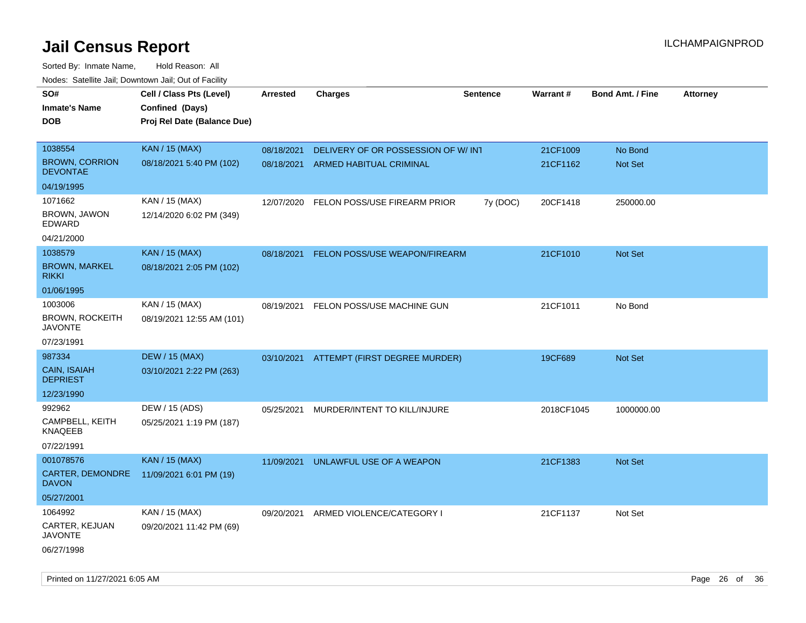| roaco. Catolino dall, Downtown dall, Out of Fability |                             |            |                                          |                 |                 |                         |                 |
|------------------------------------------------------|-----------------------------|------------|------------------------------------------|-----------------|-----------------|-------------------------|-----------------|
| SO#                                                  | Cell / Class Pts (Level)    | Arrested   | <b>Charges</b>                           | <b>Sentence</b> | <b>Warrant#</b> | <b>Bond Amt. / Fine</b> | <b>Attorney</b> |
| <b>Inmate's Name</b>                                 | Confined (Days)             |            |                                          |                 |                 |                         |                 |
| <b>DOB</b>                                           | Proj Rel Date (Balance Due) |            |                                          |                 |                 |                         |                 |
|                                                      |                             |            |                                          |                 |                 |                         |                 |
| 1038554                                              | <b>KAN / 15 (MAX)</b>       | 08/18/2021 | DELIVERY OF OR POSSESSION OF W/INT       |                 | 21CF1009        | No Bond                 |                 |
| <b>BROWN, CORRION</b><br><b>DEVONTAE</b>             | 08/18/2021 5:40 PM (102)    | 08/18/2021 | ARMED HABITUAL CRIMINAL                  |                 | 21CF1162        | Not Set                 |                 |
| 04/19/1995                                           |                             |            |                                          |                 |                 |                         |                 |
| 1071662                                              | KAN / 15 (MAX)              | 12/07/2020 | FELON POSS/USE FIREARM PRIOR             | 7y (DOC)        | 20CF1418        | 250000.00               |                 |
| BROWN, JAWON<br>EDWARD                               | 12/14/2020 6:02 PM (349)    |            |                                          |                 |                 |                         |                 |
| 04/21/2000                                           |                             |            |                                          |                 |                 |                         |                 |
| 1038579                                              | <b>KAN / 15 (MAX)</b>       | 08/18/2021 | <b>FELON POSS/USE WEAPON/FIREARM</b>     |                 | 21CF1010        | Not Set                 |                 |
| <b>BROWN, MARKEL</b><br><b>RIKKI</b>                 | 08/18/2021 2:05 PM (102)    |            |                                          |                 |                 |                         |                 |
| 01/06/1995                                           |                             |            |                                          |                 |                 |                         |                 |
| 1003006                                              | KAN / 15 (MAX)              | 08/19/2021 | FELON POSS/USE MACHINE GUN               |                 | 21CF1011        | No Bond                 |                 |
| <b>BROWN, ROCKEITH</b><br><b>JAVONTE</b>             | 08/19/2021 12:55 AM (101)   |            |                                          |                 |                 |                         |                 |
| 07/23/1991                                           |                             |            |                                          |                 |                 |                         |                 |
| 987334                                               | <b>DEW / 15 (MAX)</b>       |            | 03/10/2021 ATTEMPT (FIRST DEGREE MURDER) |                 | 19CF689         | Not Set                 |                 |
| CAIN, ISAIAH<br><b>DEPRIEST</b>                      | 03/10/2021 2:22 PM (263)    |            |                                          |                 |                 |                         |                 |
| 12/23/1990                                           |                             |            |                                          |                 |                 |                         |                 |
| 992962                                               | DEW / 15 (ADS)              | 05/25/2021 | MURDER/INTENT TO KILL/INJURE             |                 | 2018CF1045      | 1000000.00              |                 |
| CAMPBELL, KEITH<br>KNAQEEB                           | 05/25/2021 1:19 PM (187)    |            |                                          |                 |                 |                         |                 |
| 07/22/1991                                           |                             |            |                                          |                 |                 |                         |                 |
| 001078576                                            | <b>KAN / 15 (MAX)</b>       | 11/09/2021 | UNLAWFUL USE OF A WEAPON                 |                 | 21CF1383        | <b>Not Set</b>          |                 |
| CARTER, DEMONDRE<br><b>DAVON</b>                     | 11/09/2021 6:01 PM (19)     |            |                                          |                 |                 |                         |                 |
| 05/27/2001                                           |                             |            |                                          |                 |                 |                         |                 |
| 1064992                                              | KAN / 15 (MAX)              | 09/20/2021 | ARMED VIOLENCE/CATEGORY I                |                 | 21CF1137        | Not Set                 |                 |
| CARTER, KEJUAN<br>JAVONTE                            | 09/20/2021 11:42 PM (69)    |            |                                          |                 |                 |                         |                 |
| 06/27/1998                                           |                             |            |                                          |                 |                 |                         |                 |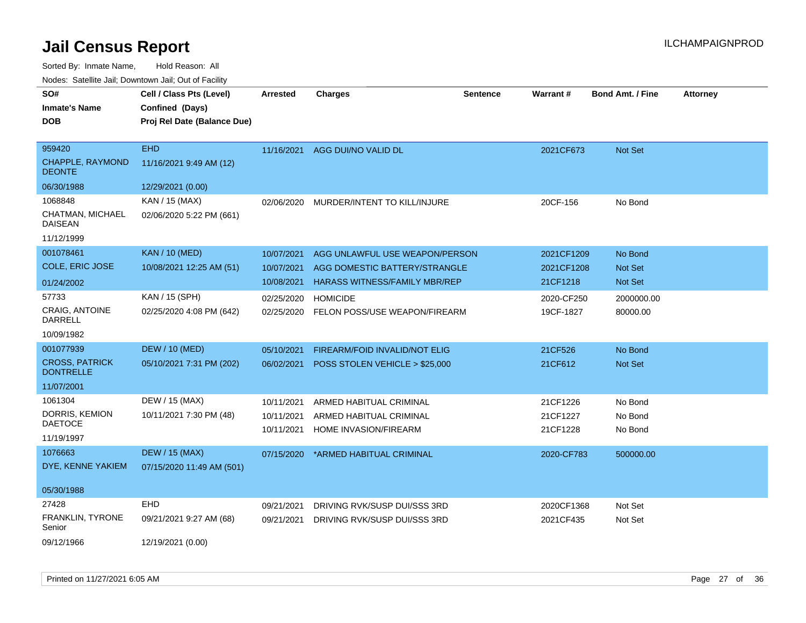| SO#                                       | Cell / Class Pts (Level)    | Arrested   | <b>Charges</b>                            | <b>Sentence</b> | Warrant#   | <b>Bond Amt. / Fine</b> | <b>Attorney</b> |
|-------------------------------------------|-----------------------------|------------|-------------------------------------------|-----------------|------------|-------------------------|-----------------|
| <b>Inmate's Name</b>                      | Confined (Days)             |            |                                           |                 |            |                         |                 |
| <b>DOB</b>                                | Proj Rel Date (Balance Due) |            |                                           |                 |            |                         |                 |
|                                           |                             |            |                                           |                 |            |                         |                 |
| 959420                                    | <b>EHD</b>                  | 11/16/2021 | AGG DUI/NO VALID DL                       |                 | 2021CF673  | Not Set                 |                 |
| <b>CHAPPLE, RAYMOND</b><br><b>DEONTE</b>  | 11/16/2021 9:49 AM (12)     |            |                                           |                 |            |                         |                 |
| 06/30/1988                                | 12/29/2021 (0.00)           |            |                                           |                 |            |                         |                 |
| 1068848                                   | KAN / 15 (MAX)              | 02/06/2020 | MURDER/INTENT TO KILL/INJURE              |                 | 20CF-156   | No Bond                 |                 |
| CHATMAN, MICHAEL<br><b>DAISEAN</b>        | 02/06/2020 5:22 PM (661)    |            |                                           |                 |            |                         |                 |
| 11/12/1999                                |                             |            |                                           |                 |            |                         |                 |
| 001078461                                 | <b>KAN / 10 (MED)</b>       | 10/07/2021 | AGG UNLAWFUL USE WEAPON/PERSON            |                 | 2021CF1209 | No Bond                 |                 |
| COLE, ERIC JOSE                           | 10/08/2021 12:25 AM (51)    | 10/07/2021 | AGG DOMESTIC BATTERY/STRANGLE             |                 | 2021CF1208 | Not Set                 |                 |
| 01/24/2002                                |                             | 10/08/2021 | <b>HARASS WITNESS/FAMILY MBR/REP</b>      |                 | 21CF1218   | <b>Not Set</b>          |                 |
| 57733                                     | KAN / 15 (SPH)              | 02/25/2020 | <b>HOMICIDE</b>                           |                 | 2020-CF250 | 2000000.00              |                 |
| <b>CRAIG. ANTOINE</b><br><b>DARRELL</b>   | 02/25/2020 4:08 PM (642)    |            | 02/25/2020 FELON POSS/USE WEAPON/FIREARM  |                 | 19CF-1827  | 80000.00                |                 |
| 10/09/1982                                |                             |            |                                           |                 |            |                         |                 |
| 001077939                                 | <b>DEW / 10 (MED)</b>       | 05/10/2021 | FIREARM/FOID INVALID/NOT ELIG             |                 | 21CF526    | No Bond                 |                 |
| <b>CROSS, PATRICK</b><br><b>DONTRELLE</b> | 05/10/2021 7:31 PM (202)    |            | 06/02/2021 POSS STOLEN VEHICLE > \$25,000 |                 | 21CF612    | Not Set                 |                 |
| 11/07/2001                                |                             |            |                                           |                 |            |                         |                 |
| 1061304                                   | DEW / 15 (MAX)              | 10/11/2021 | ARMED HABITUAL CRIMINAL                   |                 | 21CF1226   | No Bond                 |                 |
| DORRIS, KEMION                            | 10/11/2021 7:30 PM (48)     | 10/11/2021 | ARMED HABITUAL CRIMINAL                   |                 | 21CF1227   | No Bond                 |                 |
| <b>DAETOCE</b>                            |                             | 10/11/2021 | HOME INVASION/FIREARM                     |                 | 21CF1228   | No Bond                 |                 |
| 11/19/1997                                |                             |            |                                           |                 |            |                         |                 |
| 1076663                                   | <b>DEW / 15 (MAX)</b>       | 07/15/2020 | *ARMED HABITUAL CRIMINAL                  |                 | 2020-CF783 | 500000.00               |                 |
| DYE, KENNE YAKIEM                         | 07/15/2020 11:49 AM (501)   |            |                                           |                 |            |                         |                 |
| 05/30/1988                                |                             |            |                                           |                 |            |                         |                 |
| 27428                                     | <b>EHD</b>                  | 09/21/2021 | DRIVING RVK/SUSP DUI/SSS 3RD              |                 | 2020CF1368 | Not Set                 |                 |
| <b>FRANKLIN, TYRONE</b><br>Senior         | 09/21/2021 9:27 AM (68)     | 09/21/2021 | DRIVING RVK/SUSP DUI/SSS 3RD              |                 | 2021CF435  | Not Set                 |                 |
| 09/12/1966                                | 12/19/2021 (0.00)           |            |                                           |                 |            |                         |                 |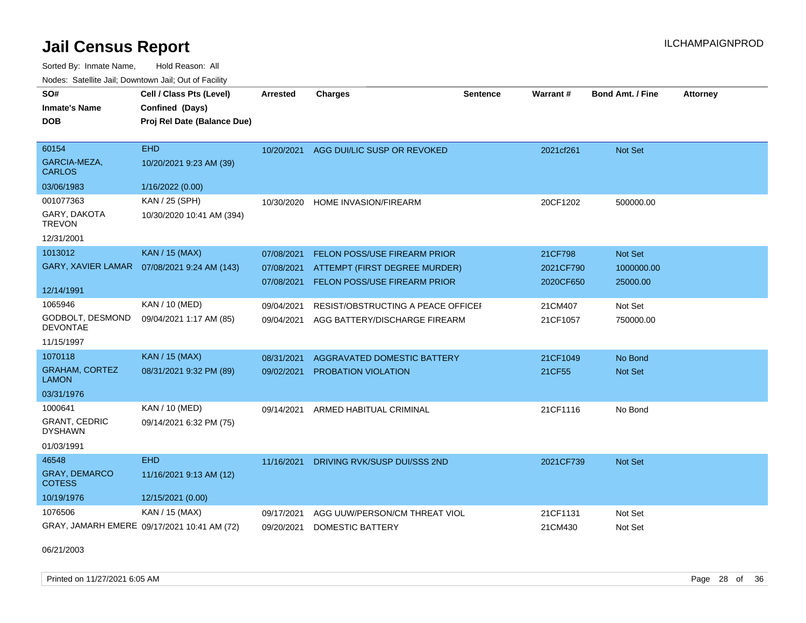Sorted By: Inmate Name, Hold Reason: All

| Nodes: Satellite Jail; Downtown Jail; Out of Facility |                                             |                 |                                        |                 |           |                         |                 |
|-------------------------------------------------------|---------------------------------------------|-----------------|----------------------------------------|-----------------|-----------|-------------------------|-----------------|
| SO#                                                   | Cell / Class Pts (Level)                    | <b>Arrested</b> | <b>Charges</b>                         | <b>Sentence</b> | Warrant#  | <b>Bond Amt. / Fine</b> | <b>Attorney</b> |
| <b>Inmate's Name</b>                                  | Confined (Days)                             |                 |                                        |                 |           |                         |                 |
| <b>DOB</b>                                            | Proj Rel Date (Balance Due)                 |                 |                                        |                 |           |                         |                 |
|                                                       |                                             |                 |                                        |                 |           |                         |                 |
| 60154                                                 | <b>EHD</b>                                  |                 | 10/20/2021 AGG DUI/LIC SUSP OR REVOKED |                 | 2021cf261 | Not Set                 |                 |
| GARCIA-MEZA,<br><b>CARLOS</b>                         | 10/20/2021 9:23 AM (39)                     |                 |                                        |                 |           |                         |                 |
| 03/06/1983                                            | 1/16/2022 (0.00)                            |                 |                                        |                 |           |                         |                 |
| 001077363                                             | KAN / 25 (SPH)                              | 10/30/2020      | <b>HOME INVASION/FIREARM</b>           |                 | 20CF1202  | 500000.00               |                 |
| GARY, DAKOTA<br><b>TREVON</b>                         | 10/30/2020 10:41 AM (394)                   |                 |                                        |                 |           |                         |                 |
| 12/31/2001                                            |                                             |                 |                                        |                 |           |                         |                 |
| 1013012                                               | <b>KAN / 15 (MAX)</b>                       | 07/08/2021      | FELON POSS/USE FIREARM PRIOR           |                 | 21CF798   | Not Set                 |                 |
| <b>GARY, XAVIER LAMAR</b>                             | 07/08/2021 9:24 AM (143)                    | 07/08/2021      | ATTEMPT (FIRST DEGREE MURDER)          |                 | 2021CF790 | 1000000.00              |                 |
|                                                       |                                             | 07/08/2021      | FELON POSS/USE FIREARM PRIOR           |                 | 2020CF650 | 25000.00                |                 |
| 12/14/1991                                            |                                             |                 |                                        |                 |           |                         |                 |
| 1065946                                               | KAN / 10 (MED)                              | 09/04/2021      | RESIST/OBSTRUCTING A PEACE OFFICEI     |                 | 21CM407   | Not Set                 |                 |
| GODBOLT, DESMOND<br><b>DEVONTAE</b>                   | 09/04/2021 1:17 AM (85)                     | 09/04/2021      | AGG BATTERY/DISCHARGE FIREARM          |                 | 21CF1057  | 750000.00               |                 |
| 11/15/1997                                            |                                             |                 |                                        |                 |           |                         |                 |
| 1070118                                               | <b>KAN / 15 (MAX)</b>                       | 08/31/2021      | AGGRAVATED DOMESTIC BATTERY            |                 | 21CF1049  | No Bond                 |                 |
| <b>GRAHAM, CORTEZ</b><br><b>LAMON</b>                 | 08/31/2021 9:32 PM (89)                     | 09/02/2021      | PROBATION VIOLATION                    |                 | 21CF55    | Not Set                 |                 |
| 03/31/1976                                            |                                             |                 |                                        |                 |           |                         |                 |
| 1000641                                               | KAN / 10 (MED)                              | 09/14/2021      | ARMED HABITUAL CRIMINAL                |                 | 21CF1116  | No Bond                 |                 |
| <b>GRANT, CEDRIC</b><br><b>DYSHAWN</b>                | 09/14/2021 6:32 PM (75)                     |                 |                                        |                 |           |                         |                 |
| 01/03/1991                                            |                                             |                 |                                        |                 |           |                         |                 |
| 46548                                                 | <b>EHD</b>                                  | 11/16/2021      | DRIVING RVK/SUSP DUI/SSS 2ND           |                 | 2021CF739 | <b>Not Set</b>          |                 |
| GRAY, DEMARCO<br><b>COTESS</b>                        | 11/16/2021 9:13 AM (12)                     |                 |                                        |                 |           |                         |                 |
| 10/19/1976                                            | 12/15/2021 (0.00)                           |                 |                                        |                 |           |                         |                 |
| 1076506                                               | KAN / 15 (MAX)                              | 09/17/2021      | AGG UUW/PERSON/CM THREAT VIOL          |                 | 21CF1131  | Not Set                 |                 |
|                                                       | GRAY, JAMARH EMERE 09/17/2021 10:41 AM (72) | 09/20/2021      | <b>DOMESTIC BATTERY</b>                |                 | 21CM430   | Not Set                 |                 |

06/21/2003

Printed on 11/27/2021 6:05 AM Page 28 of 36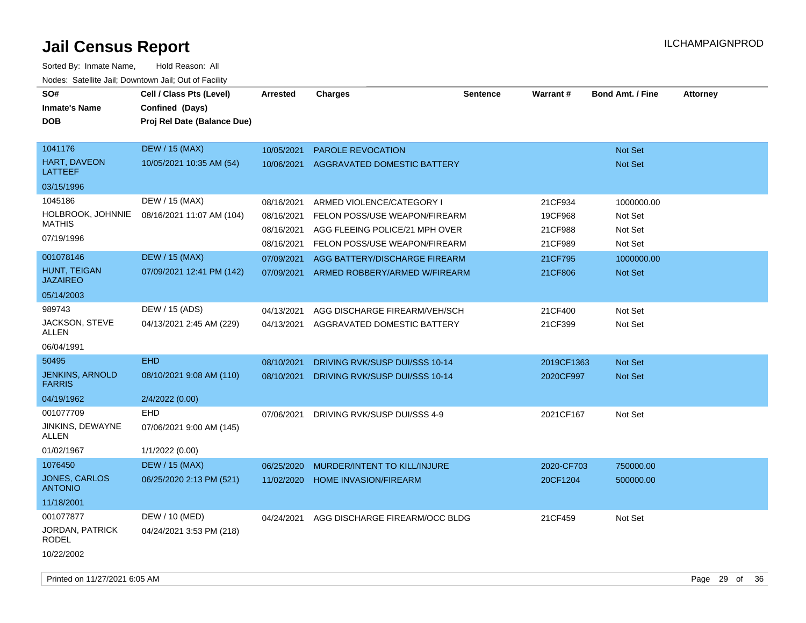| SO#<br><b>Inmate's Name</b><br><b>DOB</b> | Cell / Class Pts (Level)<br>Confined (Days)<br>Proj Rel Date (Balance Due) | <b>Arrested</b> | <b>Charges</b>                 | <b>Sentence</b> | <b>Warrant#</b> | <b>Bond Amt. / Fine</b> | <b>Attorney</b> |
|-------------------------------------------|----------------------------------------------------------------------------|-----------------|--------------------------------|-----------------|-----------------|-------------------------|-----------------|
| 1041176                                   | <b>DEW / 15 (MAX)</b>                                                      | 10/05/2021      | <b>PAROLE REVOCATION</b>       |                 |                 | Not Set                 |                 |
| HART, DAVEON<br><b>LATTEEF</b>            | 10/05/2021 10:35 AM (54)                                                   | 10/06/2021      | AGGRAVATED DOMESTIC BATTERY    |                 |                 | Not Set                 |                 |
| 03/15/1996                                |                                                                            |                 |                                |                 |                 |                         |                 |
| 1045186                                   | DEW / 15 (MAX)                                                             | 08/16/2021      | ARMED VIOLENCE/CATEGORY I      |                 | 21CF934         | 1000000.00              |                 |
| HOLBROOK, JOHNNIE                         | 08/16/2021 11:07 AM (104)                                                  | 08/16/2021      | FELON POSS/USE WEAPON/FIREARM  |                 | 19CF968         | Not Set                 |                 |
| <b>MATHIS</b>                             |                                                                            | 08/16/2021      | AGG FLEEING POLICE/21 MPH OVER |                 | 21CF988         | Not Set                 |                 |
| 07/19/1996                                |                                                                            | 08/16/2021      | FELON POSS/USE WEAPON/FIREARM  |                 | 21CF989         | Not Set                 |                 |
| 001078146                                 | <b>DEW / 15 (MAX)</b>                                                      | 07/09/2021      | AGG BATTERY/DISCHARGE FIREARM  |                 | 21CF795         | 1000000.00              |                 |
| HUNT, TEIGAN<br><b>JAZAIREO</b>           | 07/09/2021 12:41 PM (142)                                                  | 07/09/2021      | ARMED ROBBERY/ARMED W/FIREARM  |                 | 21CF806         | Not Set                 |                 |
| 05/14/2003                                |                                                                            |                 |                                |                 |                 |                         |                 |
| 989743                                    | DEW / 15 (ADS)                                                             | 04/13/2021      | AGG DISCHARGE FIREARM/VEH/SCH  |                 | 21CF400         | Not Set                 |                 |
| JACKSON, STEVE<br>ALLEN                   | 04/13/2021 2:45 AM (229)                                                   | 04/13/2021      | AGGRAVATED DOMESTIC BATTERY    |                 | 21CF399         | Not Set                 |                 |
| 06/04/1991                                |                                                                            |                 |                                |                 |                 |                         |                 |
| 50495                                     | <b>EHD</b>                                                                 | 08/10/2021      | DRIVING RVK/SUSP DUI/SSS 10-14 |                 | 2019CF1363      | Not Set                 |                 |
| <b>JENKINS, ARNOLD</b><br><b>FARRIS</b>   | 08/10/2021 9:08 AM (110)                                                   | 08/10/2021      | DRIVING RVK/SUSP DUI/SSS 10-14 |                 | 2020CF997       | Not Set                 |                 |
| 04/19/1962                                | 2/4/2022 (0.00)                                                            |                 |                                |                 |                 |                         |                 |
| 001077709                                 | <b>EHD</b>                                                                 | 07/06/2021      | DRIVING RVK/SUSP DUI/SSS 4-9   |                 | 2021CF167       | Not Set                 |                 |
| JINKINS, DEWAYNE<br><b>ALLEN</b>          | 07/06/2021 9:00 AM (145)                                                   |                 |                                |                 |                 |                         |                 |
| 01/02/1967                                | 1/1/2022 (0.00)                                                            |                 |                                |                 |                 |                         |                 |
| 1076450                                   | <b>DEW / 15 (MAX)</b>                                                      | 06/25/2020      | MURDER/INTENT TO KILL/INJURE   |                 | 2020-CF703      | 750000.00               |                 |
| <b>JONES, CARLOS</b><br><b>ANTONIO</b>    | 06/25/2020 2:13 PM (521)                                                   | 11/02/2020      | <b>HOME INVASION/FIREARM</b>   |                 | 20CF1204        | 500000.00               |                 |
| 11/18/2001                                |                                                                            |                 |                                |                 |                 |                         |                 |
| 001077877                                 | DEW / 10 (MED)                                                             | 04/24/2021      | AGG DISCHARGE FIREARM/OCC BLDG |                 | 21CF459         | Not Set                 |                 |
| JORDAN, PATRICK<br><b>RODEL</b>           | 04/24/2021 3:53 PM (218)                                                   |                 |                                |                 |                 |                         |                 |
| 10/22/2002                                |                                                                            |                 |                                |                 |                 |                         |                 |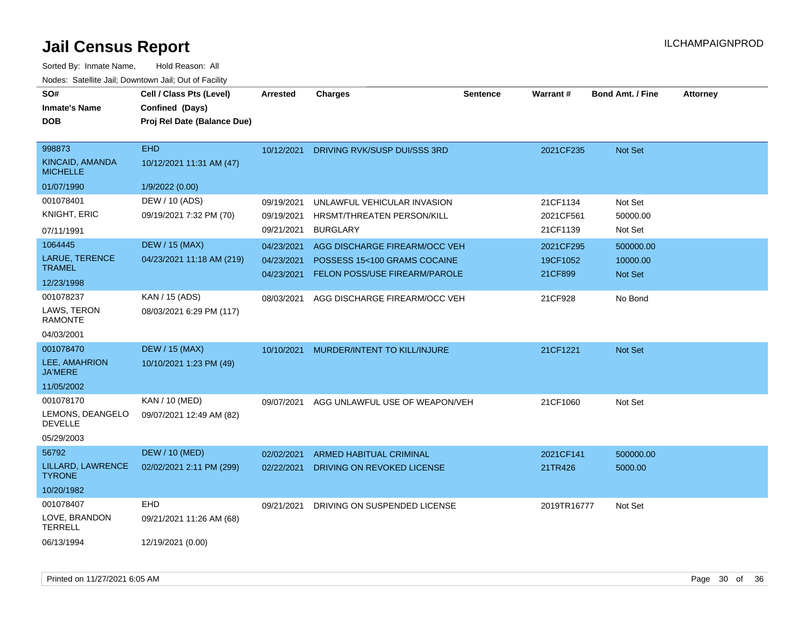| SO#<br><b>Inmate's Name</b><br><b>DOB</b>    | Cell / Class Pts (Level)<br>Confined (Days)<br>Proj Rel Date (Balance Due) | Arrested   | <b>Charges</b>                 | <b>Sentence</b> | Warrant#    | <b>Bond Amt. / Fine</b> | <b>Attorney</b> |
|----------------------------------------------|----------------------------------------------------------------------------|------------|--------------------------------|-----------------|-------------|-------------------------|-----------------|
| 998873<br>KINCAID, AMANDA<br><b>MICHELLE</b> | <b>EHD</b><br>10/12/2021 11:31 AM (47)                                     | 10/12/2021 | DRIVING RVK/SUSP DUI/SSS 3RD   |                 | 2021CF235   | Not Set                 |                 |
| 01/07/1990                                   | 1/9/2022 (0.00)                                                            |            |                                |                 |             |                         |                 |
| 001078401                                    | DEW / 10 (ADS)                                                             | 09/19/2021 | UNLAWFUL VEHICULAR INVASION    |                 | 21CF1134    | Not Set                 |                 |
| <b>KNIGHT, ERIC</b>                          | 09/19/2021 7:32 PM (70)                                                    | 09/19/2021 | HRSMT/THREATEN PERSON/KILL     |                 | 2021CF561   | 50000.00                |                 |
| 07/11/1991                                   |                                                                            | 09/21/2021 | <b>BURGLARY</b>                |                 | 21CF1139    | Not Set                 |                 |
| 1064445                                      | <b>DEW / 15 (MAX)</b>                                                      | 04/23/2021 | AGG DISCHARGE FIREARM/OCC VEH  |                 | 2021CF295   | 500000.00               |                 |
| <b>LARUE, TERENCE</b>                        | 04/23/2021 11:18 AM (219)                                                  | 04/23/2021 | POSSESS 15<100 GRAMS COCAINE   |                 | 19CF1052    | 10000.00                |                 |
| <b>TRAMEL</b>                                |                                                                            | 04/23/2021 | FELON POSS/USE FIREARM/PAROLE  |                 | 21CF899     | Not Set                 |                 |
| 12/23/1998                                   |                                                                            |            |                                |                 |             |                         |                 |
| 001078237                                    | KAN / 15 (ADS)                                                             | 08/03/2021 | AGG DISCHARGE FIREARM/OCC VEH  |                 | 21CF928     | No Bond                 |                 |
| LAWS, TERON<br><b>RAMONTE</b>                | 08/03/2021 6:29 PM (117)                                                   |            |                                |                 |             |                         |                 |
| 04/03/2001                                   |                                                                            |            |                                |                 |             |                         |                 |
| 001078470                                    | <b>DEW / 15 (MAX)</b>                                                      | 10/10/2021 | MURDER/INTENT TO KILL/INJURE   |                 | 21CF1221    | Not Set                 |                 |
| LEE, AMAHRION<br><b>JA'MERE</b>              | 10/10/2021 1:23 PM (49)                                                    |            |                                |                 |             |                         |                 |
| 11/05/2002                                   |                                                                            |            |                                |                 |             |                         |                 |
| 001078170                                    | KAN / 10 (MED)                                                             | 09/07/2021 | AGG UNLAWFUL USE OF WEAPON/VEH |                 | 21CF1060    | Not Set                 |                 |
| LEMONS, DEANGELO<br><b>DEVELLE</b>           | 09/07/2021 12:49 AM (82)                                                   |            |                                |                 |             |                         |                 |
| 05/29/2003                                   |                                                                            |            |                                |                 |             |                         |                 |
| 56792                                        | <b>DEW / 10 (MED)</b>                                                      | 02/02/2021 | <b>ARMED HABITUAL CRIMINAL</b> |                 | 2021CF141   | 500000.00               |                 |
| LILLARD, LAWRENCE<br><b>TYRONE</b>           | 02/02/2021 2:11 PM (299)                                                   | 02/22/2021 | DRIVING ON REVOKED LICENSE     |                 | 21TR426     | 5000.00                 |                 |
| 10/20/1982                                   |                                                                            |            |                                |                 |             |                         |                 |
| 001078407                                    | <b>EHD</b>                                                                 | 09/21/2021 | DRIVING ON SUSPENDED LICENSE   |                 | 2019TR16777 | Not Set                 |                 |
| LOVE, BRANDON<br><b>TERRELL</b>              | 09/21/2021 11:26 AM (68)                                                   |            |                                |                 |             |                         |                 |
| 06/13/1994                                   | 12/19/2021 (0.00)                                                          |            |                                |                 |             |                         |                 |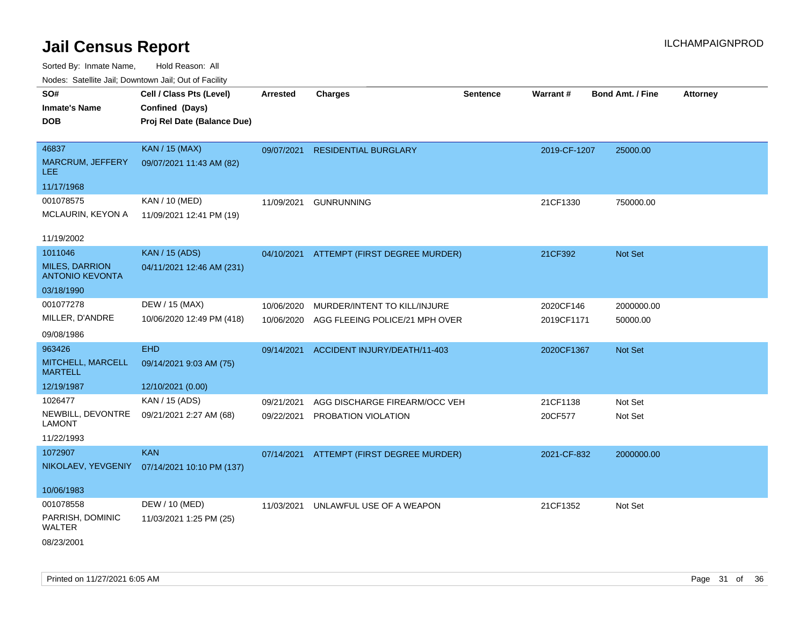| Noues. Salemie Jan, Downtown Jan, Out of Facility |                             |                 |                                          |                 |                 |                         |                 |
|---------------------------------------------------|-----------------------------|-----------------|------------------------------------------|-----------------|-----------------|-------------------------|-----------------|
| SO#                                               | Cell / Class Pts (Level)    | <b>Arrested</b> | <b>Charges</b>                           | <b>Sentence</b> | <b>Warrant#</b> | <b>Bond Amt. / Fine</b> | <b>Attorney</b> |
| <b>Inmate's Name</b>                              | Confined (Days)             |                 |                                          |                 |                 |                         |                 |
| <b>DOB</b>                                        | Proj Rel Date (Balance Due) |                 |                                          |                 |                 |                         |                 |
|                                                   |                             |                 |                                          |                 |                 |                         |                 |
| 46837                                             | <b>KAN / 15 (MAX)</b>       | 09/07/2021      | <b>RESIDENTIAL BURGLARY</b>              |                 | 2019-CF-1207    | 25000.00                |                 |
| <b>MARCRUM, JEFFERY</b><br>LEE.                   | 09/07/2021 11:43 AM (82)    |                 |                                          |                 |                 |                         |                 |
| 11/17/1968                                        |                             |                 |                                          |                 |                 |                         |                 |
| 001078575                                         | KAN / 10 (MED)              | 11/09/2021      | <b>GUNRUNNING</b>                        |                 | 21CF1330        | 750000.00               |                 |
| MCLAURIN, KEYON A                                 | 11/09/2021 12:41 PM (19)    |                 |                                          |                 |                 |                         |                 |
|                                                   |                             |                 |                                          |                 |                 |                         |                 |
| 11/19/2002                                        |                             |                 |                                          |                 |                 |                         |                 |
| 1011046                                           | <b>KAN / 15 (ADS)</b>       |                 | 04/10/2021 ATTEMPT (FIRST DEGREE MURDER) |                 | 21CF392         | Not Set                 |                 |
| <b>MILES, DARRION</b><br><b>ANTONIO KEVONTA</b>   | 04/11/2021 12:46 AM (231)   |                 |                                          |                 |                 |                         |                 |
| 03/18/1990                                        |                             |                 |                                          |                 |                 |                         |                 |
| 001077278                                         | DEW / 15 (MAX)              | 10/06/2020      | MURDER/INTENT TO KILL/INJURE             |                 | 2020CF146       | 2000000.00              |                 |
| MILLER, D'ANDRE                                   | 10/06/2020 12:49 PM (418)   | 10/06/2020      | AGG FLEEING POLICE/21 MPH OVER           |                 | 2019CF1171      | 50000.00                |                 |
| 09/08/1986                                        |                             |                 |                                          |                 |                 |                         |                 |
| 963426                                            | <b>EHD</b>                  | 09/14/2021      | ACCIDENT INJURY/DEATH/11-403             |                 | 2020CF1367      | <b>Not Set</b>          |                 |
| MITCHELL, MARCELL<br><b>MARTELL</b>               | 09/14/2021 9:03 AM (75)     |                 |                                          |                 |                 |                         |                 |
| 12/19/1987                                        | 12/10/2021 (0.00)           |                 |                                          |                 |                 |                         |                 |
| 1026477                                           | KAN / 15 (ADS)              | 09/21/2021      | AGG DISCHARGE FIREARM/OCC VEH            |                 | 21CF1138        | Not Set                 |                 |
| NEWBILL, DEVONTRE                                 | 09/21/2021 2:27 AM (68)     | 09/22/2021      | PROBATION VIOLATION                      |                 | 20CF577         | Not Set                 |                 |
| <b>LAMONT</b>                                     |                             |                 |                                          |                 |                 |                         |                 |
| 11/22/1993                                        |                             |                 |                                          |                 |                 |                         |                 |
| 1072907                                           | <b>KAN</b>                  | 07/14/2021      | ATTEMPT (FIRST DEGREE MURDER)            |                 | 2021-CF-832     | 2000000.00              |                 |
| NIKOLAEV, YEVGENIY                                | 07/14/2021 10:10 PM (137)   |                 |                                          |                 |                 |                         |                 |
|                                                   |                             |                 |                                          |                 |                 |                         |                 |
| 10/06/1983                                        |                             |                 |                                          |                 |                 |                         |                 |
| 001078558                                         | DEW / 10 (MED)              | 11/03/2021      | UNLAWFUL USE OF A WEAPON                 |                 | 21CF1352        | Not Set                 |                 |
| PARRISH, DOMINIC<br>WALTER                        | 11/03/2021 1:25 PM (25)     |                 |                                          |                 |                 |                         |                 |
| 08/23/2001                                        |                             |                 |                                          |                 |                 |                         |                 |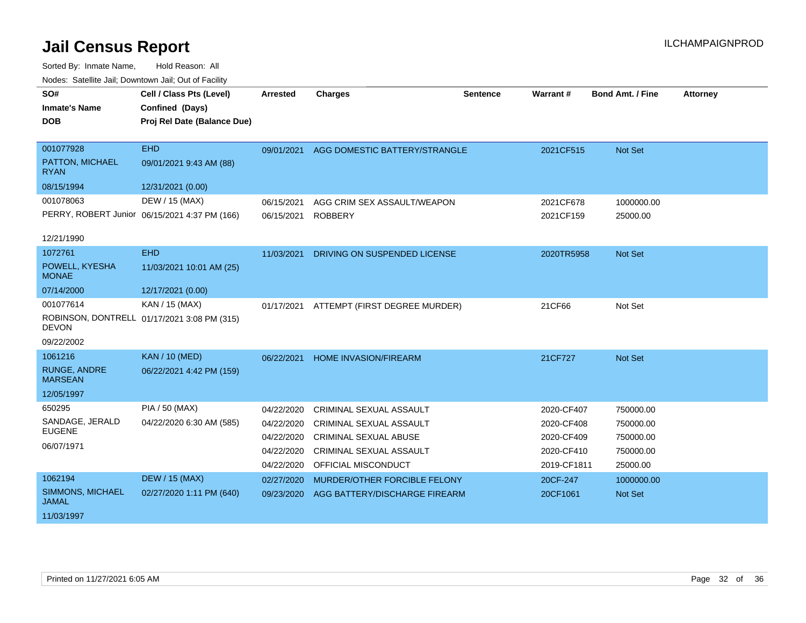| SO#                                   | Cell / Class Pts (Level)                      | <b>Arrested</b> | <b>Charges</b>                 | <b>Sentence</b> | Warrant #   | Bond Amt. / Fine | <b>Attorney</b> |
|---------------------------------------|-----------------------------------------------|-----------------|--------------------------------|-----------------|-------------|------------------|-----------------|
| <b>Inmate's Name</b>                  | Confined (Days)                               |                 |                                |                 |             |                  |                 |
| <b>DOB</b>                            | Proj Rel Date (Balance Due)                   |                 |                                |                 |             |                  |                 |
|                                       |                                               |                 |                                |                 |             |                  |                 |
| 001077928                             | <b>EHD</b>                                    | 09/01/2021      | AGG DOMESTIC BATTERY/STRANGLE  |                 | 2021CF515   | Not Set          |                 |
| PATTON, MICHAEL<br><b>RYAN</b>        | 09/01/2021 9:43 AM (88)                       |                 |                                |                 |             |                  |                 |
| 08/15/1994                            | 12/31/2021 (0.00)                             |                 |                                |                 |             |                  |                 |
| 001078063                             | DEW / 15 (MAX)                                | 06/15/2021      | AGG CRIM SEX ASSAULT/WEAPON    |                 | 2021CF678   | 1000000.00       |                 |
|                                       | PERRY, ROBERT Junior 06/15/2021 4:37 PM (166) | 06/15/2021      | <b>ROBBERY</b>                 |                 | 2021CF159   | 25000.00         |                 |
| 12/21/1990                            |                                               |                 |                                |                 |             |                  |                 |
| 1072761                               | <b>EHD</b>                                    | 11/03/2021      | DRIVING ON SUSPENDED LICENSE   |                 | 2020TR5958  | Not Set          |                 |
| POWELL, KYESHA<br><b>MONAE</b>        | 11/03/2021 10:01 AM (25)                      |                 |                                |                 |             |                  |                 |
| 07/14/2000                            | 12/17/2021 (0.00)                             |                 |                                |                 |             |                  |                 |
| 001077614                             | KAN / 15 (MAX)                                | 01/17/2021      | ATTEMPT (FIRST DEGREE MURDER)  |                 | 21CF66      | Not Set          |                 |
| <b>DEVON</b>                          | ROBINSON, DONTRELL 01/17/2021 3:08 PM (315)   |                 |                                |                 |             |                  |                 |
| 09/22/2002                            |                                               |                 |                                |                 |             |                  |                 |
| 1061216                               | <b>KAN / 10 (MED)</b>                         | 06/22/2021      | <b>HOME INVASION/FIREARM</b>   |                 | 21CF727     | <b>Not Set</b>   |                 |
| <b>RUNGE, ANDRE</b><br><b>MARSEAN</b> | 06/22/2021 4:42 PM (159)                      |                 |                                |                 |             |                  |                 |
| 12/05/1997                            |                                               |                 |                                |                 |             |                  |                 |
| 650295                                | PIA / 50 (MAX)                                | 04/22/2020      | <b>CRIMINAL SEXUAL ASSAULT</b> |                 | 2020-CF407  | 750000.00        |                 |
| SANDAGE, JERALD                       | 04/22/2020 6:30 AM (585)                      | 04/22/2020      | CRIMINAL SEXUAL ASSAULT        |                 | 2020-CF408  | 750000.00        |                 |
| <b>EUGENE</b>                         |                                               | 04/22/2020      | <b>CRIMINAL SEXUAL ABUSE</b>   |                 | 2020-CF409  | 750000.00        |                 |
| 06/07/1971                            |                                               | 04/22/2020      | <b>CRIMINAL SEXUAL ASSAULT</b> |                 | 2020-CF410  | 750000.00        |                 |
|                                       |                                               | 04/22/2020      | OFFICIAL MISCONDUCT            |                 | 2019-CF1811 | 25000.00         |                 |
| 1062194                               | <b>DEW / 15 (MAX)</b>                         | 02/27/2020      | MURDER/OTHER FORCIBLE FELONY   |                 | 20CF-247    | 1000000.00       |                 |
| SIMMONS, MICHAEL<br><b>JAMAL</b>      | 02/27/2020 1:11 PM (640)                      | 09/23/2020      | AGG BATTERY/DISCHARGE FIREARM  |                 | 20CF1061    | Not Set          |                 |
| 11/03/1997                            |                                               |                 |                                |                 |             |                  |                 |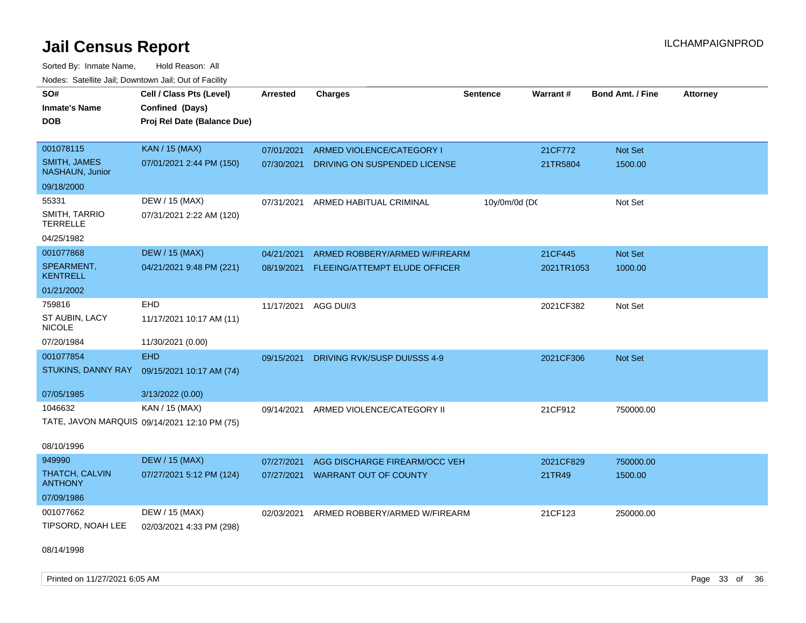Sorted By: Inmate Name, Hold Reason: All Nodes: Satellite Jail; Downtown Jail; Out of Facility

| SO#<br><b>Inmate's Name</b><br><b>DOB</b>     | Cell / Class Pts (Level)<br>Confined (Days)<br>Proj Rel Date (Balance Due) | <b>Arrested</b> | <b>Charges</b>                | <b>Sentence</b> | Warrant#   | <b>Bond Amt. / Fine</b> | <b>Attorney</b> |
|-----------------------------------------------|----------------------------------------------------------------------------|-----------------|-------------------------------|-----------------|------------|-------------------------|-----------------|
| 001078115                                     | <b>KAN / 15 (MAX)</b>                                                      | 07/01/2021      | ARMED VIOLENCE/CATEGORY I     |                 | 21CF772    | Not Set                 |                 |
| <b>SMITH, JAMES</b><br><b>NASHAUN, Junior</b> | 07/01/2021 2:44 PM (150)                                                   | 07/30/2021      | DRIVING ON SUSPENDED LICENSE  |                 | 21TR5804   | 1500.00                 |                 |
| 09/18/2000                                    |                                                                            |                 |                               |                 |            |                         |                 |
| 55331                                         | DEW / 15 (MAX)                                                             | 07/31/2021      | ARMED HABITUAL CRIMINAL       | 10y/0m/0d (DC   |            | Not Set                 |                 |
| SMITH, TARRIO<br><b>TERRELLE</b>              | 07/31/2021 2:22 AM (120)                                                   |                 |                               |                 |            |                         |                 |
| 04/25/1982                                    |                                                                            |                 |                               |                 |            |                         |                 |
| 001077868                                     | <b>DEW / 15 (MAX)</b>                                                      | 04/21/2021      | ARMED ROBBERY/ARMED W/FIREARM |                 | 21CF445    | <b>Not Set</b>          |                 |
| SPEARMENT,<br><b>KENTRELL</b>                 | 04/21/2021 9:48 PM (221)                                                   | 08/19/2021      | FLEEING/ATTEMPT ELUDE OFFICER |                 | 2021TR1053 | 1000.00                 |                 |
| 01/21/2002                                    |                                                                            |                 |                               |                 |            |                         |                 |
| 759816                                        | <b>EHD</b>                                                                 | 11/17/2021      | AGG DUI/3                     |                 | 2021CF382  | Not Set                 |                 |
| ST AUBIN, LACY<br><b>NICOLE</b>               | 11/17/2021 10:17 AM (11)                                                   |                 |                               |                 |            |                         |                 |
| 07/20/1984                                    | 11/30/2021 (0.00)                                                          |                 |                               |                 |            |                         |                 |
| 001077854                                     | <b>EHD</b>                                                                 | 09/15/2021      | DRIVING RVK/SUSP DUI/SSS 4-9  |                 | 2021CF306  | <b>Not Set</b>          |                 |
| STUKINS, DANNY RAY                            | 09/15/2021 10:17 AM (74)                                                   |                 |                               |                 |            |                         |                 |
| 07/05/1985                                    | 3/13/2022 (0.00)                                                           |                 |                               |                 |            |                         |                 |
| 1046632                                       | KAN / 15 (MAX)                                                             | 09/14/2021      | ARMED VIOLENCE/CATEGORY II    |                 | 21CF912    | 750000.00               |                 |
|                                               | TATE, JAVON MARQUIS 09/14/2021 12:10 PM (75)                               |                 |                               |                 |            |                         |                 |
| 08/10/1996                                    |                                                                            |                 |                               |                 |            |                         |                 |
| 949990                                        | <b>DEW / 15 (MAX)</b>                                                      | 07/27/2021      | AGG DISCHARGE FIREARM/OCC VEH |                 | 2021CF829  | 750000.00               |                 |
| <b>THATCH, CALVIN</b><br><b>ANTHONY</b>       | 07/27/2021 5:12 PM (124)                                                   | 07/27/2021      | <b>WARRANT OUT OF COUNTY</b>  |                 | 21TR49     | 1500.00                 |                 |
| 07/09/1986                                    |                                                                            |                 |                               |                 |            |                         |                 |
| 001077662                                     | DEW / 15 (MAX)                                                             | 02/03/2021      | ARMED ROBBERY/ARMED W/FIREARM |                 | 21CF123    | 250000.00               |                 |
| TIPSORD, NOAH LEE                             | 02/03/2021 4:33 PM (298)                                                   |                 |                               |                 |            |                         |                 |

08/14/1998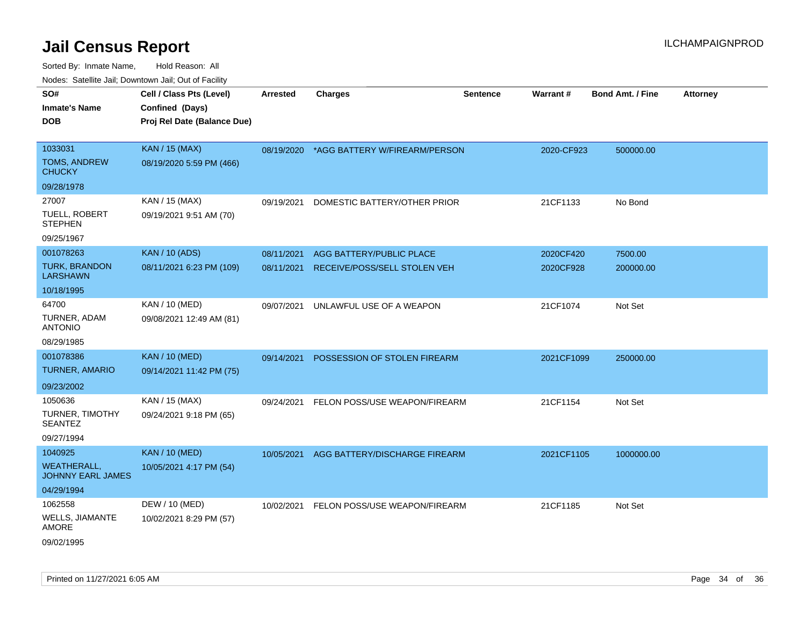| <b>Nedee:</b> Catoline can, Domnomi can, Oat or I domt |                                                                            |                 |                                          |                 |            |                         |                 |
|--------------------------------------------------------|----------------------------------------------------------------------------|-----------------|------------------------------------------|-----------------|------------|-------------------------|-----------------|
| SO#<br>Inmate's Name<br>DOB                            | Cell / Class Pts (Level)<br>Confined (Days)<br>Proj Rel Date (Balance Due) | <b>Arrested</b> | <b>Charges</b>                           | <b>Sentence</b> | Warrant#   | <b>Bond Amt. / Fine</b> | <b>Attorney</b> |
|                                                        |                                                                            |                 |                                          |                 |            |                         |                 |
| 1033031                                                | <b>KAN / 15 (MAX)</b>                                                      |                 | 08/19/2020 *AGG BATTERY W/FIREARM/PERSON |                 | 2020-CF923 | 500000.00               |                 |
| <b>TOMS, ANDREW</b><br>CHUCKY                          | 08/19/2020 5:59 PM (466)                                                   |                 |                                          |                 |            |                         |                 |
| 09/28/1978                                             |                                                                            |                 |                                          |                 |            |                         |                 |
| 27007                                                  | KAN / 15 (MAX)                                                             | 09/19/2021      | DOMESTIC BATTERY/OTHER PRIOR             |                 | 21CF1133   | No Bond                 |                 |
| TUELL, ROBERT<br><b>STEPHEN</b>                        | 09/19/2021 9:51 AM (70)                                                    |                 |                                          |                 |            |                         |                 |
| 09/25/1967                                             |                                                                            |                 |                                          |                 |            |                         |                 |
| 001078263                                              | <b>KAN / 10 (ADS)</b>                                                      | 08/11/2021      | AGG BATTERY/PUBLIC PLACE                 |                 | 2020CF420  | 7500.00                 |                 |
| <b>TURK, BRANDON</b><br>LARSHAWN                       | 08/11/2021 6:23 PM (109)                                                   | 08/11/2021      | RECEIVE/POSS/SELL STOLEN VEH             |                 | 2020CF928  | 200000.00               |                 |
| 10/18/1995                                             |                                                                            |                 |                                          |                 |            |                         |                 |
| 64700                                                  | KAN / 10 (MED)                                                             | 09/07/2021      | UNLAWFUL USE OF A WEAPON                 |                 | 21CF1074   | Not Set                 |                 |
| TURNER, ADAM<br>ANTONIO                                | 09/08/2021 12:49 AM (81)                                                   |                 |                                          |                 |            |                         |                 |
| 08/29/1985                                             |                                                                            |                 |                                          |                 |            |                         |                 |
| 001078386                                              | <b>KAN / 10 (MED)</b>                                                      |                 | 09/14/2021 POSSESSION OF STOLEN FIREARM  |                 | 2021CF1099 | 250000.00               |                 |
| <b>TURNER, AMARIO</b>                                  | 09/14/2021 11:42 PM (75)                                                   |                 |                                          |                 |            |                         |                 |
| 09/23/2002                                             |                                                                            |                 |                                          |                 |            |                         |                 |
| 1050636                                                | KAN / 15 (MAX)                                                             | 09/24/2021      | FELON POSS/USE WEAPON/FIREARM            |                 | 21CF1154   | Not Set                 |                 |
| TURNER, TIMOTHY<br>SEANTEZ                             | 09/24/2021 9:18 PM (65)                                                    |                 |                                          |                 |            |                         |                 |
| 09/27/1994                                             |                                                                            |                 |                                          |                 |            |                         |                 |
| 1040925                                                | <b>KAN / 10 (MED)</b>                                                      | 10/05/2021      | AGG BATTERY/DISCHARGE FIREARM            |                 | 2021CF1105 | 1000000.00              |                 |
| WEATHERALL.<br><b>JOHNNY EARL JAMES</b>                | 10/05/2021 4:17 PM (54)                                                    |                 |                                          |                 |            |                         |                 |
| 04/29/1994                                             |                                                                            |                 |                                          |                 |            |                         |                 |
| 1062558                                                | DEW / 10 (MED)                                                             | 10/02/2021      | FELON POSS/USE WEAPON/FIREARM            |                 | 21CF1185   | Not Set                 |                 |
| WELLS, JIAMANTE<br>AMORE                               | 10/02/2021 8:29 PM (57)                                                    |                 |                                          |                 |            |                         |                 |
| 09/02/1995                                             |                                                                            |                 |                                          |                 |            |                         |                 |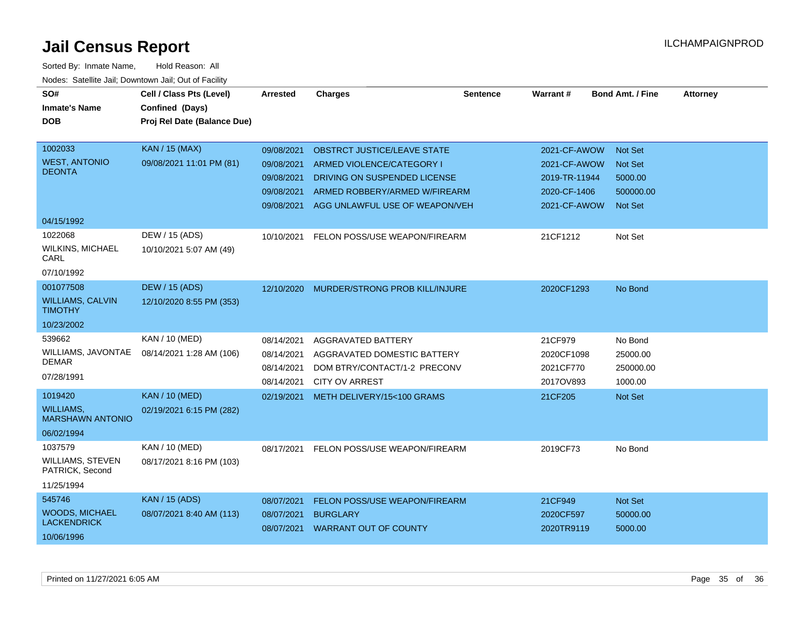| SO#<br><b>Inmate's Name</b><br><b>DOB</b>  | Cell / Class Pts (Level)<br>Confined (Days)<br>Proj Rel Date (Balance Due) | Arrested   | <b>Charges</b>                     | <b>Sentence</b> | <b>Warrant#</b> | <b>Bond Amt. / Fine</b> | <b>Attorney</b> |
|--------------------------------------------|----------------------------------------------------------------------------|------------|------------------------------------|-----------------|-----------------|-------------------------|-----------------|
|                                            |                                                                            |            |                                    |                 |                 |                         |                 |
| 1002033                                    | <b>KAN / 15 (MAX)</b>                                                      | 09/08/2021 | <b>OBSTRCT JUSTICE/LEAVE STATE</b> |                 | 2021-CF-AWOW    | <b>Not Set</b>          |                 |
| <b>WEST, ANTONIO</b>                       | 09/08/2021 11:01 PM (81)                                                   | 09/08/2021 | ARMED VIOLENCE/CATEGORY I          |                 | 2021-CF-AWOW    | <b>Not Set</b>          |                 |
| <b>DEONTA</b>                              |                                                                            | 09/08/2021 | DRIVING ON SUSPENDED LICENSE       |                 | 2019-TR-11944   | 5000.00                 |                 |
|                                            |                                                                            | 09/08/2021 | ARMED ROBBERY/ARMED W/FIREARM      |                 | 2020-CF-1406    | 500000.00               |                 |
|                                            |                                                                            | 09/08/2021 | AGG UNLAWFUL USE OF WEAPON/VEH     |                 | 2021-CF-AWOW    | <b>Not Set</b>          |                 |
| 04/15/1992                                 |                                                                            |            |                                    |                 |                 |                         |                 |
| 1022068                                    | DEW / 15 (ADS)                                                             | 10/10/2021 | FELON POSS/USE WEAPON/FIREARM      |                 | 21CF1212        | Not Set                 |                 |
| <b>WILKINS, MICHAEL</b><br>CARL            | 10/10/2021 5:07 AM (49)                                                    |            |                                    |                 |                 |                         |                 |
| 07/10/1992                                 |                                                                            |            |                                    |                 |                 |                         |                 |
| 001077508                                  | <b>DEW / 15 (ADS)</b>                                                      | 12/10/2020 | MURDER/STRONG PROB KILL/INJURE     |                 | 2020CF1293      | No Bond                 |                 |
| <b>WILLIAMS, CALVIN</b><br><b>TIMOTHY</b>  | 12/10/2020 8:55 PM (353)                                                   |            |                                    |                 |                 |                         |                 |
| 10/23/2002                                 |                                                                            |            |                                    |                 |                 |                         |                 |
| 539662                                     | KAN / 10 (MED)                                                             | 08/14/2021 | AGGRAVATED BATTERY                 |                 | 21CF979         | No Bond                 |                 |
| WILLIAMS, JAVONTAE                         | 08/14/2021 1:28 AM (106)                                                   | 08/14/2021 | AGGRAVATED DOMESTIC BATTERY        |                 | 2020CF1098      | 25000.00                |                 |
| <b>DEMAR</b>                               |                                                                            | 08/14/2021 | DOM BTRY/CONTACT/1-2 PRECONV       |                 | 2021CF770       | 250000.00               |                 |
| 07/28/1991                                 |                                                                            | 08/14/2021 | <b>CITY OV ARREST</b>              |                 | 2017OV893       | 1000.00                 |                 |
| 1019420                                    | <b>KAN / 10 (MED)</b>                                                      | 02/19/2021 | METH DELIVERY/15<100 GRAMS         |                 | 21CF205         | <b>Not Set</b>          |                 |
| WILLIAMS,<br><b>MARSHAWN ANTONIO</b>       | 02/19/2021 6:15 PM (282)                                                   |            |                                    |                 |                 |                         |                 |
| 06/02/1994                                 |                                                                            |            |                                    |                 |                 |                         |                 |
| 1037579                                    | KAN / 10 (MED)                                                             | 08/17/2021 | FELON POSS/USE WEAPON/FIREARM      |                 | 2019CF73        | No Bond                 |                 |
| <b>WILLIAMS, STEVEN</b><br>PATRICK, Second | 08/17/2021 8:16 PM (103)                                                   |            |                                    |                 |                 |                         |                 |
| 11/25/1994                                 |                                                                            |            |                                    |                 |                 |                         |                 |
| 545746                                     | <b>KAN / 15 (ADS)</b>                                                      | 08/07/2021 | FELON POSS/USE WEAPON/FIREARM      |                 | 21CF949         | Not Set                 |                 |
| <b>WOODS, MICHAEL</b>                      | 08/07/2021 8:40 AM (113)                                                   | 08/07/2021 | <b>BURGLARY</b>                    |                 | 2020CF597       | 50000.00                |                 |
| <b>LACKENDRICK</b>                         |                                                                            |            | 08/07/2021 WARRANT OUT OF COUNTY   |                 | 2020TR9119      | 5000.00                 |                 |
| 10/06/1996                                 |                                                                            |            |                                    |                 |                 |                         |                 |